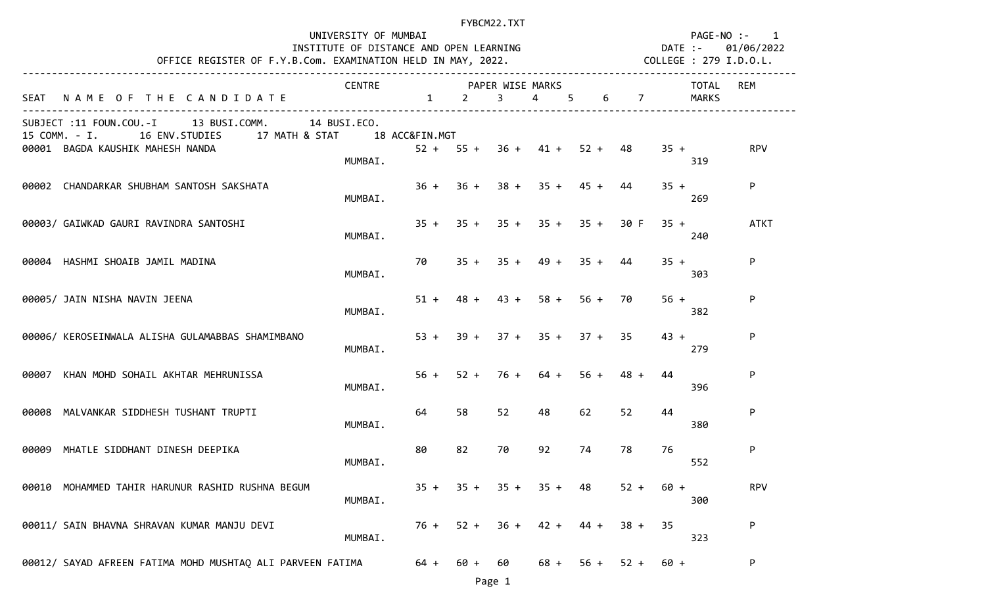|       | OFFICE REGISTER OF F.Y.B.Com. EXAMINATION HELD IN MAY, 2022.                                                                              | UNIVERSITY OF MUMBAI<br>INSTITUTE OF DISTANCE AND OPEN LEARNING |                                          |                               | FYBCM22.TXT      |                |                       |        |                | PAGE-NO :-<br>DATE :- | $\mathbf{1}$<br>01/06/2022<br>COLLEGE : 279 I.D.O.L. |
|-------|-------------------------------------------------------------------------------------------------------------------------------------------|-----------------------------------------------------------------|------------------------------------------|-------------------------------|------------------|----------------|-----------------------|--------|----------------|-----------------------|------------------------------------------------------|
|       | SEAT NAME OF THE CANDIDATE                                                                                                                | CENTRE                                                          | <b>PAPER WISE MARKS</b><br>$1 \t 2 \t 3$ |                               |                  | $\overline{4}$ | $5 -$                 | 6      | $\overline{7}$ | TOTAL<br>MARKS        | REM                                                  |
|       | SUBJECT :11 FOUN.COU.-I 13 BUSI.COMM.<br>15 COMM. - I. 16 ENV. STUDIES 17 MATH & STAT 18 ACC&FIN. MGT<br>00001 BAGDA KAUSHIK MAHESH NANDA | 14 BUSI.ECO.<br>MUMBAI.                                         |                                          | $52 + 55 + 36 + 41 + 52 + 48$ |                  |                |                       |        | $35 +$         | 319                   | <b>RPV</b>                                           |
|       | 00002 CHANDARKAR SHUBHAM SANTOSH SAKSHATA                                                                                                 | MUMBAI.                                                         |                                          | $36 + 36 + 38 + 35 + 45 +$    |                  |                |                       | 44     | $35 +$         | 269                   | P                                                    |
|       | 00003/ GAIWKAD GAURI RAVINDRA SANTOSHI                                                                                                    | MUMBAI.                                                         |                                          | $35 + 35 + 35 + 35 + 35 +$    |                  |                |                       | 30 F   | $35 +$         | 240                   | <b>ATKT</b>                                          |
|       | 00004 HASHMI SHOAIB JAMIL MADINA                                                                                                          | MUMBAI.                                                         | 70                                       |                               |                  |                | $35 + 35 + 49 + 35 +$ | 44     | $35 +$         | 303                   | P                                                    |
|       | 00005/ JAIN NISHA NAVIN JEENA                                                                                                             | MUMBAI.                                                         |                                          | $51 + 48 + 43 + 58 +$         |                  |                | $56 +$                | 70     | $56 +$         | 382                   | P                                                    |
|       | 00006/ KEROSEINWALA ALISHA GULAMABBAS SHAMIMBANO                                                                                          | MUMBAI.                                                         |                                          | $53 + 39 + 37 + 35 + 37 + 35$ |                  |                |                       |        | $43 +$         | 279                   | P                                                    |
| 00007 | KHAN MOHD SOHAIL AKHTAR MEHRUNISSA                                                                                                        | MUMBAI.                                                         | $56 +$                                   |                               | $52 + 76 + 64 +$ |                | $56 +$                | $48 +$ | 44             | 396                   | P                                                    |
|       | 00008 MALVANKAR SIDDHESH TUSHANT TRUPTI                                                                                                   | MUMBAI.                                                         | 64                                       | 58                            | 52               | 48             | 62                    | 52     | 44             | 380                   | P                                                    |
|       | 00009 MHATLE SIDDHANT DINESH DEEPIKA                                                                                                      | MUMBAI.                                                         | 80                                       | 82                            | 70               | 92             | 74                    | 78     | 76             | 552                   | P                                                    |
|       | 00010 MOHAMMED TAHIR HARUNUR RASHID RUSHNA BEGUM                                                                                          | MUMBAI.                                                         |                                          | $35 + 35 +$                   |                  | $35 + 35 +$    | 48                    | $52 +$ | $60 +$         | 300                   | <b>RPV</b>                                           |
|       | 00011/ SAIN BHAVNA SHRAVAN KUMAR MANJU DEVI                                                                                               | MUMBAI.                                                         | $76 +$                                   | $52 +$                        | $36 +$           | $42 +$         | 44 +                  | $38 +$ | 35             | 323                   | P                                                    |
|       | 00012/ SAYAD AFREEN FATIMA MOHD MUSHTAQ ALI PARVEEN FATIMA                                                                                |                                                                 | 64 +                                     | $60 +$                        | 60               | $68 +$         | $56 +$                | $52 +$ | $60 +$         |                       | P                                                    |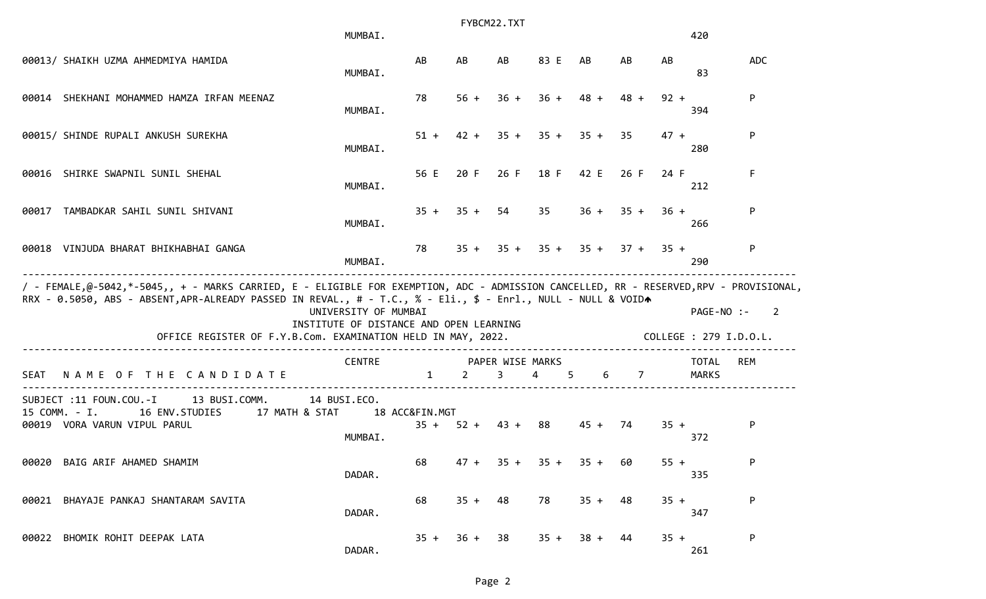|               |                                                                                                                                                                                                                                                                                                                        | MUMBAI.                                                         |              |             | FYBCM22.TXT                     |                     |           |                  |        | 420                                  |            |
|---------------|------------------------------------------------------------------------------------------------------------------------------------------------------------------------------------------------------------------------------------------------------------------------------------------------------------------------|-----------------------------------------------------------------|--------------|-------------|---------------------------------|---------------------|-----------|------------------|--------|--------------------------------------|------------|
|               | 00013/ SHAIKH UZMA AHMEDMIYA HAMIDA                                                                                                                                                                                                                                                                                    | MUMBAI.                                                         | AB           | AB          | AB                              | 83 E                | AB        | AB               | AB     | 83                                   | <b>ADC</b> |
|               | 00014 SHEKHANI MOHAMMED HAMZA IRFAN MEENAZ                                                                                                                                                                                                                                                                             | MUMBAI.                                                         | 78           | $56 +$      | $36 +$                          | $36 +$              | $48 +$    | $48 +$           | $92 +$ | 394                                  | P          |
|               | 00015/ SHINDE RUPALI ANKUSH SUREKHA                                                                                                                                                                                                                                                                                    | MUMBAI.                                                         | $51 +$       |             |                                 | $42 + 35 + 35 +$    | $35 +$    | 35               | $47 +$ | 280                                  | P          |
|               | 00016 SHIRKE SWAPNIL SUNIL SHEHAL                                                                                                                                                                                                                                                                                      | MUMBAI.                                                         | 56 E         | 20 F        | 26 F                            | 18 F                | 42 E      | 26 F             | 24 F   | 212                                  | F.         |
| 00017         | TAMBADKAR SAHIL SUNIL SHIVANI                                                                                                                                                                                                                                                                                          | MUMBAI.                                                         | $35 +$       |             | $35 + 54$                       | 35                  |           | $36 + 35 +$      | $36 +$ | 266                                  | P          |
|               | 00018 VINJUDA BHARAT BHIKHABHAI GANGA                                                                                                                                                                                                                                                                                  | MUMBAI.                                                         | 78           | $35 +$      |                                 | $35 + 35 +$         |           | $35 + 37 + 35 +$ |        | 290                                  | P          |
|               | / - FEMALE,@-5042,*-5045,, + - MARKS CARRIED, E - ELIGIBLE FOR EXEMPTION, ADC - ADMISSION CANCELLED, RR - RESERVED,RPV - PROVISIONAL,<br>RRX - 0.5050, ABS - ABSENT, APR-ALREADY PASSED IN REVAL., # - T.C., % - Eli., \$ - Enrl., NULL - NULL & VOIDA<br>OFFICE REGISTER OF F.Y.B.Com. EXAMINATION HELD IN MAY, 2022. | UNIVERSITY OF MUMBAI<br>INSTITUTE OF DISTANCE AND OPEN LEARNING |              |             |                                 |                     |           |                  |        | PAGE-NO :-<br>COLLEGE : 279 I.D.O.L. | 2          |
| <b>SEAT</b>   | NAME OF THE CANDIDATE                                                                                                                                                                                                                                                                                                  | ____________________________________<br><b>CENTRE</b>           | $\mathbf{1}$ | $2^{\circ}$ | PAPER WISE MARKS<br>$3^{\circ}$ | $\overline{4}$<br>5 |           | 6 7              |        | <b>TOTAL</b><br>MARKS                | REM        |
| 15 COMM. - I. | SUBJECT :11 FOUN.COU.-I<br>13 BUSI.COMM.<br>17 MATH & STAT<br>16 ENV.STUDIES<br>00019 VORA VARUN VIPUL PARUL                                                                                                                                                                                                           | 14 BUSI.ECO.<br>18 ACC&FIN.MGT<br>MUMBAI.                       |              |             | $35 + 52 + 43 + 88$             |                     | $45 + 74$ |                  | $35 +$ | 372                                  | P          |
|               | 00020 BAIG ARIF AHAMED SHAMIM                                                                                                                                                                                                                                                                                          | DADAR.                                                          | 68           | $47 +$      | $35 +$                          | $35 +$              | $35 +$    | 60               | $55 +$ | 335                                  | P          |
|               | 00021 BHAYAJE PANKAJ SHANTARAM SAVITA                                                                                                                                                                                                                                                                                  | DADAR.                                                          | 68           | $35 +$      | 48                              | 78                  | $35 +$    | 48               | $35 +$ | 347                                  | P          |
|               | 00022 BHOMIK ROHIT DEEPAK LATA                                                                                                                                                                                                                                                                                         | DADAR.                                                          | $35 +$       | $36 +$      | 38                              | $35 +$              | $38 +$    | 44               | $35 +$ | 261                                  | P          |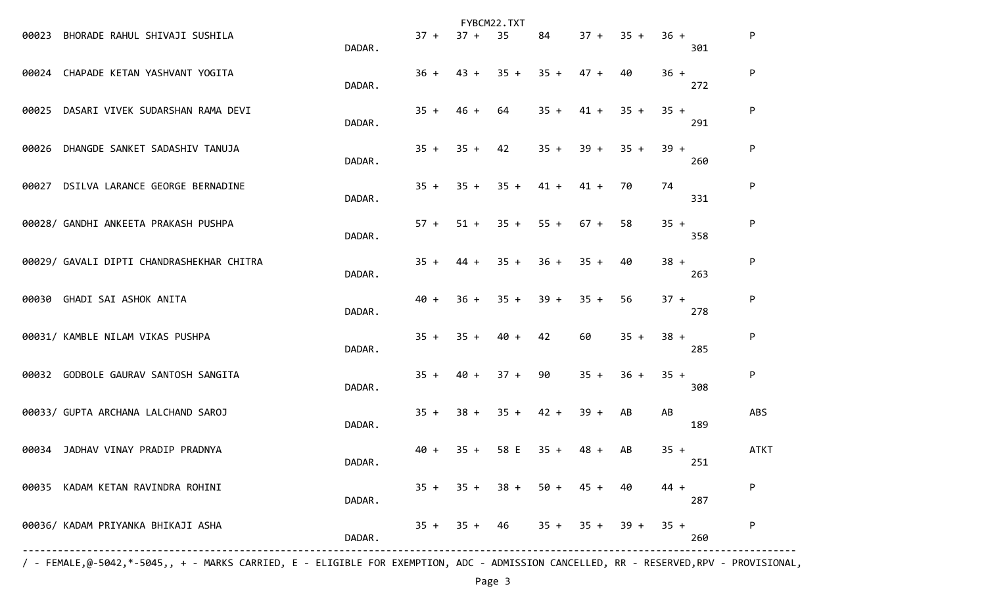|       |                                           |        |        |        | FYBCM22.TXT |        |        |        |               |             |
|-------|-------------------------------------------|--------|--------|--------|-------------|--------|--------|--------|---------------|-------------|
| 00023 | BHORADE RAHUL SHIVAJI SUSHILA             | DADAR. | $37 +$ | $37 +$ | 35          | 84     | $37 +$ | $35 +$ | $36 +$<br>301 | P           |
|       | 00024 CHAPADE KETAN YASHVANT YOGITA       | DADAR. | $36 +$ | $43 +$ | $35 +$      | $35 +$ | 47 +   | 40     | $36 +$<br>272 | P           |
| 00025 | DASARI VIVEK SUDARSHAN RAMA DEVI          | DADAR. | $35 +$ | $46 +$ | 64          | $35 +$ | $41 +$ | $35 +$ | $35 +$<br>291 | P           |
|       | 00026 DHANGDE SANKET SADASHIV TANUJA      | DADAR. | $35 +$ | $35 +$ | 42          | $35 +$ | $39 +$ | $35 +$ | $39 +$<br>260 | P           |
|       | 00027 DSILVA LARANCE GEORGE BERNADINE     | DADAR. | $35 +$ | $35 +$ | $35 +$      | $41 +$ | $41 +$ | 70     | 74<br>331     | P           |
|       | 00028/ GANDHI ANKEETA PRAKASH PUSHPA      | DADAR. | $57 +$ | $51 +$ | $35 +$      | $55 +$ | $67 +$ | 58     | $35 +$<br>358 | P           |
|       | 00029/ GAVALI DIPTI CHANDRASHEKHAR CHITRA | DADAR. | $35 +$ | $44 +$ | $35 +$      | $36 +$ | $35 +$ | 40     | $38 +$<br>263 | P           |
|       | 00030 GHADI SAI ASHOK ANITA               | DADAR. | $40 +$ | $36 +$ | $35 +$      | $39 +$ | $35 +$ | -56    | $37 +$<br>278 | P           |
|       | 00031/ KAMBLE NILAM VIKAS PUSHPA          | DADAR. | $35 +$ | $35 +$ | $40 +$      | 42     | 60     | $35 +$ | $38 +$<br>285 | P           |
|       | 00032 GODBOLE GAURAV SANTOSH SANGITA      | DADAR. | $35 +$ | $40 +$ | $37 +$      | 90     | $35 +$ | $36 +$ | $35 +$<br>308 | P           |
|       | 00033/ GUPTA ARCHANA LALCHAND SAROJ       | DADAR. | $35 +$ | $38 +$ | $35 +$      | $42 +$ | $39 +$ | AB     | AB<br>189     | <b>ABS</b>  |
|       | 00034 JADHAV VINAY PRADIP PRADNYA         | DADAR. | 40 +   | $35 +$ | 58 E        | $35 +$ | $48 +$ | AB     | $35 +$<br>251 | <b>ATKT</b> |
| 00035 | KADAM KETAN RAVINDRA ROHINI               | DADAR. | $35 +$ | $35 +$ | $38 +$      | $50 +$ | $45 +$ | 40     | $44 +$<br>287 | P           |
|       | 00036/ KADAM PRIYANKA BHIKAJI ASHA        | DADAR. | $35 +$ | $35 +$ | 46          | $35 +$ | $35 +$ | $39 +$ | $35 +$<br>260 | P           |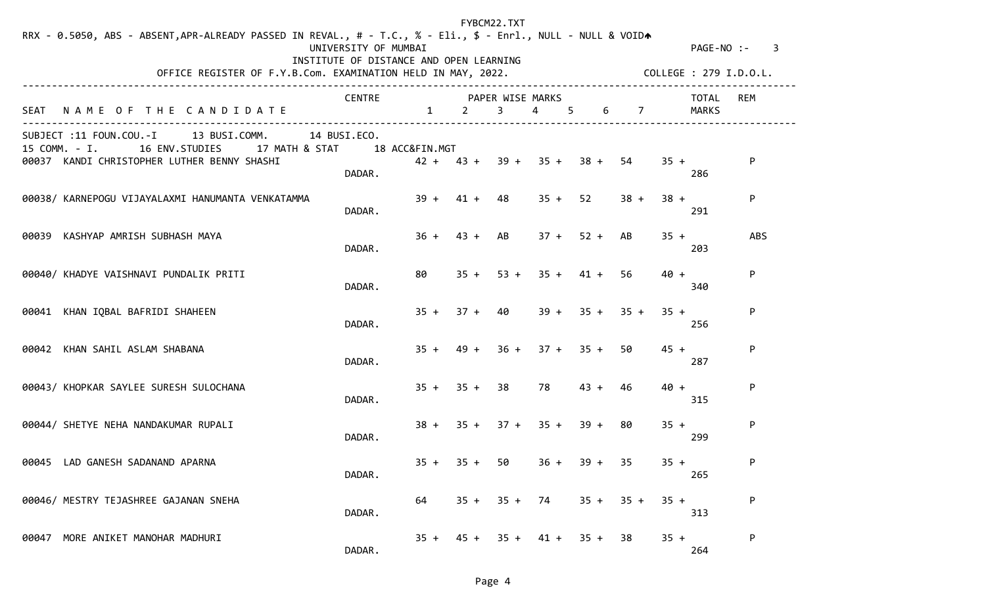| RRX - 0.5050, ABS - ABSENT, APR-ALREADY PASSED IN REVAL., # - T.C., % - Eli., \$ - Enrl., NULL - NULL & VOIDA<br>OFFICE REGISTER OF F.Y.B.Com. EXAMINATION HELD IN MAY, 2022. | UNIVERSITY OF MUMBAI<br>INSTITUTE OF DISTANCE AND OPEN LEARNING |                        |                  | FYBCM22.TXT    |                                            |                  |        |        | COLLEGE : 279 I.D.O.L. | $PAGE-NO: - 3$ |
|-------------------------------------------------------------------------------------------------------------------------------------------------------------------------------|-----------------------------------------------------------------|------------------------|------------------|----------------|--------------------------------------------|------------------|--------|--------|------------------------|----------------|
| NAME OF THE CANDIDATE<br>SEAT                                                                                                                                                 | <b>CENTRE</b>                                                   | $1 \quad \blacksquare$ | $\mathbf{2}$     | 3              | PAPER WISE MARKS<br>$\overline{4}$<br>. 5. | 6                | 7      |        | TOTAL<br>MARKS         | <b>REM</b>     |
| SUBJECT :11 FOUN.COU.-I 13 BUSI.COMM.<br>15 COMM. - I. 16 ENV. STUDIES 17 MATH & STAT 18 ACC&FIN. MGT<br>00037 KANDI CHRISTOPHER LUTHER BENNY SHASHI                          | 14 BUSI.ECO.<br>DADAR.                                          |                        |                  |                | $42 + 43 + 39 + 35 + 38 + 54$              |                  |        | $35 +$ | 286                    | P              |
| 00038/ KARNEPOGU VIJAYALAXMI HANUMANTA VENKATAMMA                                                                                                                             | DADAR.                                                          |                        | $39 + 41 +$      | 48             | $35 +$                                     | 52               | $38 +$ | $38 +$ | 291                    | P              |
| 00039 KASHYAP AMRISH SUBHASH MAYA                                                                                                                                             | DADAR.                                                          |                        | $36 + 43 + AB$   |                | $37 + 52 +$                                |                  | AB     | $35 +$ | 203                    | <b>ABS</b>     |
| 00040/ KHADYE VAISHNAVI PUNDALIK PRITI                                                                                                                                        | DADAR.                                                          | 80                     |                  |                | $35 + 53 + 35 + 41 + 56$                   |                  |        | $40 +$ | 340                    | P              |
| 00041 KHAN IQBAL BAFRIDI SHAHEEN                                                                                                                                              | DADAR.                                                          |                        | $35 + 37 + 40$   |                |                                            | $39 + 35 + 35 +$ |        | $35 +$ | 256                    | P              |
| 00042 KHAN SAHIL ASLAM SHABANA                                                                                                                                                | DADAR.                                                          |                        | $35 + 49 +$      |                | $36 + 37 + 35 +$                           |                  | -50    | $45 +$ | 287                    | P              |
| 00043/ KHOPKAR SAYLEE SURESH SULOCHANA                                                                                                                                        | DADAR.                                                          |                        | $35 + 35 + 38$   |                | 78                                         | $43 +$           | 46     | $40 +$ | 315                    | P              |
| 00044/ SHETYE NEHA NANDAKUMAR RUPALI                                                                                                                                          | DADAR.                                                          |                        | $38 + 35 + 37 +$ |                | $35 +$                                     | $39 +$           | 80     | $35 +$ | 299                    | P              |
| 00045 LAD GANESH SADANAND APARNA                                                                                                                                              | DADAR.                                                          |                        | $35 + 35 +$      | 50             | $36 +$                                     | $39 +$           | -35    | $35 +$ | 265                    | P              |
| 00046/ MESTRY TEJASHREE GAJANAN SNEHA                                                                                                                                         | DADAR.                                                          | 64                     |                  | $35 + 35 + 74$ |                                            | $35 + 35 +$      |        | $35 +$ | 313                    | P              |
| MORE ANIKET MANOHAR MADHURI<br>00047                                                                                                                                          | DADAR.                                                          |                        |                  |                | $35 + 45 + 35 + 41 + 35 + 38$              |                  |        | $35 +$ | 264                    | P              |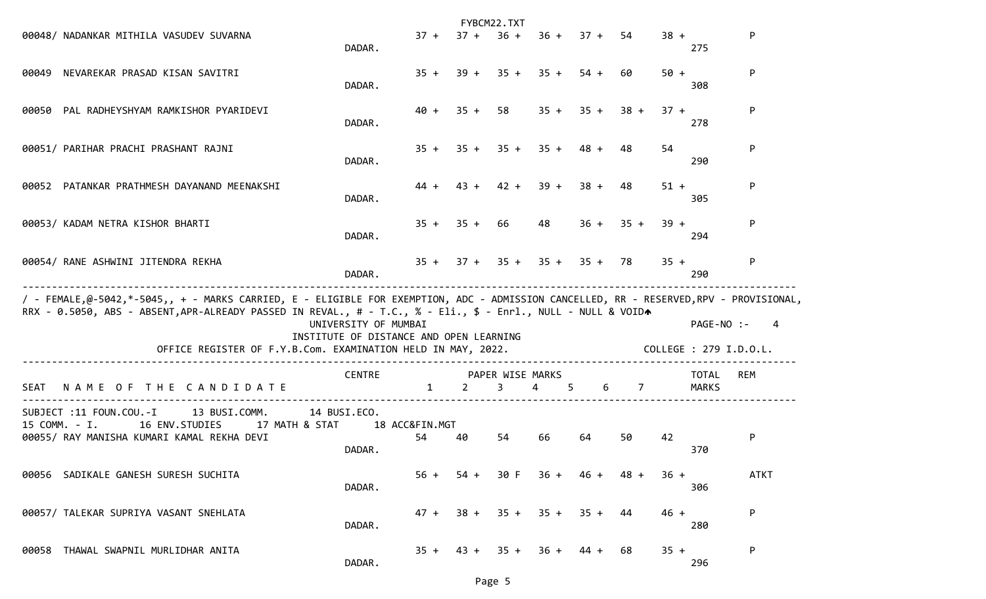|                                                                                                                                                                                                                                                                                                                        |                                                                 |                      |        | FYBCM22.TXT           |             |                |                |        |                                      |             |
|------------------------------------------------------------------------------------------------------------------------------------------------------------------------------------------------------------------------------------------------------------------------------------------------------------------------|-----------------------------------------------------------------|----------------------|--------|-----------------------|-------------|----------------|----------------|--------|--------------------------------------|-------------|
| 00048/ NADANKAR MITHILA VASUDEV SUVARNA                                                                                                                                                                                                                                                                                | DADAR.                                                          | $37 +$               | $37 +$ | $36 +$                |             | $36 + 37 + 54$ |                | $38 +$ | 275                                  | P           |
| NEVAREKAR PRASAD KISAN SAVITRI<br>00049                                                                                                                                                                                                                                                                                | DADAR.                                                          | $35 +$               | $39 +$ | $35 +$                | $35 +$      | $54 +$         | 60             | $50 +$ | 308                                  | P           |
| 00050 PAL RADHEYSHYAM RAMKISHOR PYARIDEVI                                                                                                                                                                                                                                                                              | DADAR.                                                          | $40 +$               | $35 +$ | 58                    | $35 +$      | $35 +$         | $38 +$         | $37 +$ | 278                                  | P           |
| 00051/ PARIHAR PRACHI PRASHANT RAJNI                                                                                                                                                                                                                                                                                   | DADAR.                                                          | $35 +$               | $35 +$ | $35 +$                | $35 +$      | $48 +$         | 48             | 54     | 290                                  | P           |
| 00052 PATANKAR PRATHMESH DAYANAND MEENAKSHI                                                                                                                                                                                                                                                                            | DADAR.                                                          | $44 +$               | $43 +$ | $42 +$                | $39 +$      | $38 +$         | 48             | $51 +$ | 305                                  | P           |
| 00053/ KADAM NETRA KISHOR BHARTI                                                                                                                                                                                                                                                                                       | DADAR.                                                          | $35 +$               | $35 +$ | 66                    | 48          | $36 +$         | $35 +$         | $39 +$ | 294                                  | P           |
| 00054/ RANE ASHWINI JITENDRA REKHA                                                                                                                                                                                                                                                                                     | DADAR.                                                          | $35 +$               | $37 +$ | $35 +$                | $35 + 35 +$ |                | -78            | $35 +$ | 290                                  | P           |
| / - FEMALE,@-5042,*-5045,, + - MARKS CARRIED, E - ELIGIBLE FOR EXEMPTION, ADC - ADMISSION CANCELLED, RR - RESERVED,RPV - PROVISIONAL,<br>RRX - 0.5050, ABS - ABSENT, APR-ALREADY PASSED IN REVAL., # - T.C., % - Eli., \$ - Enrl., NULL - NULL & VOIDA<br>OFFICE REGISTER OF F.Y.B.Com. EXAMINATION HELD IN MAY, 2022. | UNIVERSITY OF MUMBAI<br>INSTITUTE OF DISTANCE AND OPEN LEARNING |                      |        |                       |             |                |                |        | PAGE-NO :-<br>COLLEGE : 279 I.D.O.L. | 4           |
| NAME OF THE CANDIDATE<br><b>SEAT</b>                                                                                                                                                                                                                                                                                   | <b>CENTRE</b>                                                   | $\mathbf{1}$         | 2      | PAPER WISE MARKS<br>3 | 4<br>5      | 6              | $\overline{7}$ |        | <b>TOTAL</b><br><b>MARKS</b>         | REM         |
| SUBJECT :11 FOUN.COU.-I<br>13 BUSI.COMM.<br>17 MATH & STAT<br>15 COMM. - I.<br>16 ENV.STUDIES<br>00055/ RAY MANISHA KUMARI KAMAL REKHA DEVI                                                                                                                                                                            | 14 BUSI.ECO.<br>DADAR.                                          | 18 ACC&FIN.MGT<br>54 | 40     | 54                    | 66          | 64             | 50             | 42     | 370                                  | P           |
| SADIKALE GANESH SURESH SUCHITA<br>00056                                                                                                                                                                                                                                                                                | DADAR.                                                          | $56 +$               | $54 +$ | 30 F                  | $36 +$      | 46 +           | $48 +$         | $36 +$ | 306                                  | <b>ATKT</b> |
| 00057/ TALEKAR SUPRIYA VASANT SNEHLATA                                                                                                                                                                                                                                                                                 | DADAR.                                                          | $47 +$               | $38 +$ | $35 +$                | $35 +$      | $35 +$         | 44             | $46 +$ | 280                                  | P           |
| THAWAL SWAPNIL MURLIDHAR ANITA<br>00058                                                                                                                                                                                                                                                                                | DADAR.                                                          | $35 +$               | 43 +   | $35 +$                | 36 +        | 44 +           | 68             | $35 +$ | 296                                  | P           |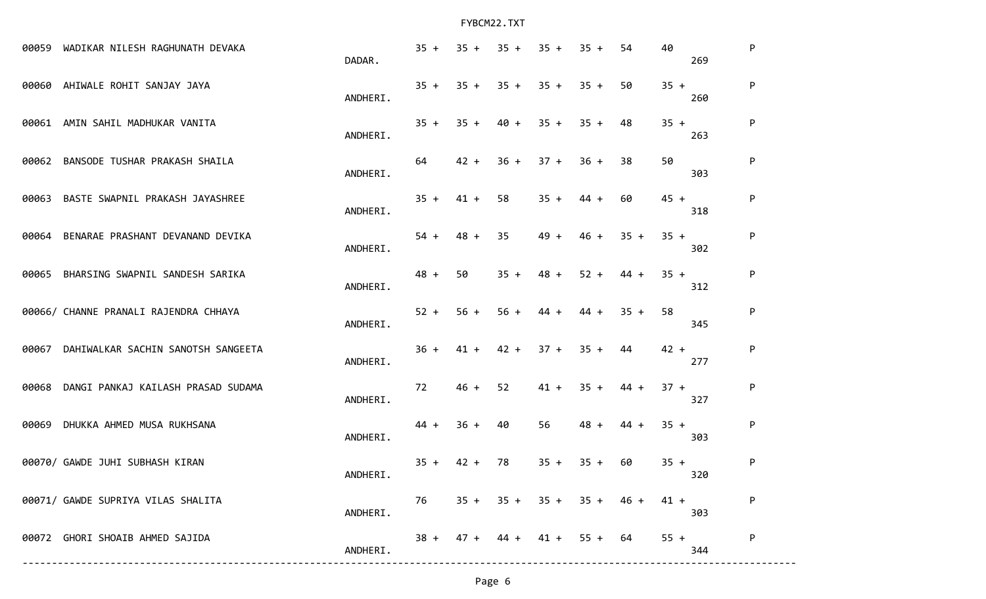| 00059 | WADIKAR NILESH RAGHUNATH DEVAKA        | DADAR.   | $35 +$ | $35 +$      | $35 +$ | $35 +$           | $35 +$              | 54     | 40<br>269     | P            |
|-------|----------------------------------------|----------|--------|-------------|--------|------------------|---------------------|--------|---------------|--------------|
|       | 00060 AHIWALE ROHIT SANJAY JAYA        | ANDHERI. |        | $35 + 35 +$ |        | $35 + 35 + 35 +$ |                     | -50    | $35 +$<br>260 | P            |
| 00061 | AMIN SAHIL MADHUKAR VANITA             | ANDHERI. |        | $35 + 35 +$ | $40 +$ | $35 +$           | $35 +$              | 48     | $35 +$<br>263 | P            |
| 00062 | BANSODE TUSHAR PRAKASH SHAILA          | ANDHERI. | 64     | $42 +$      | $36 +$ | $37 +$           | $36 +$              | 38     | 50<br>303     | $\mathsf{P}$ |
| 00063 | BASTE SWAPNIL PRAKASH JAYASHREE        | ANDHERI. | $35 +$ | $41 +$      | 58     | $35 +$           | $44 +$              | 60     | $45 +$<br>318 | P            |
|       | 00064 BENARAE PRASHANT DEVANAND DEVIKA | ANDHERI. | $54 +$ | $48 +$      | 35     | $49 +$           | $46 +$              | $35 +$ | $35 +$<br>302 | P            |
|       | 00065 BHARSING SWAPNIL SANDESH SARIKA  | ANDHERI. | $48 +$ | 50          | $35 +$ | $48 +$           | $52 +$              | $44 +$ | $35 +$<br>312 | P            |
|       | 00066/ CHANNE PRANALI RAJENDRA CHHAYA  | ANDHERI. | $52 +$ | $56 +$      | $56 +$ | 44 +             | $44 +$              | $35 +$ | 58<br>345     | P            |
| 00067 | DAHIWALKAR SACHIN SANOTSH SANGEETA     | ANDHERI. | $36 +$ | $41 +$      | $42 +$ | $37 +$           | $35 +$              | 44     | $42 +$<br>277 | P            |
| 00068 | DANGI PANKAJ KAILASH PRASAD SUDAMA     | ANDHERI. | 72     | $46 +$      | 52     | $41 +$           | $35 +$              | 44 +   | $37 +$<br>327 | P            |
|       | 00069 DHUKKA AHMED MUSA RUKHSANA       | ANDHERI. | $44 +$ | $36 +$      | 40     | 56               | $48 +$              | $44 +$ | $35 +$<br>303 | P            |
|       | 00070/ GAWDE JUHI SUBHASH KIRAN        | ANDHERI. | $35 +$ | $42 +$      | 78     | $35 +$           | $35 +$              | 60     | $35 +$<br>320 | $\mathsf{P}$ |
|       | 00071/ GAWDE SUPRIYA VILAS SHALITA     | ANDHERI. | 76     | $35 +$      | $35 +$ |                  | $35 + 35 +$         | 46 +   | 41 +<br>303   | P            |
|       | 00072 GHORI SHOAIB AHMED SAJIDA        | ANDHERI. | $38 +$ | $47 +$      |        |                  | $44 + 41 + 55 + 64$ |        | $55 +$<br>344 | $\mathsf{P}$ |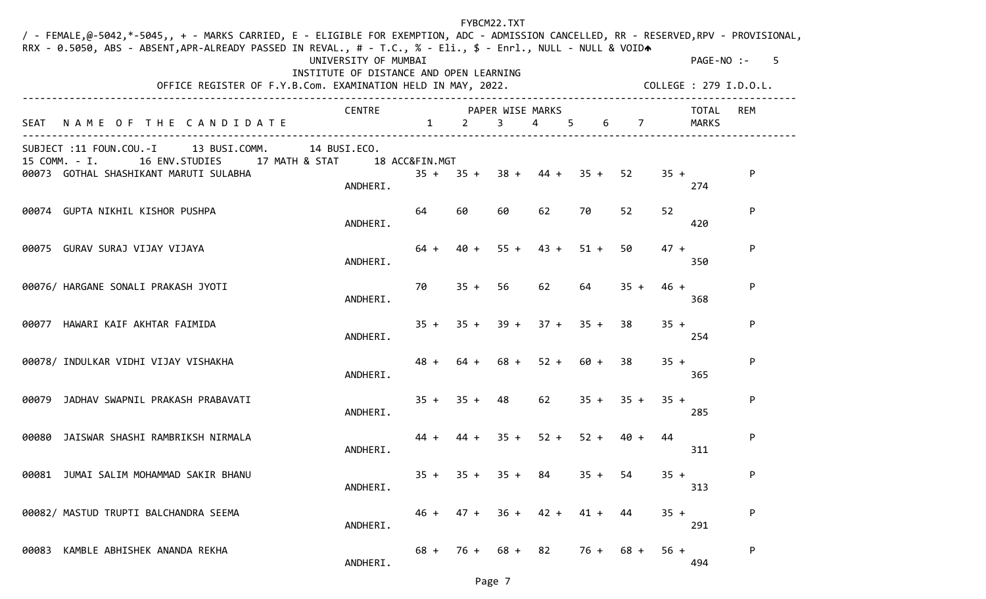|       | / - FEMALE,@-5042,*-5045,, + - MARKS CARRIED, E - ELIGIBLE FOR EXEMPTION, ADC - ADMISSION CANCELLED, RR - RESERVED,RPV - PROVISIONAL,<br>RRX - 0.5050, ABS - ABSENT, APR-ALREADY PASSED IN REVAL., # - T.C., % - Eli., \$ - Enrl., NULL - NULL & VOIDA<br>OFFICE REGISTER OF F.Y.B.Com. EXAMINATION HELD IN MAY, 2022. | UNIVERSITY OF MUMBAI<br>INSTITUTE OF DISTANCE AND OPEN LEARNING |                                  |                     | FYBCM22.TXT |                                      |                |             |        | PAGE-NO :-<br>COLLEGE : 279 I.D.O.L. | -5  |
|-------|------------------------------------------------------------------------------------------------------------------------------------------------------------------------------------------------------------------------------------------------------------------------------------------------------------------------|-----------------------------------------------------------------|----------------------------------|---------------------|-------------|--------------------------------------|----------------|-------------|--------|--------------------------------------|-----|
|       | SEAT NAME OF THE CANDIDATE                                                                                                                                                                                                                                                                                             | <b>CENTRE</b>                                                   | PAPER WISE MARKS<br>$\mathbf{1}$ | $\overline{2}$      | $3^{\circ}$ | $\overline{4}$                       | 5 <sub>1</sub> | 6 7         |        | TOTAL<br>MARKS                       | REM |
|       | SUBJECT :11 FOUN.COU.-I 13 BUSI.COMM.<br>15 COMM. - I. 16 ENV. STUDIES 17 MATH & STAT<br>00073 GOTHAL SHASHIKANT MARUTI SULABHA                                                                                                                                                                                        | 14 BUSI.ECO.<br>18 ACC&FIN.MGT                                  |                                  |                     |             | $35 + 35 + 38 + 44 + 35 +$           |                | 52          | $35 +$ |                                      | P   |
|       |                                                                                                                                                                                                                                                                                                                        | ANDHERI.                                                        |                                  |                     |             |                                      |                |             |        | 274                                  |     |
|       | 00074 GUPTA NIKHIL KISHOR PUSHPA                                                                                                                                                                                                                                                                                       | ANDHERI.                                                        | 64                               | 60                  | 60          | 62                                   | 70             | 52          | 52     | 420                                  | P   |
|       | 00075 GURAV SURAJ VIJAY VIJAYA                                                                                                                                                                                                                                                                                         | ANDHERI.                                                        | $64 +$                           | 40 +                |             | $55 + 43 +$                          | $51 +$         | 50          | $47 +$ | 350                                  | P   |
|       | 00076/ HARGANE SONALI PRAKASH JYOTI                                                                                                                                                                                                                                                                                    | ANDHERI.                                                        | 70                               | $35 + 56$           |             | 62                                   | 64             | $35 +$      | $46 +$ | 368                                  | P   |
|       | 00077 HAWARI KAIF AKHTAR FAIMIDA                                                                                                                                                                                                                                                                                       | ANDHERI.                                                        |                                  |                     |             | $35 + 35 + 39 + 37 + 35 +$           |                | -38         | $35 +$ | 254                                  | P   |
|       | 00078/ INDULKAR VIDHI VIJAY VISHAKHA                                                                                                                                                                                                                                                                                   | ANDHERI.                                                        | $48 +$                           | $64 +$              |             | $68 + 52 + 60 + 38$                  |                |             | $35 +$ | 365                                  | P   |
| 00079 | JADHAV SWAPNIL PRAKASH PRABAVATI                                                                                                                                                                                                                                                                                       | ANDHERI.                                                        |                                  | $35 + 35 + 48$      |             | 62                                   |                | $35 + 35 +$ | $35 +$ | 285                                  | P   |
| 00080 | JAISWAR SHASHI RAMBRIKSH NIRMALA                                                                                                                                                                                                                                                                                       | ANDHERI.                                                        | 44 +                             | 44 +                |             | $35 + 52 +$                          | $52 + 40 +$    |             | 44     | 311                                  | P   |
|       | 00081 JUMAI SALIM MOHAMMAD SAKIR BHANU                                                                                                                                                                                                                                                                                 | ANDHERI.                                                        |                                  | $35 + 35 + 35 + 84$ |             |                                      | $35 + 54$      |             | $35 +$ | 313                                  | P   |
|       | 00082/ MASTUD TRUPTI BALCHANDRA SEEMA                                                                                                                                                                                                                                                                                  | ANDHERI.                                                        | 46 +                             | $47 +$              | $36 +$      | $42 +$                               | 41 +           | 44          | $35 +$ | 291                                  | P   |
| 00083 | KAMBLE ABHISHEK ANANDA REKHA                                                                                                                                                                                                                                                                                           | ANDHERI.                                                        |                                  |                     |             | $68 + 76 + 68 + 82$ $76 + 68 + 56 +$ |                |             |        | 494                                  | P   |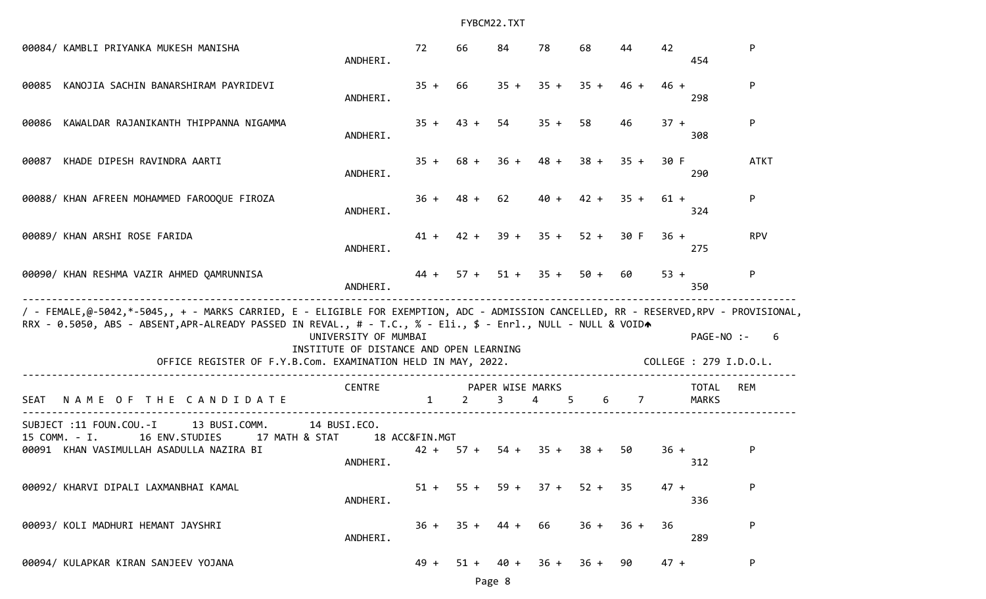| 00084/ KAMBLI PRIYANKA MUKESH MANISHA                                                                                                                                                                                                                                                                                  | ANDHERI.                                                        | 72                       | 66             | 84                    | 78                    | 68     | 44              | 42     | 454                                       |
|------------------------------------------------------------------------------------------------------------------------------------------------------------------------------------------------------------------------------------------------------------------------------------------------------------------------|-----------------------------------------------------------------|--------------------------|----------------|-----------------------|-----------------------|--------|-----------------|--------|-------------------------------------------|
| 00085 KANOJIA SACHIN BANARSHIRAM PAYRIDEVI                                                                                                                                                                                                                                                                             | ANDHERI.                                                        | $35 +$                   | 66             | $35 +$                | $35 +$                | $35 +$ | $46 +$          | $46 +$ | P<br>298                                  |
| KAWALDAR RAJANIKANTH THIPPANNA NIGAMMA<br>00086                                                                                                                                                                                                                                                                        | ANDHERI.                                                        |                          | $35 + 43 + 54$ |                       | $35 +$                | 58     | 46              | $37 +$ | P<br>308                                  |
| KHADE DIPESH RAVINDRA AARTI<br>00087                                                                                                                                                                                                                                                                                   | ANDHERI.                                                        | $35 +$                   | 68 +           | $36 +$                | 48 +                  | $38 +$ | $35 +$          | 30 F   | <b>ATKT</b><br>290                        |
| 00088/ KHAN AFREEN MOHAMMED FAROOQUE FIROZA                                                                                                                                                                                                                                                                            | ANDHERI.                                                        | $36 +$                   | $48 +$         | 62                    | $40 +$                | $42 +$ | $35 +$          | $61 +$ | P<br>324                                  |
| 00089/ KHAN ARSHI ROSE FARIDA                                                                                                                                                                                                                                                                                          | ANDHERI.                                                        |                          |                |                       | $41 + 42 + 39 + 35 +$ | $52 +$ | 30 F            | $36 +$ | <b>RPV</b><br>275                         |
| 00090/ KHAN RESHMA VAZIR AHMED QAMRUNNISA                                                                                                                                                                                                                                                                              | ANDHERI.                                                        | $44 +$                   |                |                       | $57 + 51 + 35 +$      | $50 +$ | 60              | $53 +$ | P<br>350                                  |
| / - FEMALE,@-5042,*-5045,, + - MARKS CARRIED, E - ELIGIBLE FOR EXEMPTION, ADC - ADMISSION CANCELLED, RR - RESERVED,RPV - PROVISIONAL,<br>RRX - 0.5050, ABS - ABSENT, APR-ALREADY PASSED IN REVAL., # - T.C., % - Eli., \$ - Enrl., NULL - NULL & VOIDA<br>OFFICE REGISTER OF F.Y.B.Com. EXAMINATION HELD IN MAY, 2022. | UNIVERSITY OF MUMBAI<br>INSTITUTE OF DISTANCE AND OPEN LEARNING |                          |                |                       |                       |        |                 |        | PAGE-NO :-<br>6<br>COLLEGE : 279 I.D.O.L. |
| NAME OF THE CANDIDATE<br>SEAT                                                                                                                                                                                                                                                                                          | <b>CENTRE</b>                                                   | $\mathbf{1}$             | 2              | PAPER WISE MARKS<br>3 | 4                     | 6<br>5 | $7\overline{ }$ |        | TOTAL<br>REM<br><b>MARKS</b>              |
| SUBJECT :11 FOUN.COU.-I<br>13 BUSI.COMM.<br>15 COMM. - I.<br>16 ENV.STUDIES<br>17 MATH & STAT<br>00091 KHAN VASIMULLAH ASADULLA NAZIRA BI                                                                                                                                                                              | 14 BUSI.ECO.<br>ANDHERI.                                        | 18 ACC&FIN.MGT<br>$42 +$ | $57 +$         | $54 +$                | $35 +$                | $38 +$ | 50              | $36 +$ | P<br>312                                  |
| 00092/ KHARVI DIPALI LAXMANBHAI KAMAL                                                                                                                                                                                                                                                                                  | ANDHERI.                                                        | $51 +$                   | $55 +$         | $59 +$                | $37 +$                | $52 +$ | 35              | $47 +$ | P<br>336                                  |
| 00093/ KOLI MADHURI HEMANT JAYSHRI                                                                                                                                                                                                                                                                                     | ANDHERI.                                                        | $36 +$                   | $35 +$         | 44 +                  | 66                    | $36 +$ | $36 +$          | 36     | P<br>289                                  |
| 00094/ KULAPKAR KIRAN SANJEEV YOJANA                                                                                                                                                                                                                                                                                   |                                                                 | $49 +$                   | $51 +$         | $40 +$                | $36 +$                | $36 +$ | 90              | $47 +$ | P                                         |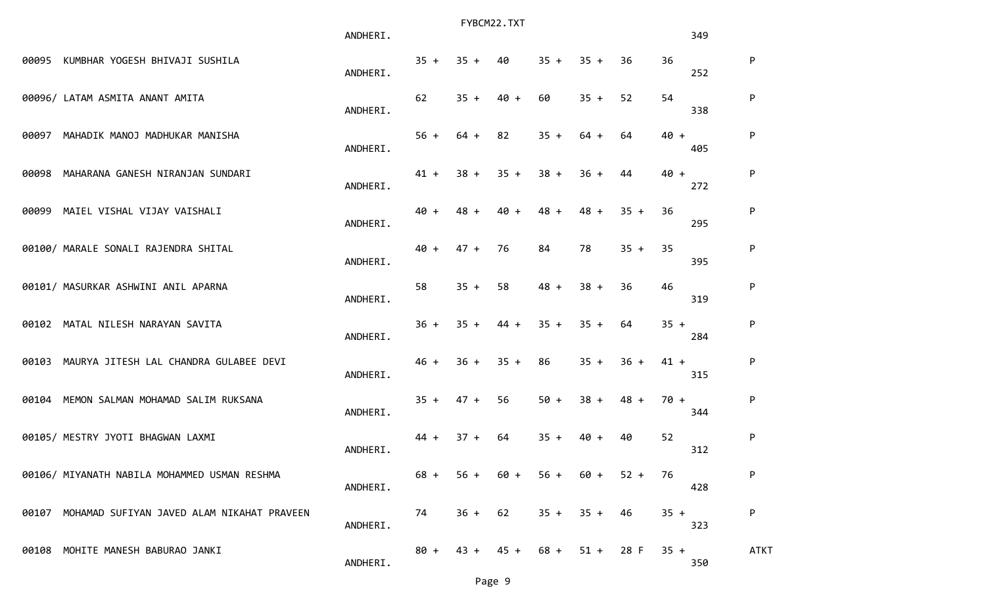|       |                                                  | ANDHERI. |        |        | FYBCM22.TXT |        |        |        |        | 349 |             |
|-------|--------------------------------------------------|----------|--------|--------|-------------|--------|--------|--------|--------|-----|-------------|
|       | 00095 KUMBHAR YOGESH BHIVAJI SUSHILA             | ANDHERI. | $35 +$ | $35 +$ | 40          | $35 +$ | $35 +$ | 36     | 36     | 252 | P           |
|       | 00096/ LATAM ASMITA ANANT AMITA                  | ANDHERI. | 62     | $35 +$ | $40 +$      | 60     | $35 +$ | 52     | 54     | 338 | P           |
|       | 00097 MAHADIK MANOJ MADHUKAR MANISHA             | ANDHERI. | $56 +$ | $64 +$ | 82          | $35 +$ | $64 +$ | 64     | $40 +$ | 405 | P           |
| 00098 | MAHARANA GANESH NIRANJAN SUNDARI                 | ANDHERI. | $41 +$ | $38 +$ | $35 +$      | $38 +$ | $36 +$ | 44     | $40 +$ | 272 | P           |
| 00099 | MAIEL VISHAL VIJAY VAISHALI                      | ANDHERI. | $40 +$ | $48 +$ | $40 +$      | $48 +$ | $48 +$ | $35 +$ | 36     | 295 | P           |
|       | 00100/ MARALE SONALI RAJENDRA SHITAL             | ANDHERI. | $40 +$ | $47 +$ | 76          | 84     | 78     | $35 +$ | 35     | 395 | P           |
|       | 00101/ MASURKAR ASHWINI ANIL APARNA              | ANDHERI. | 58     | $35 +$ | 58          | $48 +$ | $38 +$ | 36     | 46     | 319 | ${\sf P}$   |
|       | 00102 MATAL NILESH NARAYAN SAVITA                | ANDHERI. | $36 +$ | $35 +$ | $44 +$      | $35 +$ | $35 +$ | 64     | $35 +$ | 284 | P           |
|       | 00103 MAURYA JITESH LAL CHANDRA GULABEE DEVI     | ANDHERI. | $46 +$ | $36 +$ | $35 +$      | 86     | $35 +$ | $36 +$ | $41 +$ | 315 | P           |
|       | 00104 MEMON SALMAN MOHAMAD SALIM RUKSANA         | ANDHERI. | $35 +$ | $47 +$ | 56          | $50 +$ | $38 +$ | $48 +$ | $70 +$ | 344 | P           |
|       | 00105/ MESTRY JYOTI BHAGWAN LAXMI                | ANDHERI. | $44 +$ | $37 +$ | 64          | $35 +$ | 40 +   | 40     | 52     | 312 | P           |
|       | 00106/ MIYANATH NABILA MOHAMMED USMAN RESHMA     | ANDHERI. | $68 +$ | $56 +$ | 60 +        | $56 +$ | 60 +   | $52 +$ | 76     | 428 | P           |
|       | 00107 MOHAMAD SUFIYAN JAVED ALAM NIKAHAT PRAVEEN | ANDHERI. | 74     | $36 +$ | 62          | $35 +$ | $35 +$ | 46     | $35 +$ | 323 | P           |
|       | 00108 MOHITE MANESH BABURAO JANKI                | ANDHERI. | $80 +$ | 43 +   | $45 +$      | $68 +$ | $51 +$ | 28 F   | $35 +$ | 350 | <b>ATKT</b> |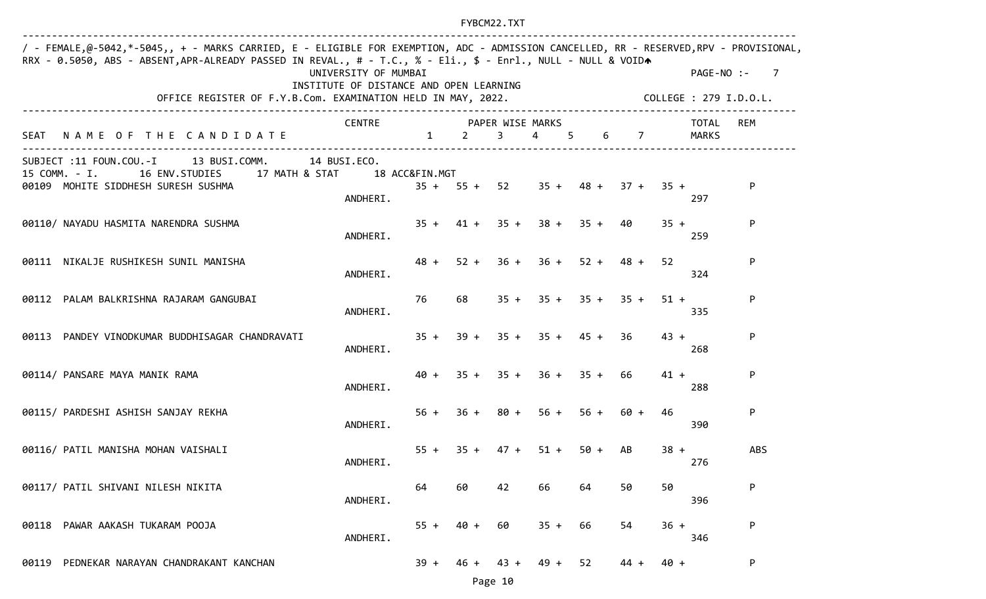| / - FEMALE,@-5042,*-5045,, + - MARKS CARRIED, E - ELIGIBLE FOR EXEMPTION, ADC - ADMISSION CANCELLED, RR - RESERVED,RPV - PROVISIONAL,<br>RRX - 0.5050, ABS - ABSENT, APR-ALREADY PASSED IN REVAL., # - T.C., % - Eli., \$ - Enrl., NULL - NULL & VOIDA | UNIVERSITY OF MUMBAI<br>INSTITUTE OF DISTANCE AND OPEN LEARNING |        |         |             |        |                               |             | PAGE-NO :-                           | $\overline{7}$ |
|--------------------------------------------------------------------------------------------------------------------------------------------------------------------------------------------------------------------------------------------------------|-----------------------------------------------------------------|--------|---------|-------------|--------|-------------------------------|-------------|--------------------------------------|----------------|
| OFFICE REGISTER OF F.Y.B.Com. EXAMINATION HELD IN MAY, 2022.                                                                                                                                                                                           |                                                                 |        |         |             |        |                               |             | COLLEGE : 279 I.D.O.L.               |                |
| SEAT NAME OF THE CANDIDATE                                                                                                                                                                                                                             | CENTRE PAPER WISE MARKS                                         |        | $1 \t2$ | $3^{\circ}$ | 4 5    |                               | $6\qquad 7$ | TOTAL<br>MARKS                       | REM            |
| SUBJECT :11 FOUN.COU.-I 13 BUSI.COMM.                                                                                                                                                                                                                  | 14 BUSI.ECO.                                                    |        |         |             |        |                               |             |                                      |                |
| 15 COMM. - I.<br>16 ENV. STUDIES 17 MATH & STAT<br>00109 MOHITE SIDDHESH SURESH SUSHMA                                                                                                                                                                 | 18 ACC&FIN.MGT                                                  |        |         |             |        |                               |             | $35 + 55 + 52$ $35 + 48 + 37 + 35 +$ | P.             |
|                                                                                                                                                                                                                                                        | ANDHERI.                                                        |        |         |             |        |                               |             | 297                                  |                |
| 00110/ NAYADU HASMITA NARENDRA SUSHMA                                                                                                                                                                                                                  |                                                                 |        |         |             |        | $35 + 41 + 35 + 38 + 35 + 40$ |             | $35 +$                               | P              |
|                                                                                                                                                                                                                                                        | ANDHERI.                                                        |        |         |             |        |                               |             | 259                                  |                |
| 00111 NIKALJE RUSHIKESH SUNIL MANISHA                                                                                                                                                                                                                  |                                                                 | $48 +$ |         |             |        | $52 + 36 + 36 + 52 + 48 +$    |             | 52                                   | P              |
|                                                                                                                                                                                                                                                        | ANDHERI.                                                        |        |         |             |        |                               |             | 324                                  |                |
| 00112 PALAM BALKRISHNA RAJARAM GANGUBAI                                                                                                                                                                                                                |                                                                 | 76     | 68      |             |        | $35 + 35 + 35 + 35 +$         |             | $51 +$                               | P              |
|                                                                                                                                                                                                                                                        | ANDHERI.                                                        |        |         |             |        |                               |             | 335                                  |                |
| PANDEY VINODKUMAR BUDDHISAGAR CHANDRAVATI<br>00113                                                                                                                                                                                                     |                                                                 |        |         |             |        | $35 + 39 + 35 + 35 + 45 + 36$ |             | $43 +$                               | P              |
|                                                                                                                                                                                                                                                        | ANDHERI.                                                        |        |         |             |        |                               |             | 268                                  |                |
| 00114/ PANSARE MAYA MANIK RAMA                                                                                                                                                                                                                         |                                                                 |        |         |             |        | $40 + 35 + 35 + 36 + 35 + 66$ |             | $41 +$                               | P              |
|                                                                                                                                                                                                                                                        | ANDHERI.                                                        |        |         |             |        |                               |             | 288                                  |                |
| 00115/ PARDESHI ASHISH SANJAY REKHA                                                                                                                                                                                                                    |                                                                 | $56 +$ |         | $36 + 80 +$ | $56 +$ |                               | $56 + 60 +$ | 46<br>390                            | P              |
|                                                                                                                                                                                                                                                        | ANDHERI.                                                        |        |         |             |        |                               |             |                                      |                |
| 00116/ PATIL MANISHA MOHAN VAISHALI                                                                                                                                                                                                                    | ANDHERI.                                                        | $55 +$ | $35 +$  | $47 +$      | $51 +$ | $50 +$                        | AB          | $38 +$<br>276                        | <b>ABS</b>     |
|                                                                                                                                                                                                                                                        |                                                                 |        |         |             |        |                               |             |                                      |                |
| 00117/ PATIL SHIVANI NILESH NIKITA                                                                                                                                                                                                                     | ANDHERI.                                                        | 64     | 60      | 42          | 66     | 64                            | 50          | 50<br>396                            | P              |
|                                                                                                                                                                                                                                                        |                                                                 |        |         |             |        |                               |             |                                      |                |
| PAWAR AAKASH TUKARAM POOJA<br>00118                                                                                                                                                                                                                    | ANDHERI.                                                        | $55 +$ | $40 +$  | 60          | $35 +$ | 66                            | 54          | $36 +$<br>346                        | P              |
|                                                                                                                                                                                                                                                        |                                                                 |        |         |             |        |                               |             |                                      |                |
| PEDNEKAR NARAYAN CHANDRAKANT KANCHAN<br>00119                                                                                                                                                                                                          |                                                                 | $39 +$ | $46 +$  | $43 +$      | $49 +$ | 52                            | 44 +        | $40 +$                               | P.             |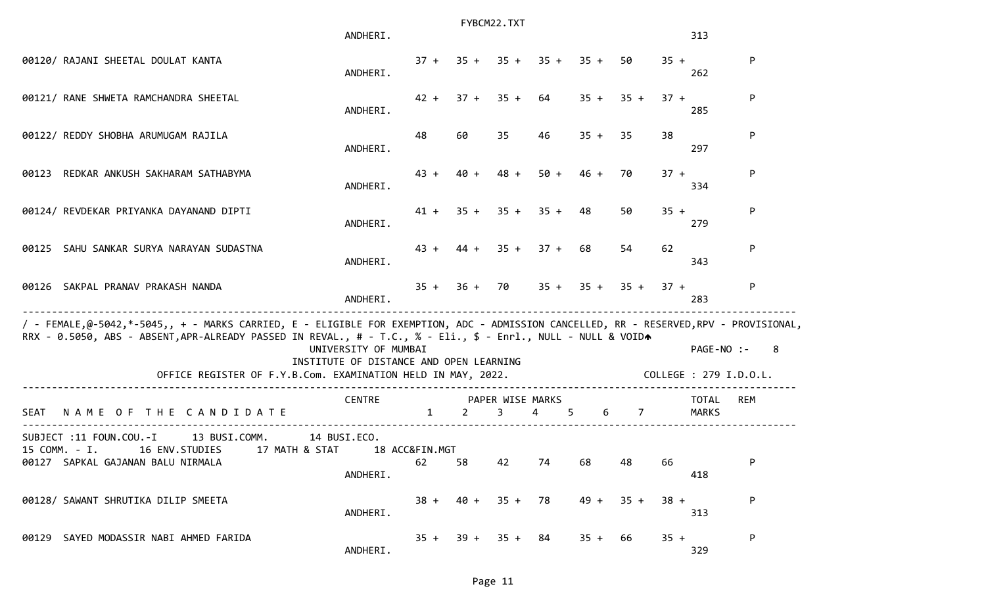|      |                                                                                                                                                                                                                                                                                                                        | ANDHERI.                                                        |                      |                | FYBCM22.TXT           |                       |        |                  |        | 313                                  |     |
|------|------------------------------------------------------------------------------------------------------------------------------------------------------------------------------------------------------------------------------------------------------------------------------------------------------------------------|-----------------------------------------------------------------|----------------------|----------------|-----------------------|-----------------------|--------|------------------|--------|--------------------------------------|-----|
|      | 00120/ RAJANI SHEETAL DOULAT KANTA                                                                                                                                                                                                                                                                                     | ANDHERI.                                                        | $37 +$               |                |                       | $35 + 35 + 35 + 35 +$ |        | 50               | $35 +$ | 262                                  | P   |
|      | 00121/ RANE SHWETA RAMCHANDRA SHEETAL                                                                                                                                                                                                                                                                                  | ANDHERI.                                                        | $42 +$               | $37 + 35 +$    |                       | 64                    | $35 +$ | $35 +$           | $37 +$ | 285                                  | P   |
|      | 00122/ REDDY SHOBHA ARUMUGAM RAJILA                                                                                                                                                                                                                                                                                    | ANDHERI.                                                        | 48                   | 60             | 35                    | 46                    | $35 +$ | 35               | 38     | 297                                  | P   |
|      | 00123 REDKAR ANKUSH SAKHARAM SATHABYMA                                                                                                                                                                                                                                                                                 | ANDHERI.                                                        | $43 +$               | $40 +$         | $48 +$                | $50 +$                | $46 +$ | 70               | $37 +$ | 334                                  | P   |
|      | 00124/ REVDEKAR PRIYANKA DAYANAND DIPTI                                                                                                                                                                                                                                                                                | ANDHERI.                                                        | $41 +$               |                | $35 + 35 +$           | $35 +$                | 48     | 50               | $35 +$ | 279                                  | P   |
|      | 00125 SAHU SANKAR SURYA NARAYAN SUDASTNA                                                                                                                                                                                                                                                                               | ANDHERI.                                                        | $43 +$               |                | $44 + 35 +$           | $37 +$                | 68     | 54               | 62     | 343                                  | P   |
|      | 00126 SAKPAL PRANAV PRAKASH NANDA                                                                                                                                                                                                                                                                                      | ANDHERI.                                                        |                      | $35 + 36 + 70$ |                       |                       |        | $35 + 35 + 35 +$ | $37 +$ | 283                                  | P   |
|      | / - FEMALE,@-5042,*-5045,, + - MARKS CARRIED, E - ELIGIBLE FOR EXEMPTION, ADC - ADMISSION CANCELLED, RR - RESERVED,RPV - PROVISIONAL,<br>RRX - 0.5050, ABS - ABSENT, APR-ALREADY PASSED IN REVAL., # - T.C., % - Eli., \$ - Enrl., NULL - NULL & VOIDA<br>OFFICE REGISTER OF F.Y.B.Com. EXAMINATION HELD IN MAY, 2022. | UNIVERSITY OF MUMBAI<br>INSTITUTE OF DISTANCE AND OPEN LEARNING |                      |                |                       |                       |        |                  |        | PAGE-NO :-<br>COLLEGE : 279 I.D.O.L. | -8  |
| SEAT | NAME OF THE CANDIDATE                                                                                                                                                                                                                                                                                                  | <b>CENTRE</b>                                                   | $\mathbf{1}$         | 2              | PAPER WISE MARKS<br>3 | $\overline{4}$<br>5   |        | 6 7              |        | <b>TOTAL</b><br><b>MARKS</b>         | REM |
|      | SUBJECT :11 FOUN.COU.-I<br>13 BUSI.COMM.<br>16 ENV.STUDIES 17 MATH & STAT<br>15 COMM. - I.<br>00127 SAPKAL GAJANAN BALU NIRMALA                                                                                                                                                                                        | 14 BUSI.ECO.<br>ANDHERI.                                        | 18 ACC&FIN.MGT<br>62 | 58             | 42                    | 74                    | 68     | 48               | 66     | 418                                  | P   |
|      | 00128/ SAWANT SHRUTIKA DILIP SMEETA                                                                                                                                                                                                                                                                                    | ANDHERI.                                                        | $38 +$               | $40 +$         | $35 +$                | 78                    | $49 +$ | $35 +$           | $38 +$ | 313                                  | P   |
|      | 00129 SAYED MODASSIR NABI AHMED FARIDA                                                                                                                                                                                                                                                                                 | ANDHERI.                                                        | $35 +$               |                | $39 + 35 + 84$        |                       | $35 +$ | 66               | $35 +$ | 329                                  | P   |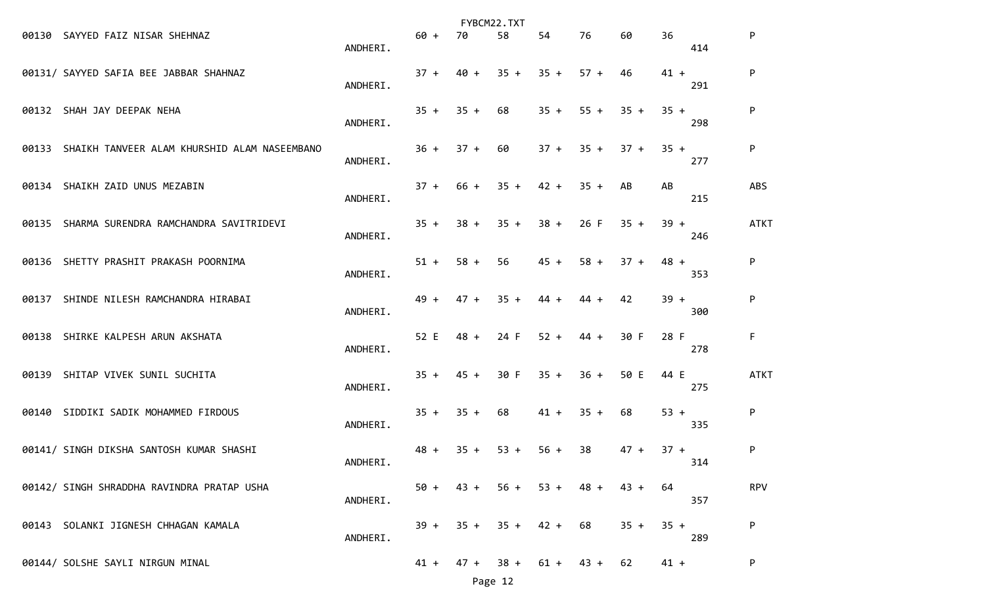|                                                    |          |        |        | FYBCM22.TXT |        |             |        |        |     |             |
|----------------------------------------------------|----------|--------|--------|-------------|--------|-------------|--------|--------|-----|-------------|
| 00130 SAYYED FAIZ NISAR SHEHNAZ                    | ANDHERI. | $60 +$ | 70     | 58          | 54     | 76          | 60     | 36     | 414 | P           |
| 00131/ SAYYED SAFIA BEE JABBAR SHAHNAZ             | ANDHERI. | $37 +$ | $40 +$ | $35 +$      | $35 +$ | $57 +$      | 46     | $41 +$ | 291 | P           |
| 00132 SHAH JAY DEEPAK NEHA                         | ANDHERI. | $35 +$ | $35 +$ | 68          | $35 +$ | $55 +$      | $35 +$ | $35 +$ | 298 | P           |
| 00133 SHAIKH TANVEER ALAM KHURSHID ALAM NASEEMBANO | ANDHERI. | $36 +$ | $37 +$ | 60          |        | $37 + 35 +$ | $37 +$ | $35 +$ | 277 | P           |
| 00134 SHAIKH ZAID UNUS MEZABIN                     | ANDHERI. | $37 +$ | 66 +   | $35 +$      | $42 +$ | $35 +$      | AB     | AB     | 215 | <b>ABS</b>  |
| 00135 SHARMA SURENDRA RAMCHANDRA SAVITRIDEVI       | ANDHERI. | $35 +$ | 38 +   | $35 +$      | $38 +$ | 26 F        | $35 +$ | $39 +$ | 246 | <b>ATKT</b> |
| 00136 SHETTY PRASHIT PRAKASH POORNIMA              | ANDHERI. | $51 +$ | $58 +$ | 56          | $45 +$ | $58 +$      | $37 +$ | $48 +$ | 353 | P           |
| 00137 SHINDE NILESH RAMCHANDRA HIRABAI             | ANDHERI. | $49 +$ | $47 +$ | $35 +$      | 44 +   | 44 +        | 42     | $39 +$ | 300 | P           |
| 00138 SHIRKE KALPESH ARUN AKSHATA                  | ANDHERI. | 52 E   | $48 +$ | 24 F        | $52 +$ | $44 +$      | 30 F   | 28 F   | 278 | F           |
| 00139 SHITAP VIVEK SUNIL SUCHITA                   | ANDHERI. | $35 +$ | $45 +$ | 30 F        | $35 +$ | $36 +$      | 50 E   | 44 E   | 275 | <b>ATKT</b> |
| 00140 SIDDIKI SADIK MOHAMMED FIRDOUS               | ANDHERI. | $35 +$ | $35 +$ | 68          | $41 +$ | $35 +$      | 68     | $53 +$ | 335 | P           |
| 00141/ SINGH DIKSHA SANTOSH KUMAR SHASHI           | ANDHERI. | $48 +$ | $35 +$ | $53 +$      | $56 +$ | 38          | $47 +$ | $37 +$ | 314 | P           |
| 00142/ SINGH SHRADDHA RAVINDRA PRATAP USHA         | ANDHERI. | $50 +$ | $43 +$ | $56 +$      | $53 +$ | $48 +$      | $43 +$ | 64     | 357 | <b>RPV</b>  |
| 00143 SOLANKI JIGNESH CHHAGAN KAMALA               | ANDHERI. | 39 +   | $35 +$ | $35 +$      | $42 +$ | 68          | $35 +$ | $35 +$ | 289 | P           |
| 00144/ SOLSHE SAYLI NIRGUN MINAL                   |          | $41 +$ | 47 +   | $38 +$      | $61 +$ | $43 +$      | 62     | $41 +$ |     | P           |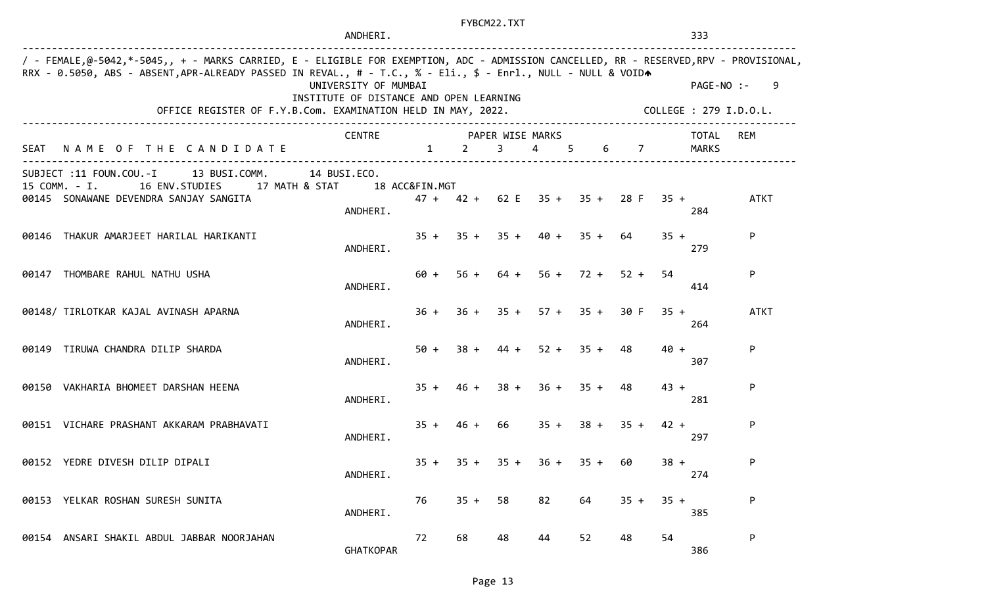|                                                                                                                                                                                                                                                                                                                                                                                                                     |                                                                                                                                 | ANDHERI.                 |                        | FYBCM22.TXT |        |                                          |                       |        |        | 333            |             |
|---------------------------------------------------------------------------------------------------------------------------------------------------------------------------------------------------------------------------------------------------------------------------------------------------------------------------------------------------------------------------------------------------------------------|---------------------------------------------------------------------------------------------------------------------------------|--------------------------|------------------------|-------------|--------|------------------------------------------|-----------------------|--------|--------|----------------|-------------|
| / - FEMALE,@-5042,*-5045,, + - MARKS CARRIED, E - ELIGIBLE FOR EXEMPTION, ADC - ADMISSION CANCELLED, RR - RESERVED,RPV - PROVISIONAL,<br>RRX - 0.5050, ABS - ABSENT, APR-ALREADY PASSED IN REVAL., # - T.C., % - Eli., \$ - Enrl., NULL - NULL & VOIDA<br>UNIVERSITY OF MUMBAI<br>INSTITUTE OF DISTANCE AND OPEN LEARNING<br>OFFICE REGISTER OF F.Y.B.Com. EXAMINATION HELD IN MAY, 2022.<br>COLLEGE : 279 I.D.O.L. |                                                                                                                                 |                          |                        |             |        |                                          |                       |        |        | $PAGE-NO$ :-   | 9           |
|                                                                                                                                                                                                                                                                                                                                                                                                                     | SEAT NAME OF THE CANDIDATE                                                                                                      | <b>CENTRE</b>            | $1 \quad \blacksquare$ | $2 \t 3$    |        | PAPER WISE MARKS<br>4 5                  |                       | 6 7    |        | TOTAL<br>MARKS | REM         |
|                                                                                                                                                                                                                                                                                                                                                                                                                     | SUBJECT :11 FOUN.COU.-I 13 BUSI.COMM.<br>15 COMM. - I. 16 ENV. STUDIES 17 MATH & STAT<br>00145 SONAWANE DEVENDRA SANJAY SANGITA | 14 BUSI.ECO.<br>ANDHERI. | 18 ACC&FIN.MGT         |             |        | $47 + 42 + 62$ E $35 + 35 + 28$ F $35 +$ |                       |        |        | 284            | <b>ATKT</b> |
|                                                                                                                                                                                                                                                                                                                                                                                                                     | 00146 THAKUR AMARJEET HARILAL HARIKANTI                                                                                         | ANDHERI.                 |                        |             |        | $35 + 35 + 35 + 40 + 35 + 64$            |                       |        | $35 +$ | 279            | P           |
|                                                                                                                                                                                                                                                                                                                                                                                                                     | 00147 THOMBARE RAHUL NATHU USHA                                                                                                 | ANDHERI.                 | 60 +                   |             |        | $56 + 64 + 56 + 72 + 52 +$               |                       |        | 54     | 414            | P           |
|                                                                                                                                                                                                                                                                                                                                                                                                                     | 00148/ TIRLOTKAR KAJAL AVINASH APARNA                                                                                           | ANDHERI.                 | $36 +$                 |             |        | $36 + 35 + 57 + 35 + 30$ F               |                       |        | $35 +$ | 264            | <b>ATKT</b> |
|                                                                                                                                                                                                                                                                                                                                                                                                                     | 00149 TIRUWA CHANDRA DILIP SHARDA                                                                                               | ANDHERI.                 | $50 +$                 |             |        | $38 + 44 + 52 + 35 +$                    |                       | 48     | $40 +$ | 307            | P           |
|                                                                                                                                                                                                                                                                                                                                                                                                                     | 00150 VAKHARIA BHOMEET DARSHAN HEENA                                                                                            | ANDHERI.                 | $35 +$                 |             |        | $46 + 38 + 36 + 35 + 48$                 |                       |        | $43 +$ | 281            | P           |
|                                                                                                                                                                                                                                                                                                                                                                                                                     | 00151 VICHARE PRASHANT AKKARAM PRABHAVATI                                                                                       | ANDHERI.                 | $35 +$                 | 46 + 66     |        |                                          | $35 + 38 + 35 + 42 +$ |        |        | 297            | P           |
|                                                                                                                                                                                                                                                                                                                                                                                                                     | 00152 YEDRE DIVESH DILIP DIPALI                                                                                                 | ANDHERI.                 | $35 +$                 | $35 +$      | $35 +$ | $36 +$                                   | $35 +$                | 60     | $38 +$ | 274            | P           |
|                                                                                                                                                                                                                                                                                                                                                                                                                     | 00153 YELKAR ROSHAN SURESH SUNITA                                                                                               | ANDHERI.                 | 76                     | $35 +$      | 58     | 82                                       | 64                    | $35 +$ | $35 +$ | 385            | P           |
|                                                                                                                                                                                                                                                                                                                                                                                                                     | 00154 ANSARI SHAKIL ABDUL JABBAR NOORJAHAN                                                                                      | <b>GHATKOPAR</b>         | 72                     | 68          | 48     | 44                                       | 52                    | 48     | 54     | 386            | ${\sf P}$   |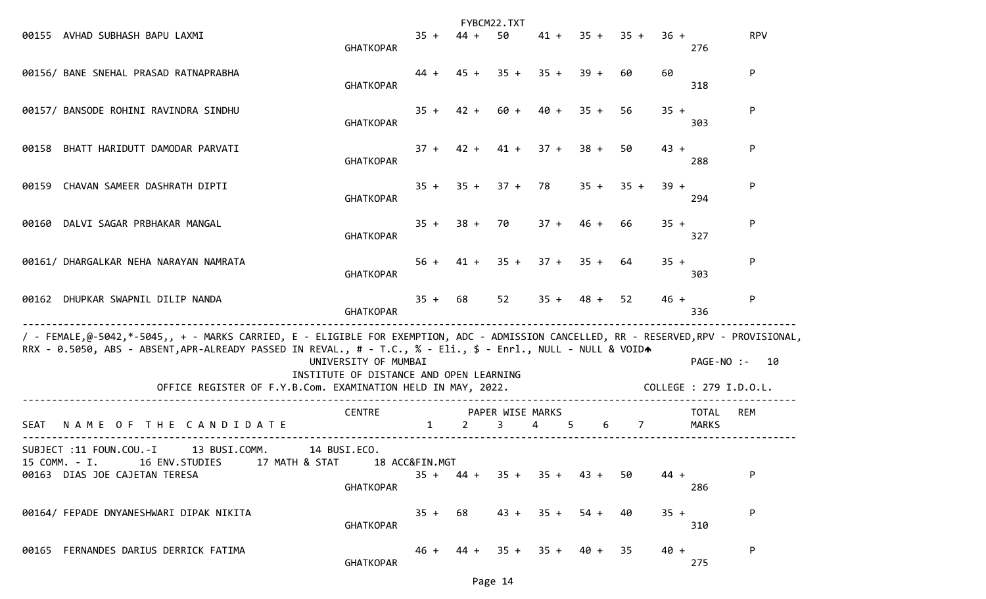|                                                                                                                                                                                                                                                        |                                                                 |                |                 | FYBCM22.TXT                        |                            |                |                                  |        |                        |               |
|--------------------------------------------------------------------------------------------------------------------------------------------------------------------------------------------------------------------------------------------------------|-----------------------------------------------------------------|----------------|-----------------|------------------------------------|----------------------------|----------------|----------------------------------|--------|------------------------|---------------|
| 00155 AVHAD SUBHASH BAPU LAXMI                                                                                                                                                                                                                         | <b>GHATKOPAR</b>                                                | $35 +$         | $44 +$          | 50                                 |                            |                | $41 + 35 + 35 +$                 | $36 +$ | 276                    | <b>RPV</b>    |
| 00156/ BANE SNEHAL PRASAD RATNAPRABHA                                                                                                                                                                                                                  | <b>GHATKOPAR</b>                                                |                |                 |                                    | $44 + 45 + 35 + 35 + 39 +$ |                | 60                               | 60     | 318                    | P             |
| 00157/ BANSODE ROHINI RAVINDRA SINDHU                                                                                                                                                                                                                  | <b>GHATKOPAR</b>                                                |                |                 |                                    | $35 + 42 + 60 + 40 +$      | $35 +$         | 56                               | $35 +$ | 303                    | P             |
| 00158 BHATT HARIDUTT DAMODAR PARVATI                                                                                                                                                                                                                   | <b>GHATKOPAR</b>                                                |                |                 |                                    | $37 + 42 + 41 + 37 + 38 +$ |                | 50                               | $43 +$ | 288                    | P             |
| 00159 CHAVAN SAMEER DASHRATH DIPTI                                                                                                                                                                                                                     | <b>GHATKOPAR</b>                                                | $35 +$         |                 |                                    | $35 + 37 + 78$             |                | $35 + 35 +$                      | $39 +$ | 294                    | P             |
| DALVI SAGAR PRBHAKAR MANGAL<br>00160                                                                                                                                                                                                                   | <b>GHATKOPAR</b>                                                | $35 +$         |                 | 38 + 70                            | $37 +$                     | $46 +$         | 66                               | $35 +$ | 327                    | P             |
| 00161/ DHARGALKAR NEHA NARAYAN NAMRATA                                                                                                                                                                                                                 | <b>GHATKOPAR</b>                                                |                |                 |                                    | $56 + 41 + 35 + 37 + 35 +$ |                | 64                               | $35 +$ | 303                    | P             |
| 00162 DHUPKAR SWAPNIL DILIP NANDA                                                                                                                                                                                                                      | <b>GHATKOPAR</b>                                                |                | $35 + 68$       | 52                                 |                            | $35 + 48 + 52$ |                                  | $46 +$ | 336                    | P             |
| / - FEMALE,@-5042,*-5045,, + - MARKS CARRIED, E - ELIGIBLE FOR EXEMPTION, ADC - ADMISSION CANCELLED, RR - RESERVED,RPV - PROVISIONAL,<br>RRX - 0.5050, ABS - ABSENT, APR-ALREADY PASSED IN REVAL., # - T.C., % - Eli., \$ - Enrl., NULL - NULL & VOIDA | UNIVERSITY OF MUMBAI<br>INSTITUTE OF DISTANCE AND OPEN LEARNING |                |                 |                                    |                            |                |                                  |        |                        | PAGE-NO :- 10 |
| OFFICE REGISTER OF F.Y.B.Com. EXAMINATION HELD IN MAY, 2022.                                                                                                                                                                                           |                                                                 |                |                 |                                    |                            |                |                                  |        | COLLEGE : 279 I.D.O.L. |               |
| NAME OF THE CANDIDATE<br>SEAT                                                                                                                                                                                                                          | CENTRE                                                          | $\mathbf{1}$   | $2 \rightarrow$ | PAPER WISE MARKS<br>3 <sup>7</sup> | $4 \quad$<br>5             |                | $6 \quad \Box$<br>$\overline{7}$ |        | TOTAL<br><b>MARKS</b>  | REM           |
| 13 BUSI.COMM.<br>SUBJECT :11 FOUN.COU.-I<br>17 MATH & STAT<br>15 COMM. - I.<br>16 ENV.STUDIES<br>00163 DIAS JOE CAJETAN TERESA                                                                                                                         | 14 BUSI.ECO.<br><b>GHATKOPAR</b>                                | 18 ACC&FIN.MGT | $35 + 44 +$     |                                    | $35 + 35 + 43 +$           |                | 50                               | $44 +$ | 286                    | P             |
| 00164/ FEPADE DNYANESHWARI DIPAK NIKITA                                                                                                                                                                                                                | <b>GHATKOPAR</b>                                                | $35 +$         | 68              | 43 +                               | $35 +$                     | 54 +           | 40                               | $35 +$ | 310                    | P             |
| 00165 FERNANDES DARIUS DERRICK FATIMA                                                                                                                                                                                                                  | <b>GHATKOPAR</b>                                                | 46 +           | 44 +            |                                    | $35 + 35 + 40 +$           |                | -35                              | $40 +$ | 275                    | P             |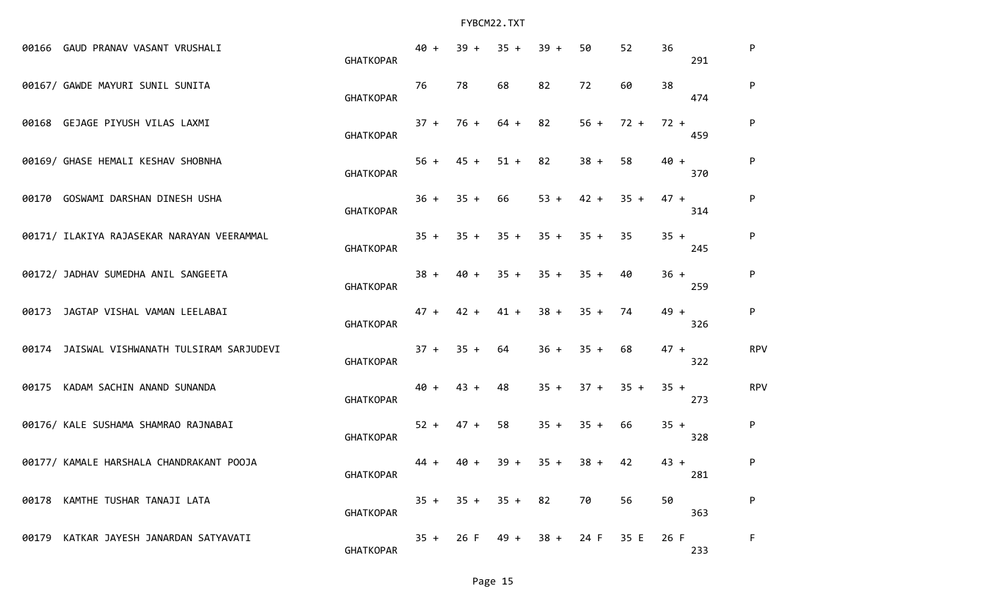| 00166 GAUD PRANAV VASANT VRUSHALI           | <b>GHATKOPAR</b> | $40 +$ | $39 +$ | $35 +$      | $39 +$ | 50     | 52     | 36     | 291 | P          |
|---------------------------------------------|------------------|--------|--------|-------------|--------|--------|--------|--------|-----|------------|
| 00167/ GAWDE MAYURI SUNIL SUNITA            | <b>GHATKOPAR</b> | 76     | 78     | 68          | 82     | 72     | 60     | 38     | 474 | P          |
| 00168 GEJAGE PIYUSH VILAS LAXMI             | <b>GHATKOPAR</b> | $37 +$ | $76 +$ | $64 +$      | 82     | $56 +$ | $72 +$ | $72 +$ | 459 | P          |
| 00169/ GHASE HEMALI KESHAV SHOBNHA          | <b>GHATKOPAR</b> | $56 +$ | $45 +$ | $51 +$      | 82     | $38 +$ | 58     | $40 +$ | 370 | P          |
| 00170 GOSWAMI DARSHAN DINESH USHA           | <b>GHATKOPAR</b> | $36 +$ | $35 +$ | 66          | $53 +$ | $42 +$ | $35 +$ | $47 +$ | 314 | P          |
| 00171/ ILAKIYA RAJASEKAR NARAYAN VEERAMMAL  | <b>GHATKOPAR</b> | $35 +$ | $35 +$ | $35 +$      | $35 +$ | $35 +$ | 35     | $35 +$ | 245 | P          |
| 00172/ JADHAV SUMEDHA ANIL SANGEETA         | <b>GHATKOPAR</b> | $38 +$ | $40 +$ | $35 +$      | $35 +$ | $35 +$ | 40     | $36 +$ | 259 | P          |
| 00173 JAGTAP VISHAL VAMAN LEELABAI          | <b>GHATKOPAR</b> | $47 +$ | $42 +$ | $41 +$      | $38 +$ | $35 +$ | 74     | $49 +$ | 326 | P          |
| 00174 JAISWAL VISHWANATH TULSIRAM SARJUDEVI | <b>GHATKOPAR</b> | $37 +$ | $35 +$ | 64          | $36 +$ | $35 +$ | 68     | $47 +$ | 322 | <b>RPV</b> |
| 00175 KADAM SACHIN ANAND SUNANDA            | <b>GHATKOPAR</b> | $40 +$ | $43 +$ | 48          | $35 +$ | $37 +$ | $35 +$ | $35 +$ | 273 | <b>RPV</b> |
| 00176/ KALE SUSHAMA SHAMRAO RAJNABAI        | <b>GHATKOPAR</b> | $52 +$ | $47 +$ | 58          | $35 +$ | $35 +$ | 66     | $35 +$ | 328 | P          |
| 00177/ KAMALE HARSHALA CHANDRAKANT POOJA    | <b>GHATKOPAR</b> | $44 +$ | $40 +$ | $39 +$      | $35 +$ | $38 +$ | 42     | $43 +$ | 281 | P          |
| 00178 KAMTHE TUSHAR TANAJI LATA             | <b>GHATKOPAR</b> | $35 +$ |        | $35 + 35 +$ | 82     | 70     | 56     | 50     | 363 | P          |
| 00179 KATKAR JAYESH JANARDAN SATYAVATI      | <b>GHATKOPAR</b> | $35 +$ | 26 F   | 49 +        | $38 +$ | 24 F   | 35 E   | 26 F   | 233 | F          |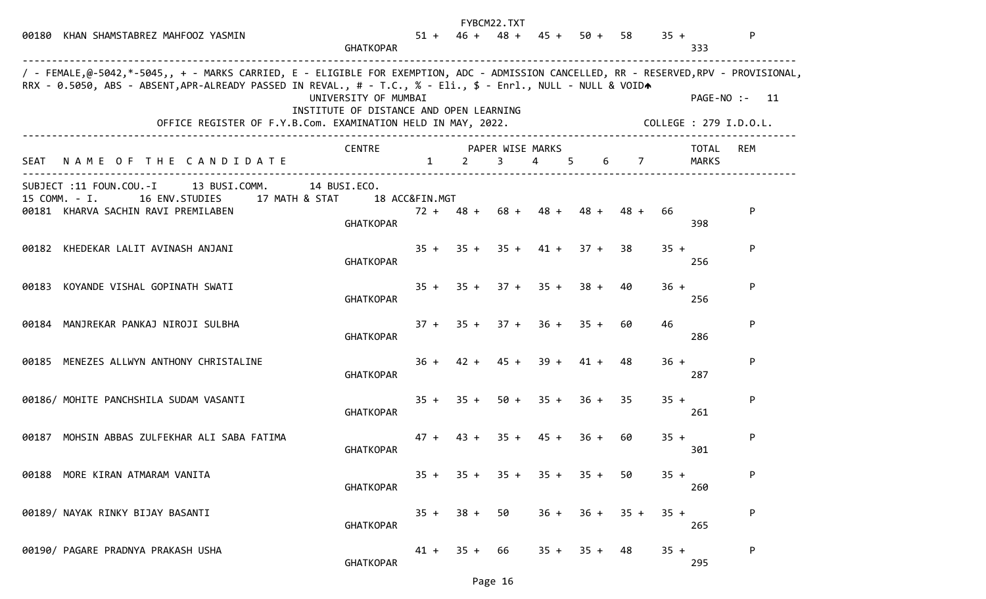|                                                                                                                                                                                                                                                        |                                                                                                         |                |                       | FYBCM22.TXT |        |                               |        |        |                |                        |
|--------------------------------------------------------------------------------------------------------------------------------------------------------------------------------------------------------------------------------------------------------|---------------------------------------------------------------------------------------------------------|----------------|-----------------------|-------------|--------|-------------------------------|--------|--------|----------------|------------------------|
| 00180 KHAN SHAMSTABREZ MAHFOOZ YASMIN                                                                                                                                                                                                                  | <b>GHATKOPAR</b>                                                                                        | $51 +$         |                       |             |        | $46 + 48 + 45 + 50 + 58$      |        | $35 +$ | 333            | P.                     |
| / - FEMALE,@-5042,*-5045,, + - MARKS CARRIED, E - ELIGIBLE FOR EXEMPTION, ADC - ADMISSION CANCELLED, RR - RESERVED,RPV - PROVISIONAL,<br>RRX - 0.5050, ABS - ABSENT, APR-ALREADY PASSED IN REVAL., # - T.C., % - Eli., \$ - Enrl., NULL - NULL & VOIDA |                                                                                                         |                |                       |             |        |                               |        |        |                |                        |
|                                                                                                                                                                                                                                                        | UNIVERSITY OF MUMBAI                                                                                    |                |                       |             |        |                               |        |        |                | PAGE-NO :- 11          |
|                                                                                                                                                                                                                                                        | INSTITUTE OF DISTANCE AND OPEN LEARNING<br>OFFICE REGISTER OF F.Y.B.Com. EXAMINATION HELD IN MAY, 2022. |                |                       |             |        |                               |        |        |                | COLLEGE : 279 I.D.O.L. |
| SEAT NAME OF THE CANDIDATE                                                                                                                                                                                                                             | <b>CENTRE</b>                                                                                           | $\mathbf{1}$   | PAPER WISE MARKS<br>2 | $3^{\circ}$ | 4 5    |                               | 6 7    |        | TOTAL<br>MARKS | REM                    |
| SUBJECT :11 FOUN.COU.-I 13 BUSI.COMM.                                                                                                                                                                                                                  | 14 BUSI.ECO.                                                                                            |                |                       |             |        |                               |        |        |                |                        |
| 15 COMM. - I.<br>16 ENV.STUDIES 17 MATH & STAT                                                                                                                                                                                                         |                                                                                                         | 18 ACC&FIN.MGT |                       |             |        |                               |        |        |                |                        |
| 00181 KHARVA SACHIN RAVI PREMILABEN                                                                                                                                                                                                                    | <b>GHATKOPAR</b>                                                                                        |                | $72 + 48 + 68 + 48 +$ |             |        | $48 +$                        | 48 +   | 66     | 398            | P                      |
| 00182 KHEDEKAR LALIT AVINASH ANJANI                                                                                                                                                                                                                    | <b>GHATKOPAR</b>                                                                                        |                |                       |             |        | $35 + 35 + 35 + 41 + 37 + 38$ |        | $35 +$ | 256            | P.                     |
| 00183 KOYANDE VISHAL GOPINATH SWATI                                                                                                                                                                                                                    | <b>GHATKOPAR</b>                                                                                        |                |                       |             |        | $35 + 35 + 37 + 35 + 38 +$    | 40     | $36 +$ | 256            | P                      |
| 00184 MANJREKAR PANKAJ NIROJI SULBHA                                                                                                                                                                                                                   | <b>GHATKOPAR</b>                                                                                        |                |                       |             |        | $37 + 35 + 37 + 36 + 35 + 60$ |        | 46     | 286            | P                      |
| 00185 MENEZES ALLWYN ANTHONY CHRISTALINE                                                                                                                                                                                                               | <b>GHATKOPAR</b>                                                                                        | $36 +$         | $42 +$                | 45 +        | $39 +$ | $41 +$                        | 48     | $36 +$ | 287            | P                      |
| 00186/ MOHITE PANCHSHILA SUDAM VASANTI                                                                                                                                                                                                                 | <b>GHATKOPAR</b>                                                                                        |                | $35 + 35 +$           |             |        | $50 + 35 + 36 + 35$           |        | $35 +$ | 261            | P                      |
| 00187 MOHSIN ABBAS ZULFEKHAR ALI SABA FATIMA                                                                                                                                                                                                           | <b>GHATKOPAR</b>                                                                                        | $47 +$         | $43 +$                | $35 +$      | 45 +   | $36 +$                        | 60     | $35 +$ | 301            | P                      |
| 00188 MORE KIRAN ATMARAM VANITA                                                                                                                                                                                                                        | <b>GHATKOPAR</b>                                                                                        | $35 +$         | $35 +$                | $35 +$      | $35 +$ | $35 +$                        | 50     | $35 +$ | 260            | P                      |
| 00189/ NAYAK RINKY BIJAY BASANTI                                                                                                                                                                                                                       | <b>GHATKOPAR</b>                                                                                        | $35 +$         | $38 +$                | 50          | $36 +$ | $36 +$                        | $35 +$ | $35 +$ | 265            | P                      |
| 00190/ PAGARE PRADNYA PRAKASH USHA                                                                                                                                                                                                                     | <b>GHATKOPAR</b>                                                                                        |                | $41 + 35 +$           | 66          | $35 +$ | $35 +$                        | 48     | $35 +$ | 295            | P                      |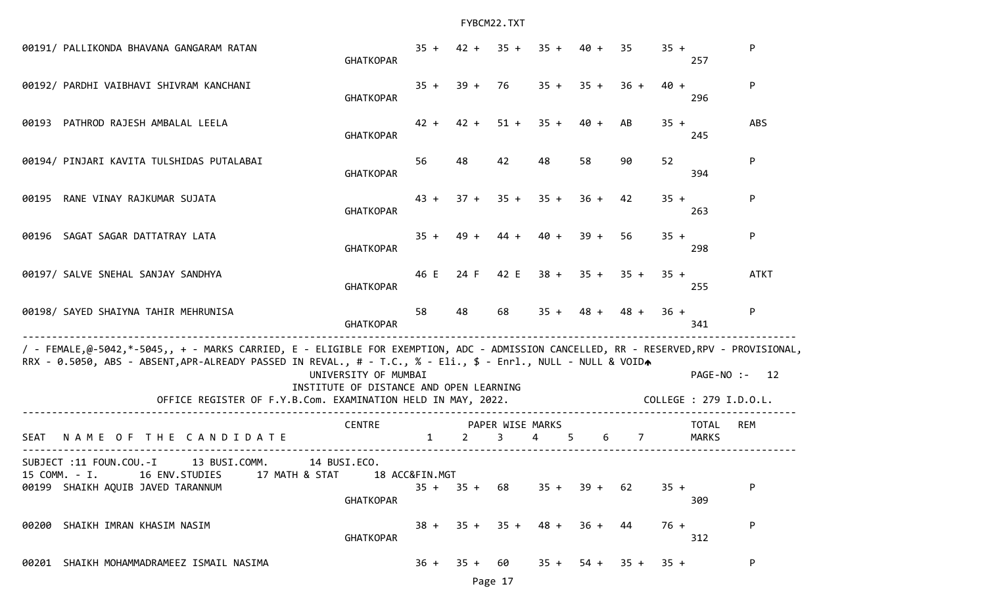| 00191/ PALLIKONDA BHAVANA GANGARAM RATAN                                                                                                                                                                                                               | <b>GHATKOPAR</b>                                                |              |                |                                 | $35 + 42 + 35 + 35 +$             | $40 +$                | 35                         | $35 +$ | 257                          | P           |
|--------------------------------------------------------------------------------------------------------------------------------------------------------------------------------------------------------------------------------------------------------|-----------------------------------------------------------------|--------------|----------------|---------------------------------|-----------------------------------|-----------------------|----------------------------|--------|------------------------------|-------------|
| 00192/ PARDHI VAIBHAVI SHIVRAM KANCHANI                                                                                                                                                                                                                | <b>GHATKOPAR</b>                                                | $35 +$       |                | 39 + 76                         |                                   | $35 + 35 +$           | $36 +$                     | $40 +$ | 296                          | P           |
| 00193 PATHROD RAJESH AMBALAL LEELA                                                                                                                                                                                                                     | <b>GHATKOPAR</b>                                                | $42 +$       | $42 +$         | $51 +$                          | $35 +$                            | $40 +$                | AB                         | $35 +$ | 245                          | <b>ABS</b>  |
| 00194/ PINJARI KAVITA TULSHIDAS PUTALABAI                                                                                                                                                                                                              | <b>GHATKOPAR</b>                                                | 56           | 48             | 42                              | 48                                | 58                    | 90                         | 52     | 394                          | P           |
| 00195 RANE VINAY RAJKUMAR SUJATA                                                                                                                                                                                                                       | <b>GHATKOPAR</b>                                                | $43 +$       |                |                                 |                                   | $37 + 35 + 35 + 36 +$ | 42                         | $35 +$ | 263                          | P           |
| 00196 SAGAT SAGAR DATTATRAY LATA                                                                                                                                                                                                                       | <b>GHATKOPAR</b>                                                | $35 +$       | $49 +$         | $44 +$                          | 40 +                              | $39 +$                | 56                         | $35 +$ | 298                          | P           |
| 00197/ SALVE SNEHAL SANJAY SANDHYA                                                                                                                                                                                                                     | <b>GHATKOPAR</b>                                                | 46 E         |                |                                 |                                   |                       | $24 F$ 42 E 38 + 35 + 35 + | $35 +$ | 255                          | <b>ATKT</b> |
| 00198/ SAYED SHAIYNA TAHIR MEHRUNISA                                                                                                                                                                                                                   | <b>GHATKOPAR</b>                                                | 58           | 48             | 68                              |                                   |                       | $35 + 48 + 48 +$           | $36 +$ | 341                          | P.          |
| / - FEMALE,@-5042,*-5045,, + - MARKS CARRIED, E - ELIGIBLE FOR EXEMPTION, ADC - ADMISSION CANCELLED, RR - RESERVED,RPV - PROVISIONAL,<br>RRX - 0.5050, ABS - ABSENT, APR-ALREADY PASSED IN REVAL., # - T.C., % - Eli., \$ - Enrl., NULL - NULL & VOIDA | UNIVERSITY OF MUMBAI<br>INSTITUTE OF DISTANCE AND OPEN LEARNING |              |                |                                 |                                   |                       |                            |        | PAGE-NO :- 12                |             |
| OFFICE REGISTER OF F.Y.B.Com. EXAMINATION HELD IN MAY, 2022.                                                                                                                                                                                           |                                                                 |              |                |                                 |                                   |                       |                            |        | COLLEGE : 279 I.D.O.L.       |             |
| NAME OF THE CANDIDATE<br><b>SEAT</b>                                                                                                                                                                                                                   | <b>CENTRE</b>                                                   | $\mathbf{1}$ | $2^{\circ}$    | PAPER WISE MARKS<br>$3^{\circ}$ | $\overline{4}$<br>$5\overline{)}$ |                       | 6 7                        |        | <b>TOTAL</b><br><b>MARKS</b> | <b>REM</b>  |
| SUBJECT :11 FOUN.COU.-I 13 BUSI.COMM. 14 BUSI.ECO.<br>15 COMM. - I. 16 ENV. STUDIES 17 MATH & STAT 18 ACC&FIN. MGT<br>00199 SHAIKH AQUIB JAVED TARANNUM                                                                                                | <b>GHATKOPAR</b>                                                |              | $35 + 35 + 68$ |                                 | $35 +$                            | $39 +$                | 62                         | $35 +$ | 309                          | P           |
| 00200 SHAIKH IMRAN KHASIM NASIM                                                                                                                                                                                                                        | <b>GHATKOPAR</b>                                                | $38 +$       | $35 +$         | $35 +$                          | $48 +$                            | $36 +$                | 44                         | $76 +$ | 312                          | P           |
| 00201 SHAIKH MOHAMMADRAMEEZ ISMAIL NASIMA                                                                                                                                                                                                              |                                                                 | $36 +$       | $35 +$         | 60                              | $35 +$                            | $54 +$                | $35 +$                     | $35 +$ |                              | P           |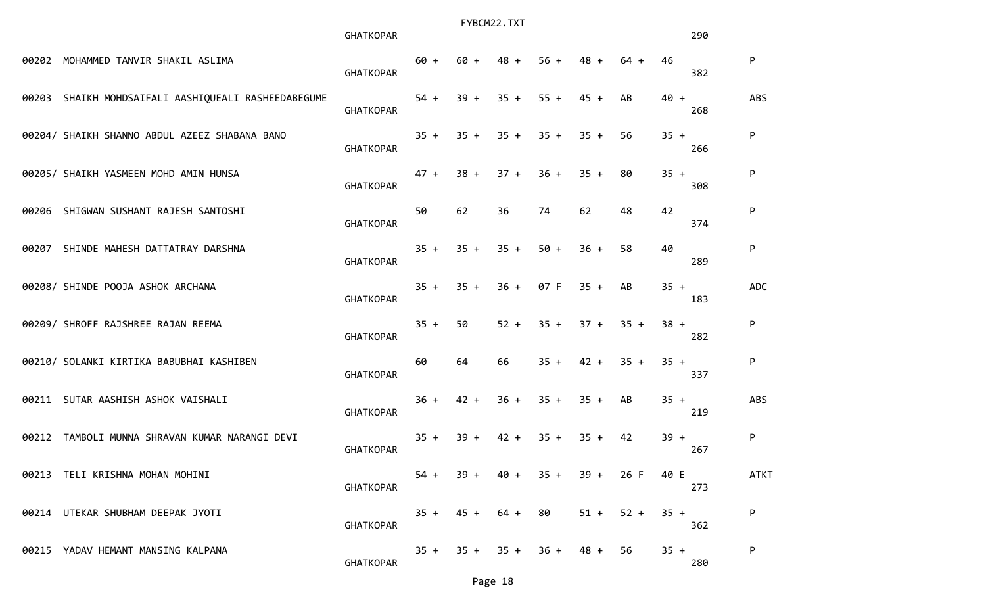|       |                                                     | <b>GHATKOPAR</b> |        |        | FYBCM22.TXT |                               |             |                                 |        | 290 |             |
|-------|-----------------------------------------------------|------------------|--------|--------|-------------|-------------------------------|-------------|---------------------------------|--------|-----|-------------|
|       | 00202 MOHAMMED TANVIR SHAKIL ASLIMA                 | <b>GHATKOPAR</b> | $60 +$ | 60 +   | $48 +$      | $56 +$                        | $48 +$      | $64 +$                          | 46     | 382 | P           |
|       | 00203 SHAIKH MOHDSAIFALI AASHIQUEALI RASHEEDABEGUME | <b>GHATKOPAR</b> | $54 +$ | $39 +$ | $35 +$      | $55 +$                        | $45 +$      | AB                              | $40 +$ | 268 | ABS         |
|       | 00204/ SHAIKH SHANNO ABDUL AZEEZ SHABANA BANO       | <b>GHATKOPAR</b> | $35 +$ | $35 +$ | $35 +$      | $35 +$                        | $35 +$      | 56                              | $35 +$ | 266 | P           |
|       | 00205/ SHAIKH YASMEEN MOHD AMIN HUNSA               | <b>GHATKOPAR</b> | $47 +$ | $38 +$ | $37 +$      | $36 +$                        | $35 +$      | 80                              | $35 +$ | 308 | P           |
|       | 00206 SHIGWAN SUSHANT RAJESH SANTOSHI               | <b>GHATKOPAR</b> | 50     | 62     | 36          | 74                            | 62          | 48                              | 42     | 374 | P           |
|       | 00207 SHINDE MAHESH DATTATRAY DARSHNA               | <b>GHATKOPAR</b> | $35 +$ | $35 +$ | $35 +$      | $50 +$                        | $36 +$      | 58                              | 40     | 289 | P           |
|       | 00208/ SHINDE POOJA ASHOK ARCHANA                   | <b>GHATKOPAR</b> | $35 +$ | $35 +$ | $36 +$      | 07 F                          | $35 +$      | AB                              | $35 +$ | 183 | <b>ADC</b>  |
|       | 00209/ SHROFF RAJSHREE RAJAN REEMA                  | <b>GHATKOPAR</b> | $35 +$ | 50     | $52 +$      | $35 +$                        | $37 + 35 +$ |                                 | $38 +$ | 282 | P           |
|       | 00210/ SOLANKI KIRTIKA BABUBHAI KASHIBEN            | <b>GHATKOPAR</b> | 60     | 64     | 66          | $35 +$                        | $42 +$      | $35 +$                          | $35 +$ | 337 | P           |
|       | 00211 SUTAR AASHISH ASHOK VAISHALI                  | <b>GHATKOPAR</b> | $36 +$ | $42 +$ | $36 +$      | $35 + 35 +$                   |             | AB                              | $35 +$ | 219 | <b>ABS</b>  |
| 00212 | TAMBOLI MUNNA SHRAVAN KUMAR NARANGI DEVI            | <b>GHATKOPAR</b> | $35 +$ | $39 +$ | $42 +$      | $35 +$                        | $35 +$      | 42                              | $39 +$ | 267 | P           |
|       | 00213 TELI KRISHNA MOHAN MOHINI                     | <b>GHATKOPAR</b> | $54 +$ |        |             |                               |             | $39 + 40 + 35 + 39 + 26$ F 40 E |        | 273 | <b>ATKT</b> |
|       | 00214 UTEKAR SHUBHAM DEEPAK JYOTI                   | <b>GHATKOPAR</b> | $35 +$ | $45 +$ | 64 +        | 80                            | $51 +$      | $52 +$                          | $35 +$ | 362 | P           |
|       | 00215 YADAV HEMANT MANSING KALPANA                  | <b>GHATKOPAR</b> |        |        |             | $35 + 35 + 35 + 36 + 48 + 56$ |             |                                 | $35 +$ | 280 | P           |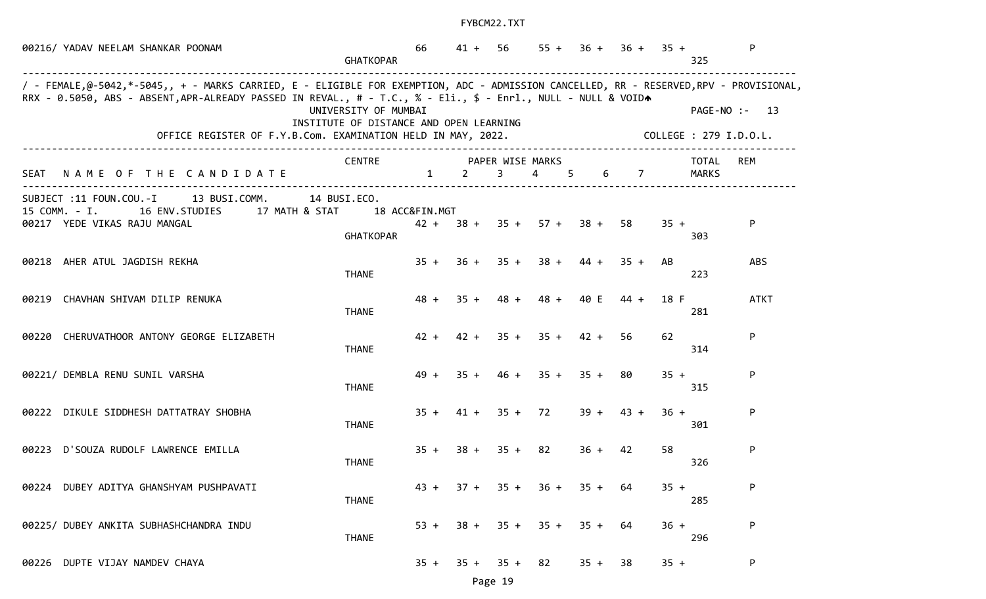| 00216/ YADAV NEELAM SHANKAR POONAM                                                                                                                                                                                                                                                                                     | <b>GHATKOPAR</b>                                                | 66             |                                                       | $41 + 56$      | $55 +$      |                            | $36 + 36 + 35 +$ |        | 325                    | P             |
|------------------------------------------------------------------------------------------------------------------------------------------------------------------------------------------------------------------------------------------------------------------------------------------------------------------------|-----------------------------------------------------------------|----------------|-------------------------------------------------------|----------------|-------------|----------------------------|------------------|--------|------------------------|---------------|
| / - FEMALE,@-5042,*-5045,, + - MARKS CARRIED, E - ELIGIBLE FOR EXEMPTION, ADC - ADMISSION CANCELLED, RR - RESERVED,RPV - PROVISIONAL,<br>RRX - 0.5050, ABS - ABSENT, APR-ALREADY PASSED IN REVAL., # - T.C., % - Eli., \$ - Enrl., NULL - NULL & VOIDA<br>OFFICE REGISTER OF F.Y.B.Com. EXAMINATION HELD IN MAY, 2022. | UNIVERSITY OF MUMBAI<br>INSTITUTE OF DISTANCE AND OPEN LEARNING |                |                                                       |                |             |                            |                  |        | COLLEGE : 279 I.D.O.L. | PAGE-NO :- 13 |
| NAME OF THE CANDIDATE<br>SEAT                                                                                                                                                                                                                                                                                          | <b>CENTRE</b>                                                   | $\mathbf{1}$   | PAPER WISE MARKS<br>$\overline{2}$ and $\overline{2}$ | 3 <sup>7</sup> | $4 \quad 5$ |                            | $6\qquad 7$      |        | <b>TOTAL</b><br>MARKS  | <b>REM</b>    |
| SUBJECT :11 FOUN.COU.-I 13 BUSI.COMM.<br>15 COMM. - I.<br>16 ENV.STUDIES 17 MATH & STAT<br>00217 YEDE VIKAS RAJU MANGAL                                                                                                                                                                                                | 14 BUSI.ECO.<br><b>GHATKOPAR</b>                                | 18 ACC&FIN.MGT |                                                       |                |             | $42 + 38 + 35 + 57 + 38 +$ | -58              | $35 +$ | 303                    | P             |
| 00218 AHER ATUL JAGDISH REKHA                                                                                                                                                                                                                                                                                          | <b>THANE</b>                                                    | $35 +$         |                                                       | $36 + 35 +$    | $38 +$      | $44 +$                     | $35 +$           | AB     | 223                    | <b>ABS</b>    |
| 00219 CHAVHAN SHIVAM DILIP RENUKA                                                                                                                                                                                                                                                                                      | <b>THANE</b>                                                    | $48 +$         |                                                       | $35 + 48 +$    | $48 +$      | 40 E                       | $44 +$           | 18 F   | 281                    | <b>ATKT</b>   |
| 00220 CHERUVATHOOR ANTONY GEORGE ELIZABETH                                                                                                                                                                                                                                                                             | <b>THANE</b>                                                    | $42 +$         |                                                       |                |             | $42 + 35 + 35 + 42 +$      | 56               | 62     | 314                    | P             |
| 00221/ DEMBLA RENU SUNIL VARSHA                                                                                                                                                                                                                                                                                        | <b>THANE</b>                                                    | $49 +$         |                                                       | $35 + 46 +$    |             | $35 + 35 +$                | 80               | $35 +$ | 315                    | P             |
| 00222 DIKULE SIDDHESH DATTATRAY SHOBHA                                                                                                                                                                                                                                                                                 | <b>THANE</b>                                                    | $35 +$         |                                                       | $41 + 35 +$    | 72          | $39 +$                     | $43 +$           | $36 +$ | 301                    | P             |
| 00223 D'SOUZA RUDOLF LAWRENCE EMILLA                                                                                                                                                                                                                                                                                   | <b>THANE</b>                                                    | $35 +$         |                                                       | $38 + 35 + 82$ |             | $36 + 42$                  |                  | 58     | 326                    | P             |
| 00224 DUBEY ADITYA GHANSHYAM PUSHPAVATI                                                                                                                                                                                                                                                                                | <b>THANE</b>                                                    | $43 +$         |                                                       | $37 + 35 +$    | $36 +$      | $35 +$                     | 64               | $35 +$ | 285                    | P             |
| 00225/ DUBEY ANKITA SUBHASHCHANDRA INDU                                                                                                                                                                                                                                                                                | <b>THANE</b>                                                    | $53 +$         | $38 +$                                                | $35 +$         | $35 +$      | $35 +$                     | 64               | $36 +$ | 296                    | P             |
| 00226 DUPTE VIJAY NAMDEV CHAYA                                                                                                                                                                                                                                                                                         |                                                                 | $35 +$         | $35 +$                                                | $35 +$         | 82          | $35 +$                     | 38               | $35 +$ |                        | P             |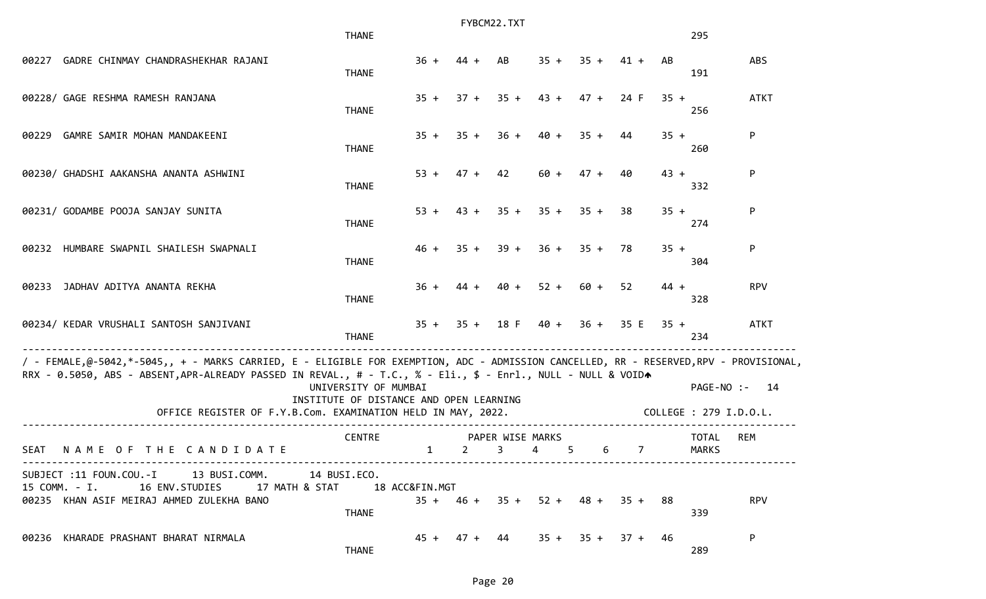|             |                                                                                                                                                                                                                                                                                                                        |                                                                 | FYBCM22.TXT  |  |                |                                    |                     |        |   |        |                |        |                        |               |
|-------------|------------------------------------------------------------------------------------------------------------------------------------------------------------------------------------------------------------------------------------------------------------------------------------------------------------------------|-----------------------------------------------------------------|--------------|--|----------------|------------------------------------|---------------------|--------|---|--------|----------------|--------|------------------------|---------------|
|             |                                                                                                                                                                                                                                                                                                                        | <b>THANE</b>                                                    |              |  |                |                                    |                     |        |   |        |                |        | 295                    |               |
| 00227       | GADRE CHINMAY CHANDRASHEKHAR RAJANI                                                                                                                                                                                                                                                                                    | <b>THANE</b>                                                    | $36 +$       |  | $44 +$         | AB                                 | $35 +$              | $35 +$ |   | $41 +$ |                | AB     | 191                    | <b>ABS</b>    |
|             | 00228/ GAGE RESHMA RAMESH RANJANA                                                                                                                                                                                                                                                                                      | <b>THANE</b>                                                    | $35 +$       |  | $37 +$         | $35 +$                             | $43 +$              | $47 +$ |   | 24 F   |                | $35 +$ | 256                    | <b>ATKT</b>   |
| 00229       | GAMRE SAMIR MOHAN MANDAKEENI                                                                                                                                                                                                                                                                                           | <b>THANE</b>                                                    | $35 +$       |  | $35 +$         | $36 +$                             | 40 +                | $35 +$ |   | 44     |                | $35 +$ | 260                    | P.            |
|             | 00230/ GHADSHI AAKANSHA ANANTA ASHWINI                                                                                                                                                                                                                                                                                 | <b>THANE</b>                                                    | $53 +$       |  | $47 +$         | 42                                 | $60 +$              | $47 +$ |   | 40     |                | $43 +$ | 332                    | P             |
|             | 00231/ GODAMBE POOJA SANJAY SUNITA                                                                                                                                                                                                                                                                                     | <b>THANE</b>                                                    | $53 +$       |  | $43 +$         | $35 +$                             | $35 + 35 +$         |        |   | 38     |                | $35 +$ | 274                    | P             |
|             | 00232 HUMBARE SWAPNIL SHAILESH SWAPNALI                                                                                                                                                                                                                                                                                | <b>THANE</b>                                                    | $46 +$       |  | $35 +$         | $39 +$                             | $36 +$              | $35 +$ |   | 78     |                | $35 +$ | 304                    | P             |
| 00233       | JADHAV ADITYA ANANTA REKHA                                                                                                                                                                                                                                                                                             | <b>THANE</b>                                                    | $36 +$       |  | 44 +           | $40 +$                             | $52 +$              | 60 +   |   | 52     |                | $44 +$ | 328                    | <b>RPV</b>    |
|             | 00234/ KEDAR VRUSHALI SANTOSH SANJIVANI                                                                                                                                                                                                                                                                                | <b>THANE</b>                                                    | $35 +$       |  |                | $35 + 18$ F                        | 40 + 36 + 35 E      |        |   |        |                | $35 +$ | 234                    | <b>ATKT</b>   |
|             | / - FEMALE,@-5042,*-5045,, + - MARKS CARRIED, E - ELIGIBLE FOR EXEMPTION, ADC - ADMISSION CANCELLED, RR - RESERVED,RPV - PROVISIONAL,<br>RRX - 0.5050, ABS - ABSENT, APR-ALREADY PASSED IN REVAL., # - T.C., % - Eli., \$ - Enrl., NULL - NULL & VOIDA<br>OFFICE REGISTER OF F.Y.B.Com. EXAMINATION HELD IN MAY, 2022. | UNIVERSITY OF MUMBAI<br>INSTITUTE OF DISTANCE AND OPEN LEARNING |              |  |                |                                    |                     |        |   |        |                |        | COLLEGE : 279 I.D.O.L. | PAGE-NO :- 14 |
|             |                                                                                                                                                                                                                                                                                                                        |                                                                 |              |  |                |                                    |                     |        |   |        |                |        |                        |               |
| <b>SEAT</b> | NAME OF THE CANDIDATE                                                                                                                                                                                                                                                                                                  | <b>CENTRE</b>                                                   | $\mathbf{1}$ |  | $\overline{2}$ | PAPER WISE MARKS<br>3              | $\overline{4}$      | 5      | 6 |        | $\overline{7}$ |        | <b>TOTAL</b><br>MARKS  | <b>REM</b>    |
|             | SUBJECT :11 FOUN.COU.-I 13 BUSI.COMM. 14 BUSI.ECO.<br>15 COMM. - I.<br>16 ENV.STUDIES<br>00235 KHAN ASIF MEIRAJ AHMED ZULEKHA BANO                                                                                                                                                                                     | <b>THANE</b>                                                    |              |  |                | $35 + 46 + 35 + 52 + 48 + 35 + 88$ |                     |        |   |        |                |        | 339                    | <b>RPV</b>    |
|             | 00236 KHARADE PRASHANT BHARAT NIRMALA                                                                                                                                                                                                                                                                                  | <b>THANE</b>                                                    |              |  |                | 45 + 47 + 44                       | $35 + 35 + 37 + 46$ |        |   |        |                |        | 289                    | P             |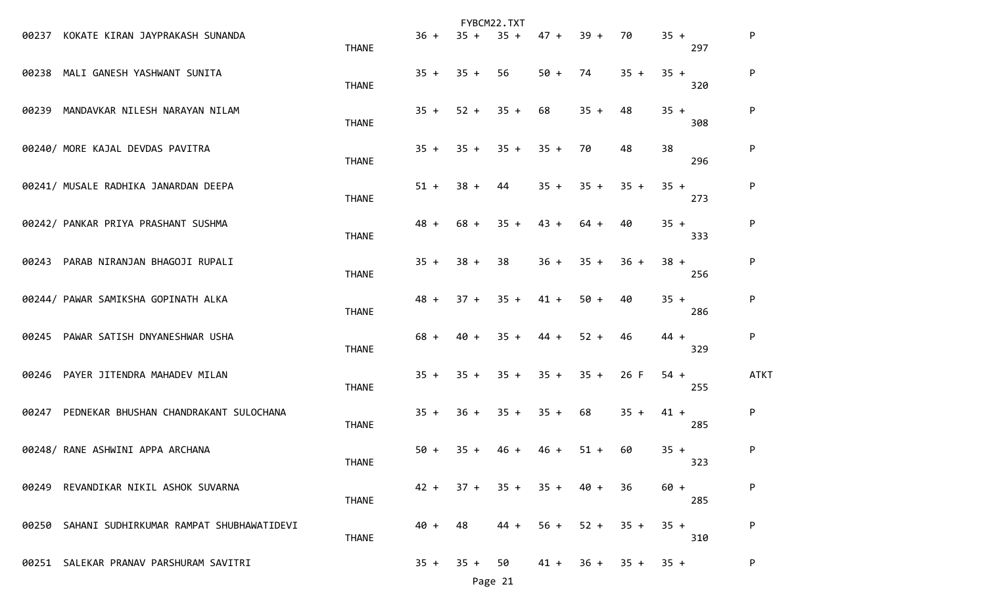|       |                                          |              |        |        | FYBCM22.TXT |        |        |        |        |     |             |
|-------|------------------------------------------|--------------|--------|--------|-------------|--------|--------|--------|--------|-----|-------------|
| 00237 | KOKATE KIRAN JAYPRAKASH SUNANDA          | <b>THANE</b> | $36 +$ | $35 +$ | $35 +$      | $47 +$ | $39 +$ | 70     | $35 +$ | 297 | P           |
| 00238 | MALI GANESH YASHWANT SUNITA              | <b>THANE</b> | $35 +$ | $35 +$ | 56          | $50 +$ | 74     | $35 +$ | $35 +$ | 320 | P           |
| 00239 | MANDAVKAR NILESH NARAYAN NILAM           | <b>THANE</b> | $35 +$ | $52 +$ | $35 +$      | 68     | $35 +$ | 48     | $35 +$ | 308 | P           |
|       | 00240/ MORE KAJAL DEVDAS PAVITRA         | <b>THANE</b> | $35 +$ | $35 +$ | $35 +$      | $35 +$ | 70     | 48     | 38     | 296 | P           |
|       | 00241/ MUSALE RADHIKA JANARDAN DEEPA     | <b>THANE</b> | $51 +$ | $38 +$ | 44          | $35 +$ | $35 +$ | $35 +$ | $35 +$ | 273 | P           |
|       | 00242/ PANKAR PRIYA PRASHANT SUSHMA      | <b>THANE</b> | $48 +$ | $68 +$ | $35 +$      | $43 +$ | $64 +$ | 40     | $35 +$ | 333 | P           |
| 00243 | PARAB NIRANJAN BHAGOJI RUPALI            | <b>THANE</b> | $35 +$ | $38 +$ | 38          | $36 +$ | $35 +$ | $36 +$ | $38 +$ | 256 | P           |
|       | 00244/ PAWAR SAMIKSHA GOPINATH ALKA      | <b>THANE</b> | $48 +$ | $37 +$ | $35 +$      | $41 +$ | $50 +$ | 40     | $35 +$ | 286 | P           |
| 00245 | PAWAR SATISH DNYANESHWAR USHA            | <b>THANE</b> | $68 +$ | $40 +$ | $35 +$      | $44 +$ | $52 +$ | 46     | $44 +$ | 329 | P           |
| 00246 | PAYER JITENDRA MAHADEV MILAN             | <b>THANE</b> | $35 +$ | $35 +$ | $35 +$      | $35 +$ | $35 +$ | 26 F   | $54 +$ | 255 | <b>ATKT</b> |
| 00247 | PEDNEKAR BHUSHAN CHANDRAKANT SULOCHANA   | <b>THANE</b> | $35 +$ | $36 +$ | $35 +$      | $35 +$ | 68     | $35 +$ | $41 +$ | 285 | P           |
|       | 00248/ RANE ASHWINI APPA ARCHANA         | <b>THANE</b> | $50 +$ | $35 +$ | $46 +$      | $46 +$ | $51 +$ | 60     | $35 +$ | 323 | P           |
| 00249 | REVANDIKAR NIKIL ASHOK SUVARNA           | <b>THANE</b> | $42 +$ | $37 +$ | $35 +$      | $35 +$ | 40 +   | 36     | $60 +$ | 285 | P           |
| 00250 | SAHANI SUDHIRKUMAR RAMPAT SHUBHAWATIDEVI | <b>THANE</b> | $40 +$ | 48     | $44 +$      | $56 +$ | $52 +$ | $35 +$ | $35 +$ | 310 | P           |
|       | 00251 SALEKAR PRANAV PARSHURAM SAVITRI   |              | $35 +$ | $35 +$ | 50          | $41 +$ | 36 +   | $35 +$ | $35 +$ |     | P           |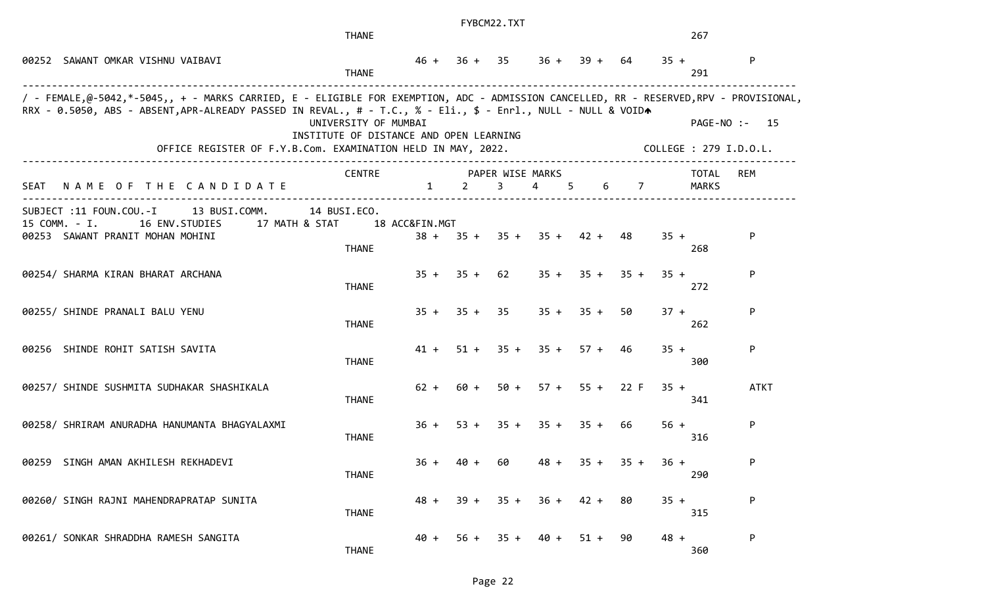|             |                                                                                                                                                                                                                                                                                                                        | <b>THANE</b>                                                    |                |                | FYBCM22.TXT                        |                            |                |                  | 267                   |                                         |
|-------------|------------------------------------------------------------------------------------------------------------------------------------------------------------------------------------------------------------------------------------------------------------------------------------------------------------------------|-----------------------------------------------------------------|----------------|----------------|------------------------------------|----------------------------|----------------|------------------|-----------------------|-----------------------------------------|
|             | 00252 SAWANT OMKAR VISHNU VAIBAVI                                                                                                                                                                                                                                                                                      | <b>THANE</b>                                                    |                | $46 + 36 + 35$ |                                    |                            | $36 + 39 +$    | 64               | $35 +$<br>291         | P                                       |
|             | / - FEMALE,@-5042,*-5045,, + - MARKS CARRIED, E - ELIGIBLE FOR EXEMPTION, ADC - ADMISSION CANCELLED, RR - RESERVED,RPV - PROVISIONAL,<br>RRX - 0.5050, ABS - ABSENT, APR-ALREADY PASSED IN REVAL., # - T.C., % - Eli., \$ - Enrl., NULL - NULL & VOIDA<br>OFFICE REGISTER OF F.Y.B.Com. EXAMINATION HELD IN MAY, 2022. | UNIVERSITY OF MUMBAI<br>INSTITUTE OF DISTANCE AND OPEN LEARNING |                |                |                                    |                            |                |                  |                       | PAGE-NO :- 15<br>COLLEGE : 279 I.D.O.L. |
| <b>SEAT</b> | NAME OF THE CANDIDATE                                                                                                                                                                                                                                                                                                  | <b>CENTRE</b>                                                   | $\mathbf{1}$   | $2^{\circ}$    | PAPER WISE MARKS<br>$\overline{3}$ | $\overline{4}$             | 5 <sup>5</sup> | 6 7              | <b>TOTAL</b><br>MARKS | <b>REM</b>                              |
|             | SUBJECT :11 FOUN.COU.-I<br>13 BUSI.COMM.<br>15 COMM. - I.<br>16 ENV.STUDIES<br>17 MATH & STAT<br>00253 SAWANT PRANIT MOHAN MOHINI                                                                                                                                                                                      | 14 BUSI.ECO.<br><b>THANE</b>                                    | 18 ACC&FIN.MGT |                |                                    | $38 + 35 + 35 + 35 + 42 +$ |                | 48.              | $35 +$<br>268         | P                                       |
|             | 00254/ SHARMA KIRAN BHARAT ARCHANA                                                                                                                                                                                                                                                                                     | <b>THANE</b>                                                    | $35 +$         | $35 +$         | 62                                 | $35 +$                     | $35 +$         | $35 +$           | $35 +$<br>272         | P                                       |
|             | 00255/ SHINDE PRANALI BALU YENU                                                                                                                                                                                                                                                                                        | <b>THANE</b>                                                    | $35 +$         |                | $35 + 35$                          |                            | $35 + 35 +$    | 50               | $37 +$<br>262         | P                                       |
|             | 00256 SHINDE ROHIT SATISH SAVITA                                                                                                                                                                                                                                                                                       | <b>THANE</b>                                                    | 41 +           |                |                                    | $51 + 35 + 35 + 57 + 46$   |                |                  | $35 +$<br>300         | P                                       |
|             | 00257/ SHINDE SUSHMITA SUDHAKAR SHASHIKALA                                                                                                                                                                                                                                                                             | <b>THANE</b>                                                    | $62 +$         | $60 +$         | 50 +                               |                            |                | $57 + 55 + 22 F$ | $35 +$<br>341         | <b>ATKT</b>                             |
|             | 00258/ SHRIRAM ANURADHA HANUMANTA BHAGYALAXMI                                                                                                                                                                                                                                                                          | <b>THANE</b>                                                    | $36 +$         | $53 +$         |                                    | $35 + 35 + 35 +$           |                | 66               | $56 +$<br>316         | P                                       |
|             | 00259 SINGH AMAN AKHILESH REKHADEVI                                                                                                                                                                                                                                                                                    | <b>THANE</b>                                                    | $36 +$         | $40 +$         | 60                                 | $48 +$                     | $35 +$         | $35 +$           | $36 +$<br>290         | P                                       |
|             | 00260/ SINGH RAJNI MAHENDRAPRATAP SUNITA                                                                                                                                                                                                                                                                               | <b>THANE</b>                                                    | $48 +$         | $39 +$         | $35 +$                             | 36 +                       | 42 +           | 80               | $35 +$<br>315         | P                                       |
|             | 00261/ SONKAR SHRADDHA RAMESH SANGITA                                                                                                                                                                                                                                                                                  | <b>THANE</b>                                                    | 40 +           | $56 +$         |                                    | $35 + 40 +$                | $51 +$         | 90               | $48 +$<br>360         | P                                       |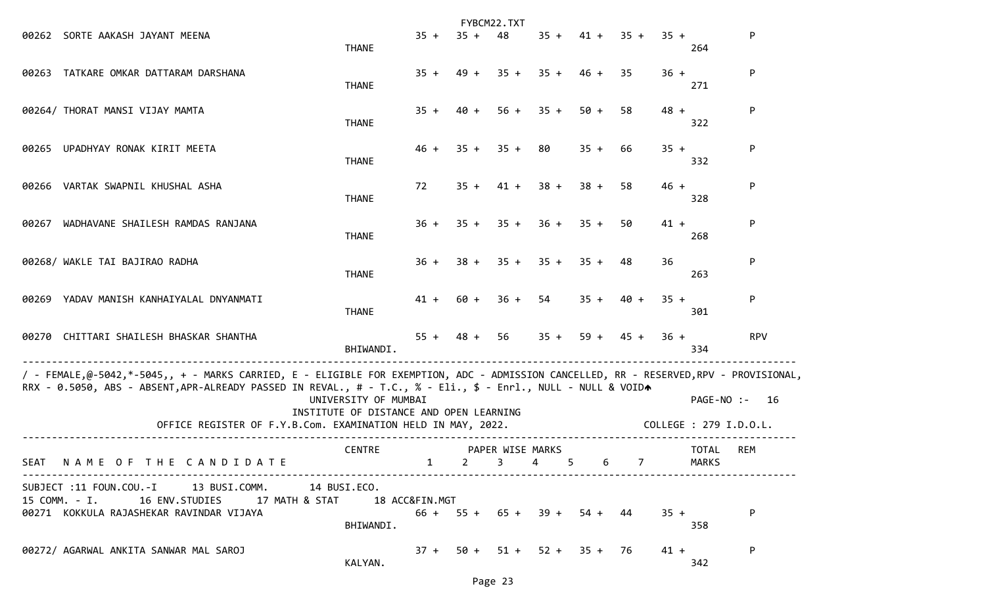|       |                                                                                                                                                                                                                                                                                                                        |                                                                 |                |                | FYBCM22.TXT                                 |                                            |         |                |        |                                      |            |
|-------|------------------------------------------------------------------------------------------------------------------------------------------------------------------------------------------------------------------------------------------------------------------------------------------------------------------------|-----------------------------------------------------------------|----------------|----------------|---------------------------------------------|--------------------------------------------|---------|----------------|--------|--------------------------------------|------------|
|       | 00262 SORTE AAKASH JAYANT MEENA                                                                                                                                                                                                                                                                                        | <b>THANE</b>                                                    | $35 +$         | $35 +$         | 48                                          | $35 +$                                     |         | $41 + 35 +$    | $35 +$ | 264                                  | P          |
| 00263 | TATKARE OMKAR DATTARAM DARSHANA                                                                                                                                                                                                                                                                                        | <b>THANE</b>                                                    | $35 +$         | $49 +$         | $35 +$                                      | $35 +$                                     | 46 +    | 35             | $36 +$ | 271                                  | P          |
|       | 00264/ THORAT MANSI VIJAY MAMTA                                                                                                                                                                                                                                                                                        | <b>THANE</b>                                                    | $35 +$         | 40 +           | $56 +$                                      | $35 +$                                     | $50 +$  | 58             | $48 +$ | 322                                  | P          |
| 00265 | UPADHYAY RONAK KIRIT MEETA                                                                                                                                                                                                                                                                                             | <b>THANE</b>                                                    | $46 +$         | $35 +$         | $35 +$                                      | 80                                         | $35 +$  | 66             | $35 +$ | 332                                  | P          |
|       | 00266 VARTAK SWAPNIL KHUSHAL ASHA                                                                                                                                                                                                                                                                                      | <b>THANE</b>                                                    | 72             | $35 +$         | $41 +$                                      | $38 +$                                     | $38 +$  | 58             | $46 +$ | 328                                  | P          |
| 00267 | WADHAVANE SHAILESH RAMDAS RANJANA                                                                                                                                                                                                                                                                                      | <b>THANE</b>                                                    | $36 +$         | $35 +$         | $35 +$                                      | $36 +$                                     | $35 +$  | 50             | $41 +$ | 268                                  | P          |
|       | 00268/ WAKLE TAI BAJIRAO RADHA                                                                                                                                                                                                                                                                                         | <b>THANE</b>                                                    | $36 +$         | $38 +$         | $35 +$                                      | $35 +$                                     | $35 +$  | 48             | 36     | 263                                  | P.         |
|       | 00269 YADAV MANISH KANHAIYALAL DNYANMATI                                                                                                                                                                                                                                                                               | THANE                                                           | 41 +           | 60 +           | $36 +$                                      | 54                                         | $35 +$  | 40 +           | $35 +$ | 301                                  | P          |
|       | 00270 CHITTARI SHAILESH BHASKAR SHANTHA                                                                                                                                                                                                                                                                                | BHIWANDI.                                                       |                | $55 + 48 + 56$ |                                             | $35 +$                                     |         | $59 + 45 +$    | $36 +$ | 334                                  | <b>RPV</b> |
|       | / - FEMALE,@-5042,*-5045,, + - MARKS CARRIED, E - ELIGIBLE FOR EXEMPTION, ADC - ADMISSION CANCELLED, RR - RESERVED,RPV - PROVISIONAL,<br>RRX - 0.5050, ABS - ABSENT, APR-ALREADY PASSED IN REVAL., # - T.C., % - Eli., \$ - Enrl., NULL - NULL & VOIDA<br>OFFICE REGISTER OF F.Y.B.Com. EXAMINATION HELD IN MAY, 2022. | UNIVERSITY OF MUMBAI<br>INSTITUTE OF DISTANCE AND OPEN LEARNING |                |                |                                             |                                            |         |                |        | PAGE-NO :-<br>COLLEGE : 279 I.D.O.L. | - 16       |
|       | SEAT NAME OF THE CANDIDATE                                                                                                                                                                                                                                                                                             | <b>CENTRE</b>                                                   |                | $1 \t 2$       | PAPER WISE MARKS<br>$\overline{\mathbf{3}}$ | $\overline{\phantom{0}}$<br>$\overline{4}$ | 6       | $\overline{7}$ |        | <b>TOTAL</b><br>MARKS                | <b>REM</b> |
|       | SUBJECT :11 FOUN.COU.-I 13 BUSI.COMM. 14 BUSI.ECO.<br>15 COMM. - I.<br>16 ENV.STUDIES<br>17 MATH & STAT<br>00271 KOKKULA RAJASHEKAR RAVINDAR VIJAYA                                                                                                                                                                    | BHIWANDI.                                                       | 18 ACC&FIN.MGT |                |                                             | $66 + 55 + 65 + 39 +$                      | 54 + 44 |                | $35 +$ | 358                                  | P          |
|       | 00272/ AGARWAL ANKITA SANWAR MAL SAROJ                                                                                                                                                                                                                                                                                 | KALYAN.                                                         | $37 +$         |                |                                             | $50 + 51 + 52 + 35 + 76$                   |         |                | $41 +$ | 342                                  | P          |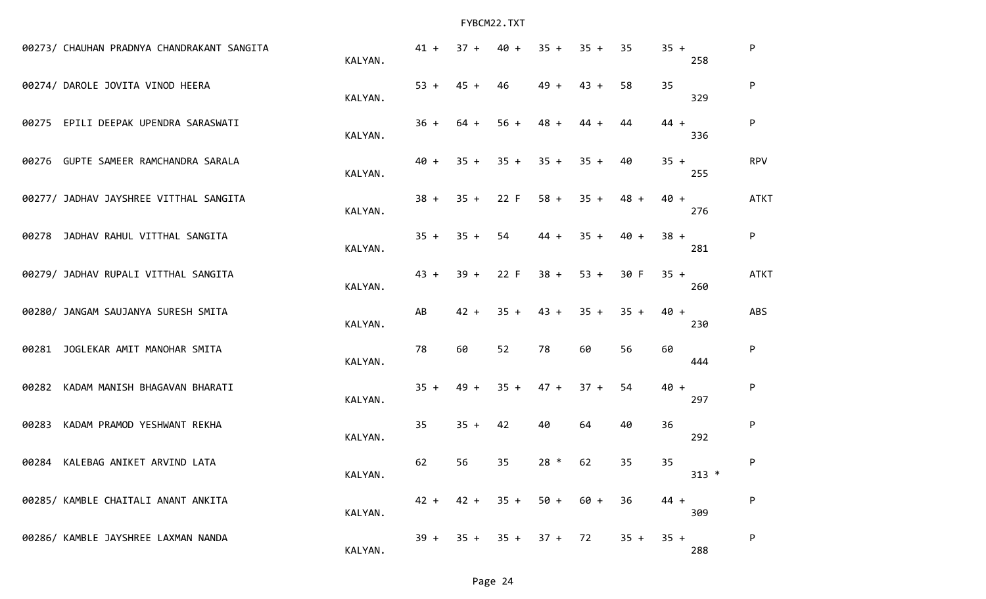| 00273/ CHAUHAN PRADNYA CHANDRAKANT SANGITA | KALYAN. | $41 +$ | $37 +$ | $40 +$ | $35 +$           | $35 +$ | 35     | $35 +$<br>258 | P           |
|--------------------------------------------|---------|--------|--------|--------|------------------|--------|--------|---------------|-------------|
| 00274/ DAROLE JOVITA VINOD HEERA           | KALYAN. | $53 +$ | $45 +$ | 46     | $49 +$           | $43 +$ | 58     | 35<br>329     | P           |
| 00275 EPILI DEEPAK UPENDRA SARASWATI       | KALYAN. | $36 +$ | $64 +$ | $56 +$ | $48 +$           | $44 +$ | 44     | $44 +$<br>336 | P           |
| 00276 GUPTE SAMEER RAMCHANDRA SARALA       | KALYAN. | $40 +$ | $35 +$ | $35 +$ | $35 +$           | $35 +$ | 40     | $35 +$<br>255 | <b>RPV</b>  |
| 00277/ JADHAV JAYSHREE VITTHAL SANGITA     | KALYAN. | $38 +$ | $35 +$ | 22 F   | $58 +$           | $35 +$ | $48 +$ | $40 +$<br>276 | <b>ATKT</b> |
| 00278 JADHAV RAHUL VITTHAL SANGITA         | KALYAN. | $35 +$ | $35 +$ | 54     | $44 +$           | $35 +$ | $40 +$ | $38 +$<br>281 | P           |
| 00279/ JADHAV RUPALI VITTHAL SANGITA       | KALYAN. | $43 +$ | $39 +$ | 22 F   | $38 +$           | $53 +$ | 30 F   | $35 +$<br>260 | <b>ATKT</b> |
| 00280/ JANGAM SAUJANYA SURESH SMITA        | KALYAN. | AB     | $42 +$ | $35 +$ | $43 +$           | $35 +$ | $35 +$ | $40 +$<br>230 | <b>ABS</b>  |
| JOGLEKAR AMIT MANOHAR SMITA<br>00281       | KALYAN. | 78     | 60     | 52     | 78               | 60     | 56     | 60<br>444     | P           |
| KADAM MANISH BHAGAVAN BHARATI<br>00282     | KALYAN. | $35 +$ | $49 +$ | $35 +$ | $47 +$           | $37 +$ | 54     | $40 +$<br>297 | P           |
| KADAM PRAMOD YESHWANT REKHA<br>00283       | KALYAN. | 35     | $35 +$ | 42     | 40               | 64     | 40     | 36<br>292     | P           |
| KALEBAG ANIKET ARVIND LATA<br>00284        | KALYAN. | 62     | 56     | 35     | $28 *$           | 62     | 35     | 35<br>$313 *$ | P           |
| 00285/ KAMBLE CHAITALI ANANT ANKITA        | KALYAN. | $42 +$ | $42 +$ |        | $35 + 50 + 60 +$ |        | 36     | $44 +$<br>309 | P           |
| 00286/ KAMBLE JAYSHREE LAXMAN NANDA        | KALYAN. | $39 +$ | $35 +$ |        | $35 + 37 +$      | 72     | $35 +$ | $35 +$<br>288 | P           |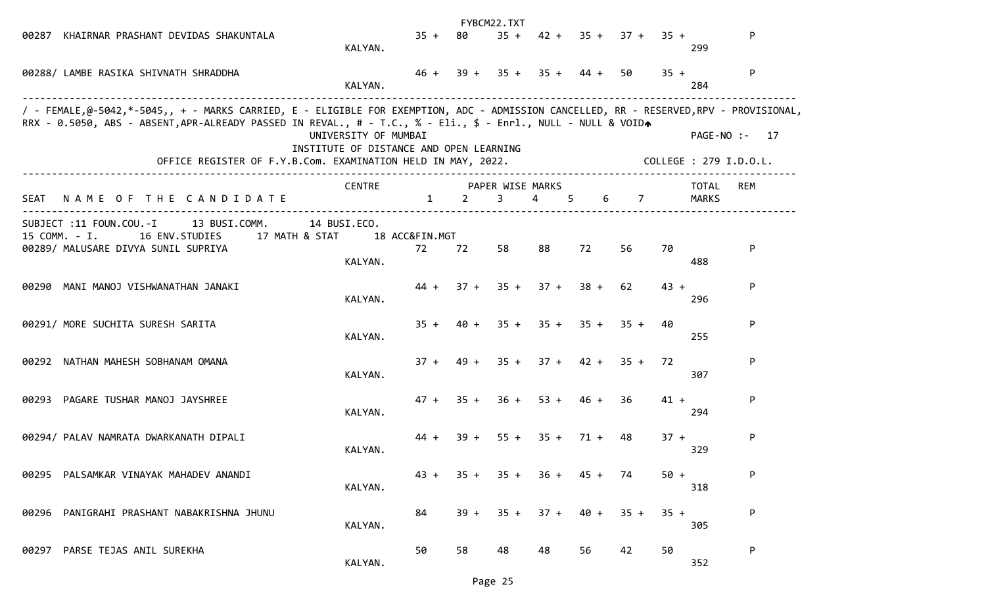|             |                                                                                                                                                                                                                                                                                                                        |                                                                 |                      |        | FYBCM22.TXT           |                            |             |                       |        |                        |               |
|-------------|------------------------------------------------------------------------------------------------------------------------------------------------------------------------------------------------------------------------------------------------------------------------------------------------------------------------|-----------------------------------------------------------------|----------------------|--------|-----------------------|----------------------------|-------------|-----------------------|--------|------------------------|---------------|
| 00287       | KHAIRNAR PRASHANT DEVIDAS SHAKUNTALA                                                                                                                                                                                                                                                                                   | KALYAN.                                                         | $35 +$               | 80     | $35 +$                |                            |             | $42 + 35 + 37 + 35 +$ |        | 299                    | P             |
|             | 00288/ LAMBE RASIKA SHIVNATH SHRADDHA                                                                                                                                                                                                                                                                                  | KALYAN.                                                         | $46 +$               |        |                       | $39 + 35 + 35 + 44 +$      |             | 50                    | $35 +$ | 284                    | P             |
|             | / - FEMALE,@-5042,*-5045,, + - MARKS CARRIED, E - ELIGIBLE FOR EXEMPTION, ADC - ADMISSION CANCELLED, RR - RESERVED,RPV - PROVISIONAL,<br>RRX - 0.5050, ABS - ABSENT, APR-ALREADY PASSED IN REVAL., # - T.C., % - Eli., \$ - Enrl., NULL - NULL & VOIDA<br>OFFICE REGISTER OF F.Y.B.Com. EXAMINATION HELD IN MAY, 2022. | UNIVERSITY OF MUMBAI<br>INSTITUTE OF DISTANCE AND OPEN LEARNING |                      |        |                       |                            |             |                       |        | COLLEGE : 279 I.D.O.L. | PAGE-NO :- 17 |
| <b>SEAT</b> | NAME OF THE CANDIDATE                                                                                                                                                                                                                                                                                                  | <b>CENTRE</b>                                                   | $\mathbf{1}$         | 2      | PAPER WISE MARKS<br>3 | $\overline{4}$<br>5        | 6           | $\overline{7}$        |        | <b>TOTAL</b><br>MARKS  | REM           |
|             | SUBJECT :11 FOUN.COU.-I<br>13 BUSI.COMM.<br>15 COMM. - I.<br>16 ENV.STUDIES<br>17 MATH & STAT<br>00289/ MALUSARE DIVYA SUNIL SUPRIYA                                                                                                                                                                                   | 14 BUSI.ECO.<br>KALYAN.                                         | 18 ACC&FIN.MGT<br>72 | 72     | 58                    | 88                         | 72          | 56                    | 70     | 488                    | P             |
| 00290       | MANI MANOJ VISHWANATHAN JANAKI                                                                                                                                                                                                                                                                                         | KALYAN.                                                         | $44 +$               | $37 +$ | $35 +$                | $37 +$                     | $38 +$      | 62                    | $43 +$ | 296                    | P             |
|             | 00291/ MORE SUCHITA SURESH SARITA                                                                                                                                                                                                                                                                                      | KALYAN.                                                         | $35 +$               |        | $40 + 35 +$           |                            | $35 + 35 +$ | $35 +$                | 40     | 255                    | P             |
|             | 00292 NATHAN MAHESH SOBHANAM OMANA                                                                                                                                                                                                                                                                                     | KALYAN.                                                         | $37 +$               |        |                       | $49 + 35 + 37 + 42 + 35 +$ |             |                       | 72     | 307                    | P             |
|             | 00293 PAGARE TUSHAR MANOJ JAYSHREE                                                                                                                                                                                                                                                                                     | KALYAN.                                                         | $47 +$               | $35 +$ | $36 +$                | $53 +$                     | $46 +$      | 36                    | $41 +$ | 294                    | P             |
|             | 00294/ PALAV NAMRATA DWARKANATH DIPALI                                                                                                                                                                                                                                                                                 | KALYAN.                                                         | $44 +$               | $39 +$ | $55 +$                | $35 +$                     | $71 +$      | 48                    | $37 +$ | 329                    | P             |
|             | 00295 PALSAMKAR VINAYAK MAHADEV ANANDI                                                                                                                                                                                                                                                                                 | KALYAN.                                                         | $43 +$               | $35 +$ | $35 +$                | $36 +$                     | $45 +$      | 74                    | $50 +$ | 318                    | P             |
|             | 00296 PANIGRAHI PRASHANT NABAKRISHNA JHUNU                                                                                                                                                                                                                                                                             | KALYAN.                                                         | 84                   | $39 +$ | $35 +$                | $37 +$                     | $40 +$      | $35 +$                | $35 +$ | 305                    | P             |
| 00297       | PARSE TEJAS ANIL SUREKHA                                                                                                                                                                                                                                                                                               | KALYAN.                                                         | 50                   | 58     | 48                    | 48                         | 56          | 42                    | 50     | 352                    | P             |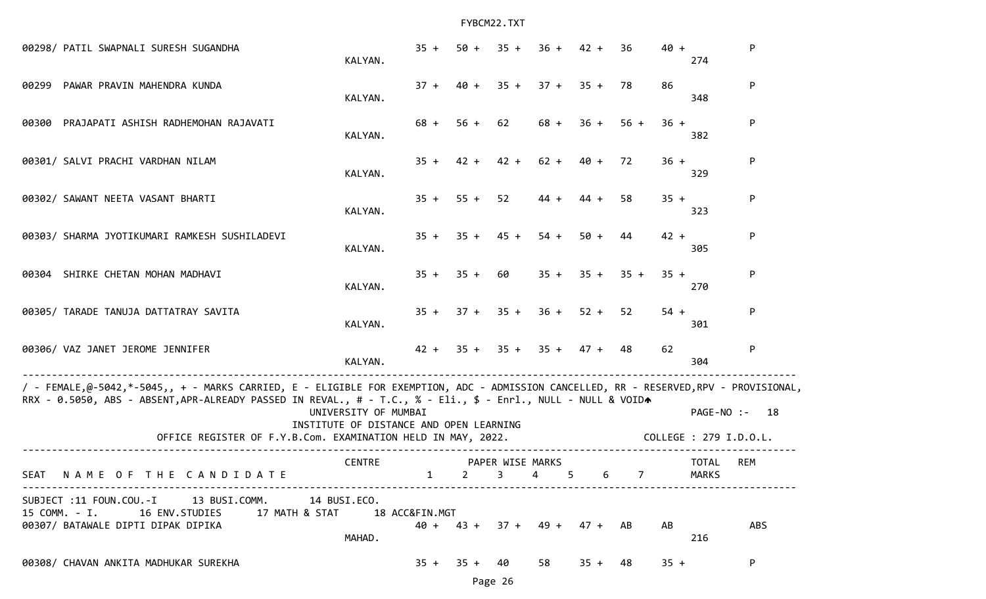| 00298/ PATIL SWAPNALI SURESH SUGANDHA                                                                                                                                                                                                                                                                                  | KALYAN.                                                         | $35 +$         | $50 +$                         | $35 +$                       | $36 +$         | $42 +$                        | 36             | $40 +$ | 274                          | P             |
|------------------------------------------------------------------------------------------------------------------------------------------------------------------------------------------------------------------------------------------------------------------------------------------------------------------------|-----------------------------------------------------------------|----------------|--------------------------------|------------------------------|----------------|-------------------------------|----------------|--------|------------------------------|---------------|
| PAWAR PRAVIN MAHENDRA KUNDA<br>00299                                                                                                                                                                                                                                                                                   | KALYAN.                                                         | $37 +$         | 40 +                           | $35 +$                       |                | $37 + 35 +$                   | 78             | 86     | 348                          | P.            |
| 00300 PRAJAPATI ASHISH RADHEMOHAN RAJAVATI                                                                                                                                                                                                                                                                             | KALYAN.                                                         | $68 +$         | $56 +$                         | 62                           | 68 +           | $36 +$                        | $56 +$         | $36 +$ | 382                          | P             |
| 00301/ SALVI PRACHI VARDHAN NILAM                                                                                                                                                                                                                                                                                      | KALYAN.                                                         | $35 +$         | $42 +$                         | $42 +$                       |                | $62 + 40 +$                   | 72             | $36 +$ | 329                          | P             |
| 00302/ SAWANT NEETA VASANT BHARTI                                                                                                                                                                                                                                                                                      | KALYAN.                                                         | $35 +$         | $55 + 52$                      |                              | $44 +$         | $44 +$                        | 58             | $35 +$ | 323                          | P             |
| 00303/ SHARMA JYOTIKUMARI RAMKESH SUSHILADEVI                                                                                                                                                                                                                                                                          | KALYAN.                                                         | $35 +$         | $35 +$                         | $45 +$                       | $54 +$         | $50 +$                        | 44             | $42 +$ | 305                          | P             |
| 00304 SHIRKE CHETAN MOHAN MADHAVI                                                                                                                                                                                                                                                                                      | KALYAN.                                                         | $35 +$         | $35 +$                         | 60                           | $35 +$         | $35 +$                        | $35 +$         | $35 +$ | 270                          | P             |
| 00305/ TARADE TANUJA DATTATRAY SAVITA                                                                                                                                                                                                                                                                                  | KALYAN.                                                         | $35 +$         |                                | $37 + 35 +$                  | $36 +$         | $52 +$                        | 52             | $54 +$ | 301                          | P             |
| 00306/ VAZ JANET JEROME JENNIFER                                                                                                                                                                                                                                                                                       | KALYAN.                                                         |                |                                |                              |                | $42 + 35 + 35 + 35 + 47 + 48$ |                | 62     | 304                          | P             |
| / - FEMALE,@-5042,*-5045,, + - MARKS CARRIED, E - ELIGIBLE FOR EXEMPTION, ADC - ADMISSION CANCELLED, RR - RESERVED,RPV - PROVISIONAL,<br>RRX - 0.5050, ABS - ABSENT, APR-ALREADY PASSED IN REVAL., # - T.C., % - Eli., \$ - Enrl., NULL - NULL & VOIDA<br>OFFICE REGISTER OF F.Y.B.Com. EXAMINATION HELD IN MAY, 2022. | UNIVERSITY OF MUMBAI<br>INSTITUTE OF DISTANCE AND OPEN LEARNING |                |                                |                              |                |                               |                |        | COLLEGE : 279 I.D.O.L.       | PAGE-NO :- 18 |
| <b>SEAT</b><br>NAME OF THE CANDIDATE                                                                                                                                                                                                                                                                                   | <b>CENTRE</b>                                                   | $\mathbf{1}$   | $2 \left( \frac{1}{2} \right)$ | PAPER WISE MARKS<br>$3 \sim$ | $\overline{4}$ | 5 6                           | $\overline{7}$ |        | <b>TOTAL</b><br><b>MARKS</b> | <b>REM</b>    |
| SUBJECT :11 FOUN.COU.-I 13 BUSI.COMM. 14 BUSI.ECO.<br>15 COMM. - I.<br>16 ENV.STUDIES<br>17 MATH & STAT<br>00307/ BATAWALE DIPTI DIPAK DIPIKA                                                                                                                                                                          | MAHAD.                                                          | 18 ACC&FIN.MGT |                                |                              |                | $40 + 43 + 37 + 49 + 47 + AB$ |                | AB     | 216                          | <b>ABS</b>    |
| 00308/ CHAVAN ANKITA MADHUKAR SUREKHA                                                                                                                                                                                                                                                                                  |                                                                 | $35 +$         | $35 +$                         | 40                           | 58             | $35 +$                        | 48             | $35 +$ |                              | P             |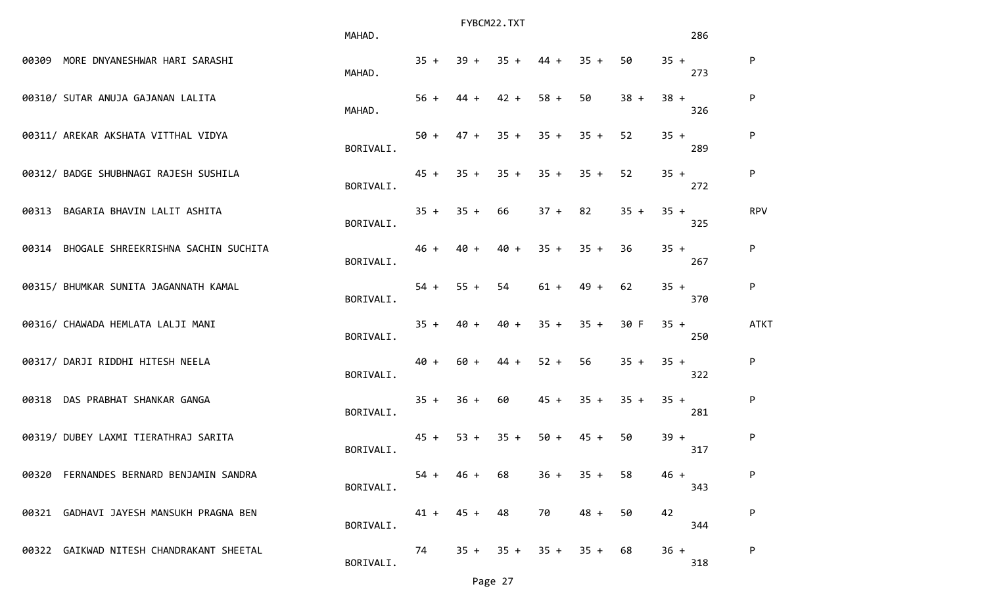|       |                                           | MAHAD.    |        |             | FYBCM22.TXT |           |        |        |        | 286 |             |
|-------|-------------------------------------------|-----------|--------|-------------|-------------|-----------|--------|--------|--------|-----|-------------|
|       | 00309 MORE DNYANESHWAR HARI SARASHI       | MAHAD.    | $35 +$ | $39 +$      | $35 +$      | $44 +$    | $35 +$ | 50     | $35 +$ | 273 | ${\sf P}$   |
|       | 00310/ SUTAR ANUJA GAJANAN LALITA         | MAHAD.    | $56 +$ | $44 +$      | $42 +$      | $58 +$    | 50     | $38 +$ | $38 +$ | 326 | ${\sf P}$   |
|       | 00311/ AREKAR AKSHATA VITTHAL VIDYA       | BORIVALI. | $50 +$ | $47 +$      | $35 +$      | $35 +$    | $35 +$ | 52     | $35 +$ | 289 | ${\sf P}$   |
|       | 00312/ BADGE SHUBHNAGI RAJESH SUSHILA     | BORIVALI. |        | $45 + 35 +$ | $35 +$      | $35 +$    | $35 +$ | 52     | $35 +$ | 272 | ${\sf P}$   |
| 00313 | BAGARIA BHAVIN LALIT ASHITA               | BORIVALI. | $35 +$ | $35 +$      | 66          | $37 + 82$ |        | $35 +$ | $35 +$ | 325 | <b>RPV</b>  |
|       | 00314 BHOGALE SHREEKRISHNA SACHIN SUCHITA | BORIVALI. | $46 +$ | $40 +$      | $40 +$      | $35 +$    | $35 +$ | 36     | $35 +$ | 267 | ${\sf P}$   |
|       | 00315/ BHUMKAR SUNITA JAGANNATH KAMAL     | BORIVALI. | $54 +$ | $55 +$      | 54          | $61 +$    | $49 +$ | 62     | $35 +$ | 370 | P           |
|       | 00316/ CHAWADA HEMLATA LALJI MANI         | BORIVALI. | $35 +$ | $40 +$      | $40 +$      | $35 +$    | $35 +$ | 30 F   | $35 +$ | 250 | <b>ATKT</b> |
|       | 00317/ DARJI RIDDHI HITESH NEELA          | BORIVALI. | $40 +$ | $60 +$      | $44 +$      | $52 +$    | 56     | $35 +$ | $35 +$ | 322 | P           |
|       | 00318 DAS PRABHAT SHANKAR GANGA           | BORIVALI. | $35 +$ | $36 +$      | 60          | $45 +$    | $35 +$ | $35 +$ | $35 +$ | 281 | P           |
|       | 00319/ DUBEY LAXMI TIERATHRAJ SARITA      | BORIVALI. | $45 +$ | $53 +$      | $35 +$      | $50 +$    | $45 +$ | 50     | $39 +$ | 317 | ${\sf P}$   |
|       | 00320 FERNANDES BERNARD BENJAMIN SANDRA   | BORIVALI. | $54 +$ | $46 +$      | 68          | $36 +$    | $35 +$ | 58     | $46 +$ | 343 | P           |
|       | 00321 GADHAVI JAYESH MANSUKH PRAGNA BEN   | BORIVALI. | $41 +$ | $45 +$      | 48          | 70        | $48 +$ | 50     | 42     | 344 | P           |
|       | 00322 GAIKWAD NITESH CHANDRAKANT SHEETAL  | BORIVALI. | 74     | $35 +$      | $35 +$      | $35 +$    | $35 +$ | 68     | $36 +$ | 318 | P           |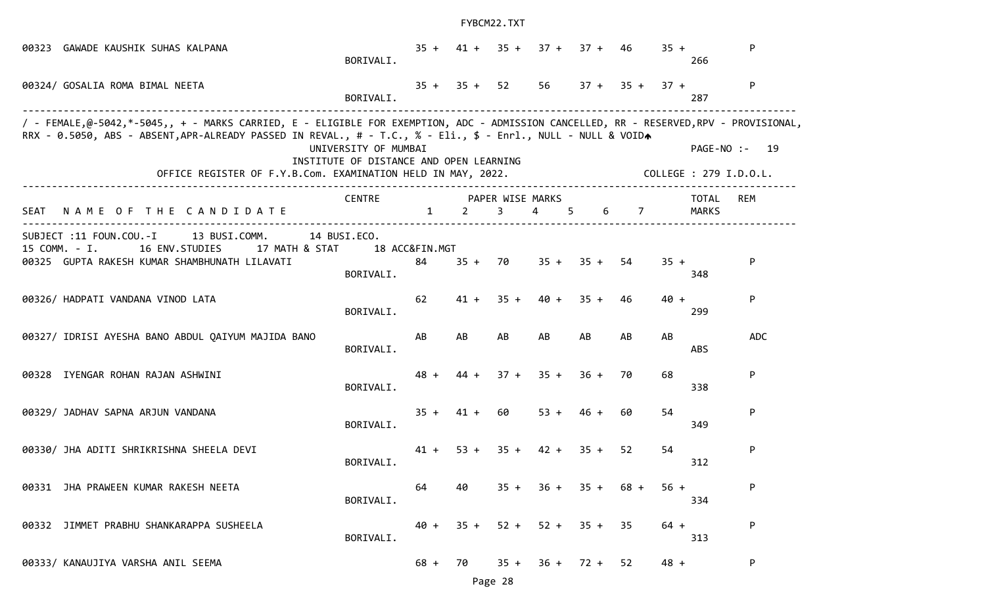| 00323 | GAWADE KAUSHIK SUHAS KALPANA                                                                                                                                                                                                                                                                                           | BORIVALI.                                                       |                      |                | $35 + 41 + 35 +$      | $37 +$         | $37 + 46$   |                  | $35 +$ | 266                    | P.            |
|-------|------------------------------------------------------------------------------------------------------------------------------------------------------------------------------------------------------------------------------------------------------------------------------------------------------------------------|-----------------------------------------------------------------|----------------------|----------------|-----------------------|----------------|-------------|------------------|--------|------------------------|---------------|
|       | 00324/ GOSALIA ROMA BIMAL NEETA                                                                                                                                                                                                                                                                                        | BORIVALI.                                                       |                      | $35 + 35 + 52$ |                       | 56             |             | $37 + 35 + 37 +$ |        | 287                    | P             |
|       | / - FEMALE,@-5042,*-5045,, + - MARKS CARRIED, E - ELIGIBLE FOR EXEMPTION, ADC - ADMISSION CANCELLED, RR - RESERVED,RPV - PROVISIONAL,<br>RRX - 0.5050, ABS - ABSENT, APR-ALREADY PASSED IN REVAL., # - T.C., % - Eli., \$ - Enrl., NULL - NULL & VOIDA<br>OFFICE REGISTER OF F.Y.B.Com. EXAMINATION HELD IN MAY, 2022. | UNIVERSITY OF MUMBAI<br>INSTITUTE OF DISTANCE AND OPEN LEARNING |                      |                |                       |                |             |                  |        | COLLEGE : 279 I.D.O.L. | PAGE-NO :- 19 |
| SEAT  | NAME OF THE CANDIDATE                                                                                                                                                                                                                                                                                                  | <b>CENTRE</b>                                                   | $\mathbf{1}$         | 2              | PAPER WISE MARKS<br>3 | $\overline{4}$ | 6<br>5      | $\overline{7}$   |        | <b>TOTAL</b><br>MARKS  | REM           |
|       | SUBJECT :11 FOUN.COU.-I<br>13 BUSI.COMM.<br>15 COMM. - I.<br>16 ENV.STUDIES<br>17 MATH & STAT<br>00325 GUPTA RAKESH KUMAR SHAMBHUNATH LILAVATI                                                                                                                                                                         | 14 BUSI.ECO.<br>BORIVALI.                                       | 18 ACC&FIN.MGT<br>84 | $35 +$         | 70                    |                | $35 + 35 +$ | 54               | $35 +$ | 348                    | P.            |
|       | 00326/ HADPATI VANDANA VINOD LATA                                                                                                                                                                                                                                                                                      | BORIVALI.                                                       | 62                   | $41 +$         | $35 +$                | $40 +$         | $35 +$      | 46               | $40 +$ | 299                    | P             |
|       | 00327/ IDRISI AYESHA BANO ABDUL QAIYUM MAJIDA BANO                                                                                                                                                                                                                                                                     | BORIVALI.                                                       | AB                   | AB             | AB                    | AB             | AB          | AB               | AB     | <b>ABS</b>             | <b>ADC</b>    |
|       | 00328 IYENGAR ROHAN RAJAN ASHWINI                                                                                                                                                                                                                                                                                      | BORIVALI.                                                       | $48 +$               | $44 +$         | $37 +$                | $35 +$         | $36 +$      | 70               | 68     | 338                    | P             |
|       | 00329/ JADHAV SAPNA ARJUN VANDANA                                                                                                                                                                                                                                                                                      | BORIVALI.                                                       | $35 +$               | $41 +$         | 60                    | $53 +$         | $46 +$      | 60               | 54     | 349                    | P             |
|       | 00330/ JHA ADITI SHRIKRISHNA SHEELA DEVI                                                                                                                                                                                                                                                                               | BORIVALI.                                                       | $41 +$               | $53 +$         | $35 +$                | $42 +$         | $35 +$      | 52               | 54     | 312                    | P             |
|       | 00331 JHA PRAWEEN KUMAR RAKESH NEETA                                                                                                                                                                                                                                                                                   | BORIVALI.                                                       | 64                   | 40             | $35 +$                | $36 +$         | $35 +$      | $68 +$           | $56 +$ | 334                    | P             |
|       | 00332 JIMMET PRABHU SHANKARAPPA SUSHEELA                                                                                                                                                                                                                                                                               | BORIVALI.                                                       | $40 +$               | $35 +$         | $52 +$                |                | $52 + 35 +$ | -35              | $64 +$ | 313                    | P             |
|       | 00333/ KANAUJIYA VARSHA ANIL SEEMA                                                                                                                                                                                                                                                                                     |                                                                 | $68 +$               | 70             | $35 +$                | $36 +$         | $72 +$      | 52               | $48 +$ |                        | P             |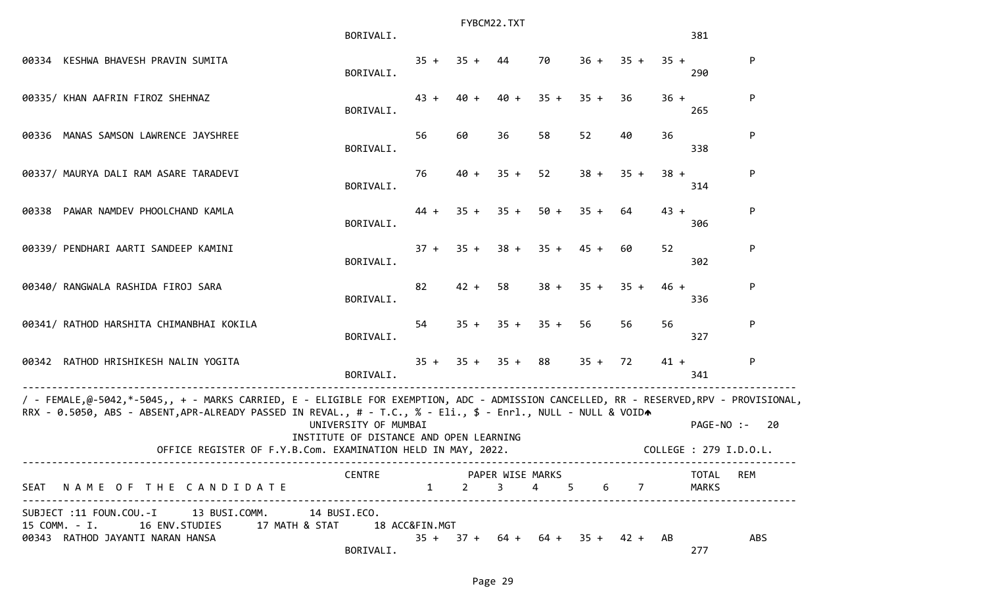|                                                                                                                                                                                                                                                        | BORIVALI.                               |        | FYBCM22.TXT |                |        |           |                                    |        | 381                    |            |
|--------------------------------------------------------------------------------------------------------------------------------------------------------------------------------------------------------------------------------------------------------|-----------------------------------------|--------|-------------|----------------|--------|-----------|------------------------------------|--------|------------------------|------------|
| 00334 KESHWA BHAVESH PRAVIN SUMITA                                                                                                                                                                                                                     | BORIVALI.                               | $35 +$ | $35 +$      | 44             | 70     | 36 +      | $35 +$                             | $35 +$ | 290                    | P          |
| 00335/ KHAN AAFRIN FIROZ SHEHNAZ                                                                                                                                                                                                                       | BORIVALI.                               | $43 +$ | $40 +$      | $40 +$         | $35 +$ | $35 +$    | 36                                 | $36 +$ | 265                    | P          |
| 00336 MANAS SAMSON LAWRENCE JAYSHREE                                                                                                                                                                                                                   | BORIVALI.                               | 56     | 60          | 36             | 58     | 52        | 40                                 | 36     | 338                    | P          |
| 00337/ MAURYA DALI RAM ASARE TARADEVI                                                                                                                                                                                                                  | BORIVALI.                               | 76     | $40 +$      | $35 +$         | 52     | $38 +$    | $35 +$                             | $38 +$ | 314                    | P          |
| 00338 PAWAR NAMDEV PHOOLCHAND KAMLA                                                                                                                                                                                                                    | BORIVALI.                               | 44 +   | $35 +$      | $35 +$         | $50 +$ | $35 +$    | 64                                 | $43 +$ | 306                    | P          |
| 00339/ PENDHARI AARTI SANDEEP KAMINI                                                                                                                                                                                                                   | BORIVALI.                               | $37 +$ | $35 +$      | $38 +$         | $35 +$ | $45 +$    | 60                                 | 52     | 302                    | P          |
| 00340/ RANGWALA RASHIDA FIROJ SARA                                                                                                                                                                                                                     | BORIVALI.                               | 82     | $42 +$      | 58             | $38 +$ | $35 +$    | $35 +$                             | $46 +$ | 336                    | P          |
| 00341/ RATHOD HARSHITA CHIMANBHAI KOKILA                                                                                                                                                                                                               | BORIVALI.                               | 54     | $35 +$      | $35 +$         | $35 +$ | 56        | 56                                 | 56     | 327                    | P          |
| 00342 RATHOD HRISHIKESH NALIN YOGITA                                                                                                                                                                                                                   | BORIVALI.                               | $35 +$ |             | $35 + 35 + 88$ |        | $35 + 72$ |                                    | $41 +$ | 341                    | P          |
| / - FEMALE,@-5042,*-5045,, + - MARKS CARRIED, E - ELIGIBLE FOR EXEMPTION, ADC - ADMISSION CANCELLED, RR - RESERVED,RPV - PROVISIONAL,<br>RRX - 0.5050, ABS - ABSENT, APR-ALREADY PASSED IN REVAL., # - T.C., % - Eli., \$ - Enrl., NULL - NULL & VOIDA | UNIVERSITY OF MUMBAI                    |        |             |                |        |           |                                    |        | PAGE-NO :-             | 20         |
| OFFICE REGISTER OF F.Y.B.Com. EXAMINATION HELD IN MAY, 2022.                                                                                                                                                                                           | INSTITUTE OF DISTANCE AND OPEN LEARNING |        |             |                |        |           |                                    |        | COLLEGE : 279 I.D.O.L. |            |
| SEAT NAME OF THE CANDIDATE 1 2 3                                                                                                                                                                                                                       | CENTRE PAPER WISE MARKS                 |        |             |                | 4 5    |           | 6 7                                |        | TOTAL<br>MARKS         | REM        |
| SUBJECT :11 FOUN.COU.-I 13 BUSI.COMM. 14 BUSI.ECO.<br>15 COMM. - I. 16 ENV. STUDIES 17 MATH & STAT 18 ACC&FIN. MGT<br>00343 RATHOD JAYANTI NARAN HANSA                                                                                                 | BORIVALI.                               |        |             |                |        |           | $35 + 37 + 64 + 64 + 35 + 42 + AB$ |        | 277                    | <b>ABS</b> |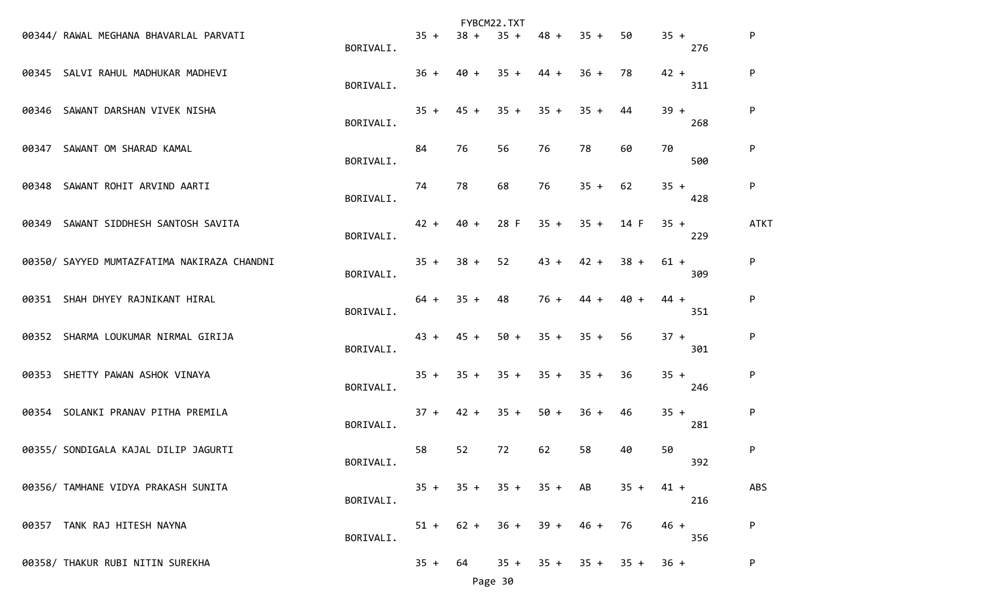|                                             |           |        |        | FYBCM22.TXT |           |        |        |        |     |             |
|---------------------------------------------|-----------|--------|--------|-------------|-----------|--------|--------|--------|-----|-------------|
| 00344/ RAWAL MEGHANA BHAVARLAL PARVATI      | BORIVALI. | $35 +$ | $38 +$ | $35 +$      | $48 +$    | $35 +$ | 50     | $35 +$ | 276 | P           |
| 00345 SALVI RAHUL MADHUKAR MADHEVI          | BORIVALI. | $36 +$ | $40 +$ | $35 +$      | $44 +$    | $36 +$ | 78     | $42 +$ | 311 | P           |
| 00346 SAWANT DARSHAN VIVEK NISHA            | BORIVALI. | $35 +$ | $45 +$ | $35 +$      | $35 +$    | $35 +$ | 44     | $39 +$ | 268 | P           |
| 00347 SAWANT OM SHARAD KAMAL                | BORIVALI. | 84     | 76     | 56          | 76        | 78     | 60     | 70     | 500 | P           |
| 00348 SAWANT ROHIT ARVIND AARTI             | BORIVALI. | 74     | 78     | 68          | 76        | $35 +$ | 62     | $35 +$ | 428 | P           |
| 00349 SAWANT SIDDHESH SANTOSH SAVITA        | BORIVALI. | $42 +$ | $40 +$ | 28 F        | $35 +$    | $35 +$ | 14 F   | $35 +$ | 229 | <b>ATKT</b> |
| 00350/ SAYYED MUMTAZFATIMA NAKIRAZA CHANDNI | BORIVALI. | $35 +$ | $38 +$ | 52          | $43 +$    | $42 +$ | $38 +$ | $61 +$ | 309 | P           |
| 00351 SHAH DHYEY RAJNIKANT HIRAL            | BORIVALI. | $64 +$ | $35 +$ | 48          | $76 +$    | $44 +$ | $40 +$ | $44 +$ | 351 | P           |
| 00352 SHARMA LOUKUMAR NIRMAL GIRIJA         | BORIVALI. | 43 +   | $45 +$ | $50 +$      | $35 +$    | $35 +$ | 56     | $37 +$ | 301 | P           |
| 00353 SHETTY PAWAN ASHOK VINAYA             | BORIVALI. | $35 +$ | $35 +$ | $35 +$      | $35 +$    | $35 +$ | 36     | $35 +$ | 246 | P           |
| 00354 SOLANKI PRANAV PITHA PREMILA          | BORIVALI. | $37 +$ | $42 +$ | $35 +$      | $50 +$    | $36 +$ | 46     | $35 +$ | 281 | P           |
| 00355/ SONDIGALA KAJAL DILIP JAGURTI        | BORIVALI. | 58     | 52     | 72          | 62        | 58     | 40     | 50     | 392 | P           |
| 00356/ TAMHANE VIDYA PRAKASH SUNITA         | BORIVALI. | $35 +$ | $35 +$ | $35 +$      | $35 + AB$ |        | $35 +$ | $41 +$ | 216 | ABS         |
| 00357 TANK RAJ HITESH NAYNA                 | BORIVALI. | $51 +$ | $62 +$ | $36 +$      | $39 +$    | $46 +$ | 76     | $46 +$ | 356 | P           |
| 00358/ THAKUR RUBI NITIN SUREKHA            |           | $35 +$ | 64     | $35 +$      | $35 +$    | $35 +$ | $35 +$ | $36 +$ |     | P           |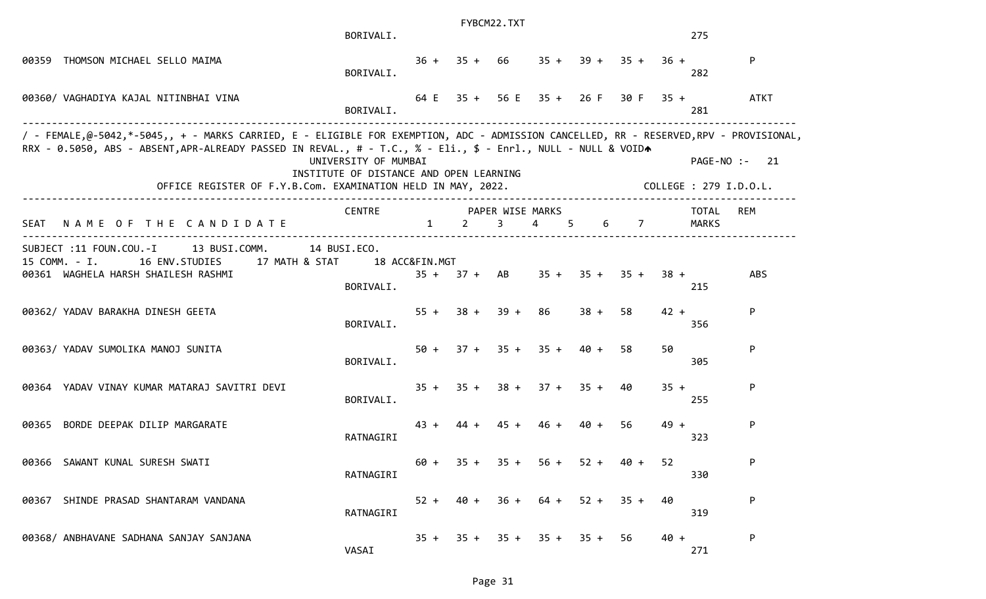|      |                                                                                                                                                                                                                                                                                                                        | BORIVALI.                                                       |              |              | FYBCM22.TXT    |                                                       |                                      |        |        | 275                   |                                         |
|------|------------------------------------------------------------------------------------------------------------------------------------------------------------------------------------------------------------------------------------------------------------------------------------------------------------------------|-----------------------------------------------------------------|--------------|--------------|----------------|-------------------------------------------------------|--------------------------------------|--------|--------|-----------------------|-----------------------------------------|
|      | 00359 THOMSON MICHAEL SELLO MAIMA                                                                                                                                                                                                                                                                                      | BORIVALI.                                                       |              |              |                |                                                       | $36 + 35 + 66$ $35 + 39 + 35 + 36 +$ |        |        | 282                   | P                                       |
|      | 00360/ VAGHADIYA KAJAL NITINBHAI VINA                                                                                                                                                                                                                                                                                  | BORIVALI.                                                       |              |              |                |                                                       | $64 E$ 35 + 56 E 35 + 26 F 30 F 35 + |        |        | 281                   | <b>ATKT</b>                             |
|      | / - FEMALE,@-5042,*-5045,, + - MARKS CARRIED, E - ELIGIBLE FOR EXEMPTION, ADC - ADMISSION CANCELLED, RR - RESERVED,RPV - PROVISIONAL,<br>RRX - 0.5050, ABS - ABSENT, APR-ALREADY PASSED IN REVAL., # - T.C., % - Eli., \$ - Enrl., NULL - NULL & VOIDA<br>OFFICE REGISTER OF F.Y.B.Com. EXAMINATION HELD IN MAY, 2022. | UNIVERSITY OF MUMBAI<br>INSTITUTE OF DISTANCE AND OPEN LEARNING |              |              |                |                                                       |                                      |        |        |                       | PAGE-NO :- 21<br>COLLEGE : 279 I.D.O.L. |
| SEAT | NAME OF THE CANDIDATE                                                                                                                                                                                                                                                                                                  | CENTRE                                                          | $\mathbf{1}$ | $\mathbf{2}$ | $\overline{3}$ | PAPER WISE MARKS<br>$\overline{4}$ and $\overline{4}$ | $5^{\circ}$                          | 6 7    |        | TOTAL<br><b>MARKS</b> | <b>REM</b>                              |
|      | SUBJECT :11 FOUN.COU.-I<br>13 BUSI.COMM.<br>15 COMM. - I.<br>16 ENV.STUDIES 17 MATH & STAT<br>00361 WAGHELA HARSH SHAILESH RASHMI                                                                                                                                                                                      | 14 BUSI.ECO.<br>18 ACC&FIN.MGT<br>BORIVALI.                     |              |              | $35 + 37 + AB$ |                                                       | $35 + 35 + 35 +$                     |        | $38 +$ | 215                   | <b>ABS</b>                              |
|      | 00362/ YADAV BARAKHA DINESH GEETA                                                                                                                                                                                                                                                                                      | BORIVALI.                                                       |              |              |                | $55 + 38 + 39 + 86$                                   | $38 +$                               | 58     | $42 +$ | 356                   | P                                       |
|      | 00363/ YADAV SUMOLIKA MANOJ SUNITA                                                                                                                                                                                                                                                                                     | BORIVALI.                                                       |              |              |                | $50 + 37 + 35 + 35 + 40 +$                            |                                      | 58     | 50     | 305                   | P                                       |
|      | 00364 YADAV VINAY KUMAR MATARAJ SAVITRI DEVI                                                                                                                                                                                                                                                                           | BORIVALI.                                                       |              |              |                |                                                       | $35 + 35 + 38 + 37 + 35 + 40$        |        | $35 +$ | 255                   | P                                       |
|      | 00365 BORDE DEEPAK DILIP MARGARATE                                                                                                                                                                                                                                                                                     | RATNAGIRI                                                       | $43 +$       |              | $44 + 45 +$    | 46 +                                                  | 40 +                                 | 56     | $49 +$ | 323                   | P                                       |
|      | 00366 SAWANT KUNAL SURESH SWATI                                                                                                                                                                                                                                                                                        | RATNAGIRI                                                       | 60 +         | $35 +$       | $35 +$         | $56 +$                                                | $52 +$                               | $40 +$ | 52     | 330                   | P                                       |
|      | 00367 SHINDE PRASAD SHANTARAM VANDANA                                                                                                                                                                                                                                                                                  | RATNAGIRI                                                       | $52 +$       | 40 +         | 36 +           | 64 +                                                  | $52 +$                               | $35 +$ | 40     | 319                   | P                                       |
|      | 00368/ ANBHAVANE SADHANA SANJAY SANJANA                                                                                                                                                                                                                                                                                | VASAI                                                           | $35 +$       | $35 +$       |                |                                                       | $35 + 35 + 35 +$                     | 56     | $40 +$ | 271                   | P                                       |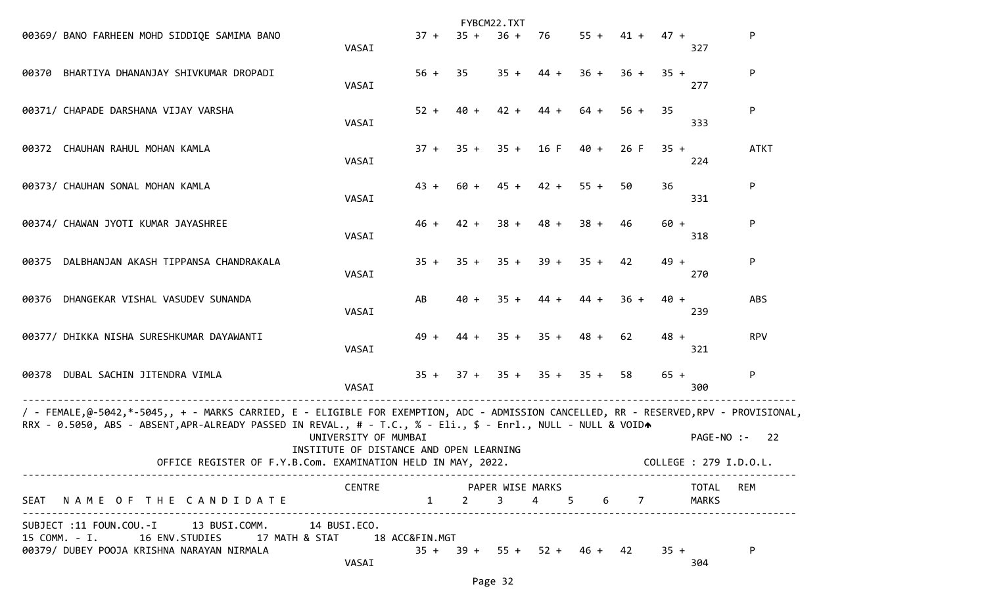|                                                                                                                                                                                                                                                        |                                                                 |        |         | FYBCM22.TXT                          |        |        |                          |                  |                                      |             |
|--------------------------------------------------------------------------------------------------------------------------------------------------------------------------------------------------------------------------------------------------------|-----------------------------------------------------------------|--------|---------|--------------------------------------|--------|--------|--------------------------|------------------|--------------------------------------|-------------|
| 00369/ BANO FARHEEN MOHD SIDDIQE SAMIMA BANO                                                                                                                                                                                                           | VASAI                                                           | $37 +$ | $35 +$  | $36 +$                               | -76    |        |                          | $55 + 41 + 47 +$ | 327                                  | P           |
| 00370 BHARTIYA DHANANJAY SHIVKUMAR DROPADI                                                                                                                                                                                                             | VASAI                                                           | $56 +$ | 35      | $35 +$                               | $44 +$ | $36 +$ | $36 +$                   | $35 +$           | 277                                  | P           |
| 00371/ CHAPADE DARSHANA VIJAY VARSHA                                                                                                                                                                                                                   | VASAI                                                           | $52 +$ | $40 +$  | $42 +$                               | $44 +$ | 64 +   | $56 +$                   | 35               | 333                                  | P           |
| 00372 CHAUHAN RAHUL MOHAN KAMLA                                                                                                                                                                                                                        | VASAI                                                           | $37 +$ | $35 +$  | $35 +$                               | 16 F   | 40 +   | 26 F                     | $35 +$           | 224                                  | <b>ATKT</b> |
| 00373/ CHAUHAN SONAL MOHAN KAMLA                                                                                                                                                                                                                       | VASAI                                                           | $43 +$ | 60 +    | $45 +$                               | $42 +$ | $55 +$ | 50                       | 36               | 331                                  | P           |
| 00374/ CHAWAN JYOTI KUMAR JAYASHREE                                                                                                                                                                                                                    | VASAI                                                           | $46 +$ | $42 +$  | $38 +$                               | $48 +$ | $38 +$ | 46                       | $60 +$           | 318                                  | P           |
| DALBHANJAN AKASH TIPPANSA CHANDRAKALA<br>00375                                                                                                                                                                                                         | VASAI                                                           | $35 +$ | $35 +$  | $35 +$                               | $39 +$ | $35 +$ | 42                       | $49 +$           | 270                                  | P           |
| DHANGEKAR VISHAL VASUDEV SUNANDA<br>00376                                                                                                                                                                                                              | VASAI                                                           | AB     | $40 +$  | $35 +$                               | $44 +$ | $44 +$ | $36 +$                   | $40 +$           | 239                                  | ABS         |
| 00377/ DHIKKA NISHA SURESHKUMAR DAYAWANTI                                                                                                                                                                                                              | VASAI                                                           | $49 +$ | $44 +$  | $35 +$                               | $35 +$ | $48 +$ | 62                       | $48 +$           | 321                                  | <b>RPV</b>  |
| 00378 DUBAL SACHIN JITENDRA VIMLA                                                                                                                                                                                                                      | VASAI                                                           | $35 +$ |         | $37 + 35 + 35 +$                     |        | $35 +$ | 58                       | $65 +$           | 300                                  | P           |
| / - FEMALE,@-5042,*-5045,, + - MARKS CARRIED, E - ELIGIBLE FOR EXEMPTION, ADC - ADMISSION CANCELLED, RR - RESERVED,RPV - PROVISIONAL,<br>RRX - 0.5050, ABS - ABSENT, APR-ALREADY PASSED IN REVAL., # - T.C., % - Eli., \$ - Enrl., NULL - NULL & VOIDA |                                                                 |        |         |                                      |        |        |                          |                  |                                      |             |
| OFFICE REGISTER OF F.Y.B.Com. EXAMINATION HELD IN MAY, 2022.                                                                                                                                                                                           | UNIVERSITY OF MUMBAI<br>INSTITUTE OF DISTANCE AND OPEN LEARNING |        |         |                                      |        |        |                          |                  | PAGE-NO :-<br>COLLEGE : 279 I.D.O.L. | 22          |
| SEAT NAME OF THE CANDIDATE                                                                                                                                                                                                                             | CENTRE PAPER WISE MARKS                                         |        | $1 \t2$ | 3 <sup>7</sup>                       | 4 5    |        | 6 - 10<br>$\overline{7}$ |                  | TOTAL<br>MARKS                       | <b>REM</b>  |
| SUBJECT :11 FOUN.COU.-I 13 BUSI.COMM. 14 BUSI.ECO.<br>15 COMM. - I. 16 ENV. STUDIES 17 MATH & STAT 18 ACC&FIN.MGT<br>00379/ DUBEY POOJA KRISHNA NARAYAN NIRMALA                                                                                        | VASAI                                                           |        |         | $35 + 39 + 55 + 52 + 46 + 42$ $35 +$ |        |        |                          |                  | 304                                  | P           |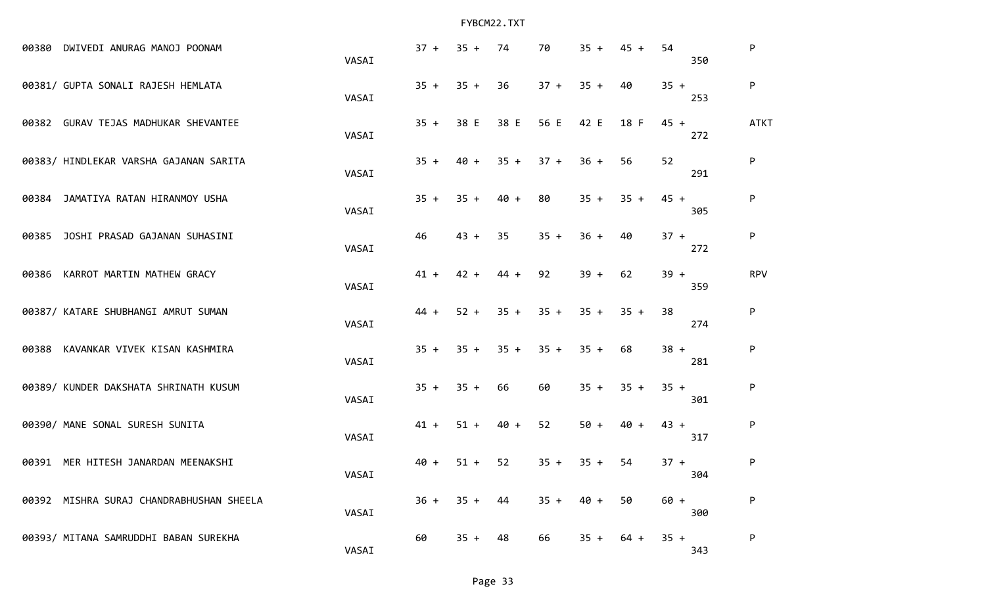|       | 00380 DWIVEDI ANURAG MANOJ POONAM        | VASAI | $37 +$ | $35 +$ | 74     | 70     | $35 +$ | $45 +$ | 54     | 350 | P           |
|-------|------------------------------------------|-------|--------|--------|--------|--------|--------|--------|--------|-----|-------------|
|       | 00381/ GUPTA SONALI RAJESH HEMLATA       | VASAI | $35 +$ | $35 +$ | 36     | $37 +$ | $35 +$ | 40     | $35 +$ | 253 | ${\sf P}$   |
|       | 00382 GURAV TEJAS MADHUKAR SHEVANTEE     | VASAI | $35 +$ | 38 E   | 38 E   | 56 E   | 42 E   | 18 F   | $45 +$ | 272 | <b>ATKT</b> |
|       | 00383/ HINDLEKAR VARSHA GAJANAN SARITA   | VASAI | $35 +$ | $40 +$ | $35 +$ | $37 +$ | $36 +$ | 56     | 52     | 291 | ${\sf P}$   |
| 00384 | JAMATIYA RATAN HIRANMOY USHA             | VASAI | $35 +$ | $35 +$ | $40 +$ | 80     | $35 +$ | $35 +$ | $45 +$ | 305 | ${\sf P}$   |
| 00385 | JOSHI PRASAD GAJANAN SUHASINI            | VASAI | 46     | $43 +$ | 35     | $35 +$ | $36 +$ | 40     | $37 +$ | 272 | ${\sf P}$   |
|       | 00386 KARROT MARTIN MATHEW GRACY         | VASAI | $41 +$ | $42 +$ | $44 +$ | 92     | $39 +$ | 62     | $39 +$ | 359 | <b>RPV</b>  |
|       | 00387/ KATARE SHUBHANGI AMRUT SUMAN      | VASAI | $44 +$ | $52 +$ | $35 +$ | $35 +$ | $35 +$ | $35 +$ | 38     | 274 | ${\sf P}$   |
| 00388 | KAVANKAR VIVEK KISAN KASHMIRA            | VASAI | $35 +$ | $35 +$ | $35 +$ | $35 +$ | $35 +$ | 68     | $38 +$ | 281 | ${\sf P}$   |
|       | 00389/ KUNDER DAKSHATA SHRINATH KUSUM    | VASAI | $35 +$ | $35 +$ | 66     | 60     | $35 +$ | $35 +$ | $35 +$ | 301 | ${\sf P}$   |
|       | 00390/ MANE SONAL SURESH SUNITA          | VASAI | $41 +$ | $51 +$ | $40 +$ | 52     | $50 +$ | $40 +$ | $43 +$ | 317 | ${\sf P}$   |
| 00391 | MER HITESH JANARDAN MEENAKSHI            | VASAI | $40 +$ | $51 +$ | 52     | $35 +$ | $35 +$ | 54     | $37 +$ | 304 | ${\sf P}$   |
|       | 00392 MISHRA SURAJ CHANDRABHUSHAN SHEELA | VASAI | $36 +$ | $35 +$ | 44     | $35 +$ | 40 +   | 50     | $60 +$ | 300 | P           |
|       | 00393/ MITANA SAMRUDDHI BABAN SUREKHA    | VASAI | 60     | $35 +$ | 48     | 66     | $35 +$ | $64 +$ | $35 +$ | 343 | ${\sf P}$   |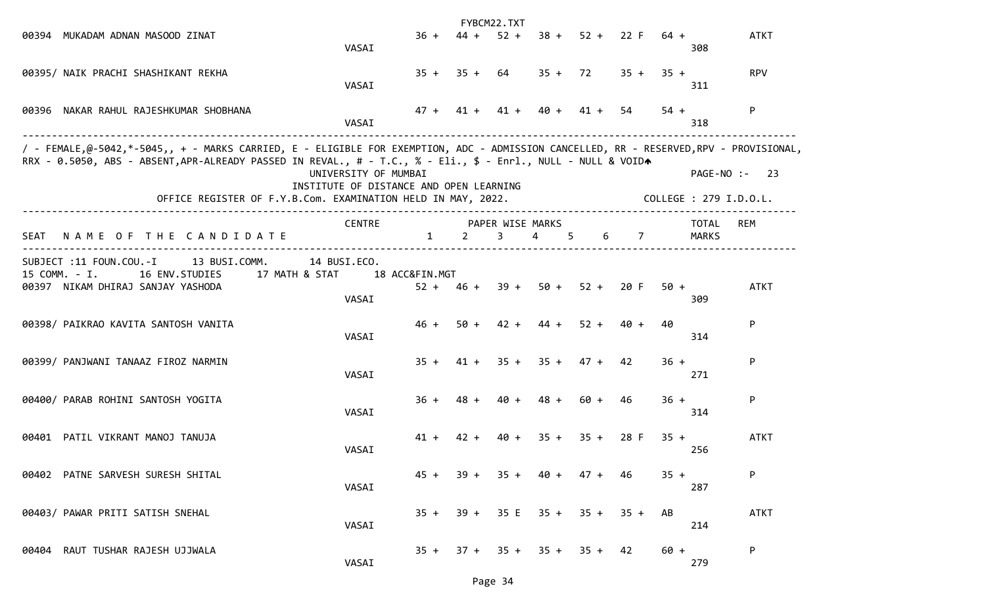|      |                                                                                                                                                                                                                                                                                                                        |                                                                 |                               |        | FYBCM22.TXT           |                  |         |             |        |                                         |             |
|------|------------------------------------------------------------------------------------------------------------------------------------------------------------------------------------------------------------------------------------------------------------------------------------------------------------------------|-----------------------------------------------------------------|-------------------------------|--------|-----------------------|------------------|---------|-------------|--------|-----------------------------------------|-------------|
|      | 00394 MUKADAM ADNAN MASOOD ZINAT                                                                                                                                                                                                                                                                                       | VASAI                                                           | $36 +$                        | $44 +$ | $52 +$                | $38 +$           |         | $52 + 22 F$ | 64 +   | 308                                     | <b>ATKT</b> |
|      | 00395/ NAIK PRACHI SHASHIKANT REKHA                                                                                                                                                                                                                                                                                    | VASAI                                                           | $35 +$                        | $35 +$ | 64                    | $35 + 72$        |         | $35 +$      | $35 +$ | 311                                     | <b>RPV</b>  |
|      | 00396 NAKAR RAHUL RAJESHKUMAR SHOBHANA                                                                                                                                                                                                                                                                                 | VASAI                                                           | $47 +$                        | 41 +   | $41 +$                | $40 +$           | $41 +$  | 54          | $54 +$ | 318                                     | P           |
|      | / - FEMALE,@-5042,*-5045,, + - MARKS CARRIED, E - ELIGIBLE FOR EXEMPTION, ADC - ADMISSION CANCELLED, RR - RESERVED,RPV - PROVISIONAL,<br>RRX - 0.5050, ABS - ABSENT, APR-ALREADY PASSED IN REVAL., # - T.C., % - Eli., \$ - Enrl., NULL - NULL & VOIDA<br>OFFICE REGISTER OF F.Y.B.Com. EXAMINATION HELD IN MAY, 2022. | UNIVERSITY OF MUMBAI<br>INSTITUTE OF DISTANCE AND OPEN LEARNING |                               |        |                       |                  |         |             |        | PAGE-NO :- 23<br>COLLEGE : 279 I.D.O.L. |             |
| SEAT | NAME OF THE CANDIDATE                                                                                                                                                                                                                                                                                                  | <b>CENTRE</b>                                                   | $\mathbf{1}$                  | 2      | PAPER WISE MARKS<br>3 | $\overline{a}$   | 5.<br>6 | 7           |        | TOTAL<br><b>MARKS</b>                   | REM         |
|      | SUBJECT :11 FOUN.COU.-I<br>13 BUSI.COMM.<br>17 MATH & STAT<br>15 COMM. - I.<br>16 ENV.STUDIES<br>00397 NIKAM DHIRAJ SANJAY YASHODA                                                                                                                                                                                     | 14 BUSI.ECO.<br>VASAI                                           | 18 ACC&FIN.MGT<br>$52 + 46 +$ |        | $39 +$                | $50 +$           | $52 +$  | 20 F        | $50 +$ | 309                                     | <b>ATKT</b> |
|      | 00398/ PAIKRAO KAVITA SANTOSH VANITA                                                                                                                                                                                                                                                                                   | VASAI                                                           | $46 +$                        | $50 +$ | $42 +$                | $44 +$           | $52 +$  | $40 +$      | 40     | 314                                     | P           |
|      | 00399/ PANJWANI TANAAZ FIROZ NARMIN                                                                                                                                                                                                                                                                                    | VASAI                                                           | $35 +$                        |        | $41 + 35 + 35 + 47 +$ |                  |         | 42          | $36 +$ | 271                                     | P           |
|      | 00400/ PARAB ROHINI SANTOSH YOGITA                                                                                                                                                                                                                                                                                     | VASAI                                                           | 36 +                          | 48 +   | $40 +$                | $48 +$           | 60 +    | 46          | $36 +$ | 314                                     | P           |
|      | 00401 PATIL VIKRANT MANOJ TANUJA                                                                                                                                                                                                                                                                                       | VASAI                                                           | $41 +$                        | $42 +$ | 40 +                  | $35 +$           | $35 +$  | 28 F        | $35 +$ | 256                                     | <b>ATKT</b> |
|      | 00402 PATNE SARVESH SURESH SHITAL                                                                                                                                                                                                                                                                                      | VASAI                                                           | $45 +$                        | $39 +$ | $35 +$                | 40 +             | 47 +    | 46          | $35 +$ | 287                                     | P           |
|      | 00403/ PAWAR PRITI SATISH SNEHAL                                                                                                                                                                                                                                                                                       | VASAI                                                           | $35 +$                        | $39 +$ | 35 E                  | $35 +$           | $35 +$  | $35 +$      | AB     | 214                                     | <b>ATKT</b> |
|      | 00404 RAUT TUSHAR RAJESH UJJWALA                                                                                                                                                                                                                                                                                       | VASAI                                                           | $35 +$                        | $37 +$ |                       | $35 + 35 + 35 +$ |         | -42         | $60 +$ | 279                                     | P           |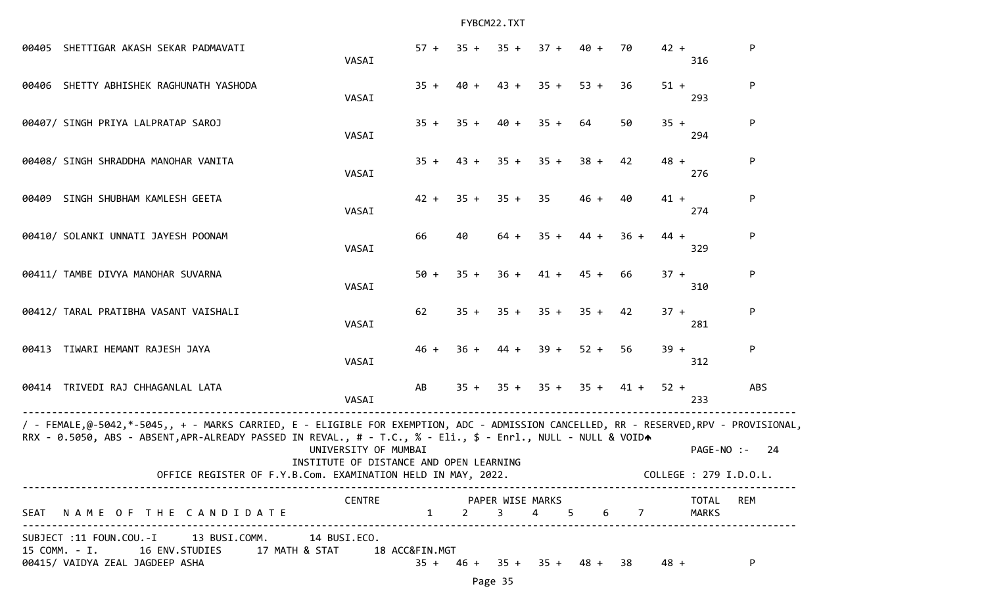|       | 00405 SHETTIGAR AKASH SEKAR PADMAVATI                                                                                                                                                                                                                                                                                  | VASAI                                                           | $57 +$ | $35 +$ | $35 +$ | $37 +$ | $40 +$                        | 70     | $42 +$ | 316                                  | P          |
|-------|------------------------------------------------------------------------------------------------------------------------------------------------------------------------------------------------------------------------------------------------------------------------------------------------------------------------|-----------------------------------------------------------------|--------|--------|--------|--------|-------------------------------|--------|--------|--------------------------------------|------------|
|       | 00406 SHETTY ABHISHEK RAGHUNATH YASHODA                                                                                                                                                                                                                                                                                | VASAI                                                           | $35 +$ | $40 +$ | $43 +$ | $35 +$ | $53 +$                        | 36     | $51 +$ | 293                                  | P          |
|       | 00407/ SINGH PRIYA LALPRATAP SAROJ                                                                                                                                                                                                                                                                                     | VASAI                                                           | $35 +$ | $35 +$ | $40 +$ | $35 +$ | 64                            | 50     | $35 +$ | 294                                  | P          |
|       | 00408/ SINGH SHRADDHA MANOHAR VANITA                                                                                                                                                                                                                                                                                   | VASAI                                                           | $35 +$ | $43 +$ | $35 +$ | $35 +$ | $38 +$                        | 42     | $48 +$ | 276                                  | P          |
| 00409 | SINGH SHUBHAM KAMLESH GEETA                                                                                                                                                                                                                                                                                            | VASAI                                                           | $42 +$ | $35 +$ | $35 +$ | 35     | $46 +$                        | 40     | $41 +$ | 274                                  | P          |
|       | 00410/ SOLANKI UNNATI JAYESH POONAM                                                                                                                                                                                                                                                                                    | VASAI                                                           | 66     | 40     | $64 +$ | $35 +$ | $44 +$                        | $36 +$ | $44 +$ | 329                                  | P          |
|       | 00411/ TAMBE DIVYA MANOHAR SUVARNA                                                                                                                                                                                                                                                                                     | VASAI                                                           | $50 +$ | $35 +$ | $36 +$ | $41 +$ | $45 +$                        | 66     | $37 +$ | 310                                  | P          |
|       | 00412/ TARAL PRATIBHA VASANT VAISHALI                                                                                                                                                                                                                                                                                  | VASAI                                                           | 62     | $35 +$ | $35 +$ | $35 +$ | $35 +$                        | 42     | $37 +$ | 281                                  | P          |
| 00413 | TIWARI HEMANT RAJESH JAYA                                                                                                                                                                                                                                                                                              | VASAI                                                           | $46 +$ | $36 +$ | 44 +   | $39 +$ | $52 +$                        | 56     | $39 +$ | 312                                  | P          |
|       | 00414 TRIVEDI RAJ CHHAGANLAL LATA                                                                                                                                                                                                                                                                                      | VASAI                                                           | AB     | $35 +$ | $35 +$ | $35 +$ | $35 +$                        | $41 +$ | $52 +$ | 233                                  | <b>ABS</b> |
|       | / - FEMALE,@-5042,*-5045,, + - MARKS CARRIED, E - ELIGIBLE FOR EXEMPTION, ADC - ADMISSION CANCELLED, RR - RESERVED,RPV - PROVISIONAL,<br>RRX - 0.5050, ABS - ABSENT, APR-ALREADY PASSED IN REVAL., # - T.C., % - Eli., \$ - Enrl., NULL - NULL & VOIDA<br>OFFICE REGISTER OF F.Y.B.Com. EXAMINATION HELD IN MAY, 2022. | UNIVERSITY OF MUMBAI<br>INSTITUTE OF DISTANCE AND OPEN LEARNING |        |        |        |        |                               |        |        | PAGE-NO :-<br>COLLEGE : 279 I.D.O.L. | -24        |
|       | SEAT NAME OF THE CANDIDATE                                                                                                                                                                                                                                                                                             | CENTRE PAPER WISE MARKS<br>$1 \t2 \t3$                          |        |        |        |        | 4 5 6 7                       |        |        | TOTAL REM<br>MARKS                   |            |
|       | SUBJECT :11 FOUN.COU.-I 13 BUSI.COMM. 14 BUSI.ECO.<br>15 COMM. - I. 16 ENV. STUDIES 17 MATH & STAT 18 ACC&FIN. MGT<br>00415/ VAIDYA ZEAL JAGDEEP ASHA                                                                                                                                                                  |                                                                 |        |        |        |        | $35 + 46 + 35 + 35 + 48 + 38$ |        | 48 +   |                                      | P.         |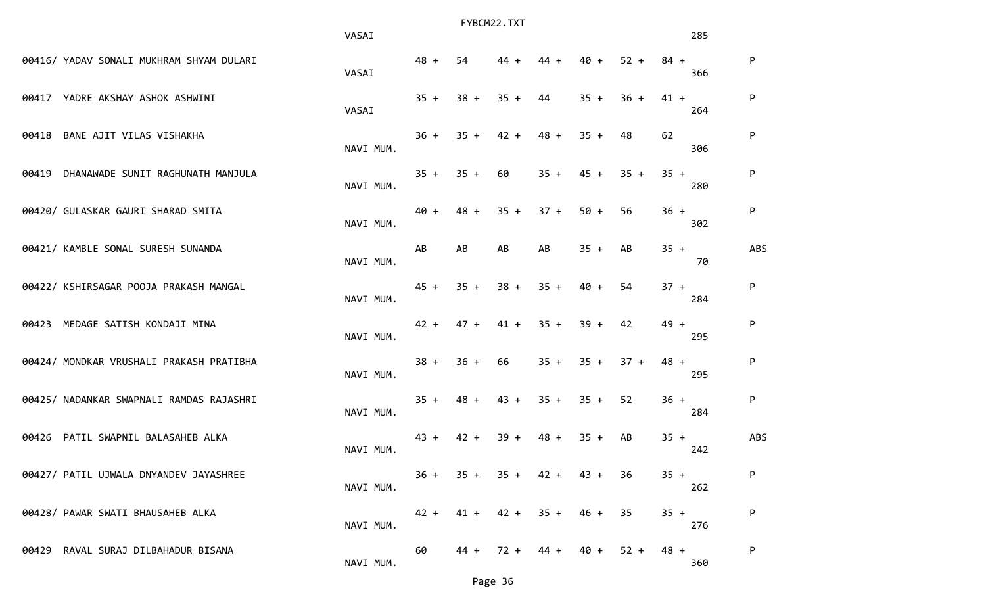|                                          |                                   | VASAI     |        |        | FYBCM22.TXT      |        |        |        |        | 285 |            |
|------------------------------------------|-----------------------------------|-----------|--------|--------|------------------|--------|--------|--------|--------|-----|------------|
| 00416/ YADAV SONALI MUKHRAM SHYAM DULARI |                                   | VASAI     | $48 +$ | 54     | 44 +             | 44     | 40 +   | $52 +$ | $84 +$ | 366 | P          |
| 00417 YADRE AKSHAY ASHOK ASHWINI         |                                   | VASAI     | $35 +$ | $38 +$ | $35 +$           | 44     | $35 +$ | $36 +$ | $41 +$ | 264 | ${\sf P}$  |
| BANE AJIT VILAS VISHAKHA<br>00418        |                                   | NAVI MUM. | $36 +$ | $35 +$ | $42 +$           | $48 +$ | $35 +$ | 48     | 62     | 306 | ${\sf P}$  |
| 00419                                    | DHANAWADE SUNIT RAGHUNATH MANJULA | NAVI MUM. | $35 +$ | $35 +$ | 60               | $35 +$ | $45 +$ | $35 +$ | $35 +$ | 280 | ${\sf P}$  |
| 00420/ GULASKAR GAURI SHARAD SMITA       |                                   | NAVI MUM. | $40 +$ | $48 +$ | $35 +$           | $37 +$ | $50 +$ | 56     | $36 +$ | 302 | P          |
| 00421/ KAMBLE SONAL SURESH SUNANDA       |                                   | NAVI MUM. | AB     | AB     | AB               | AB     | $35 +$ | AB     | $35 +$ | 70  | <b>ABS</b> |
| 00422/ KSHIRSAGAR POOJA PRAKASH MANGAL   |                                   | NAVI MUM. | $45 +$ | $35 +$ | $38 +$           | $35 +$ | $40 +$ | 54     | $37 +$ | 284 | ${\sf P}$  |
| 00423 MEDAGE SATISH KONDAJI MINA         |                                   | NAVI MUM. | $42 +$ | $47 +$ | $41 +$           | $35 +$ | $39 +$ | 42     | $49 +$ | 295 | ${\sf P}$  |
| 00424/ MONDKAR VRUSHALI PRAKASH PRATIBHA |                                   | NAVI MUM. | $38 +$ | $36 +$ | 66               | $35 +$ | $35 +$ | $37 +$ | $48 +$ | 295 | ${\sf P}$  |
| 00425/ NADANKAR SWAPNALI RAMDAS RAJASHRI |                                   | NAVI MUM. | $35 +$ | $48 +$ | $43 +$           | $35 +$ | $35 +$ | 52     | $36 +$ | 284 | ${\sf P}$  |
| 00426                                    | PATIL SWAPNIL BALASAHEB ALKA      | NAVI MUM. | $43 +$ | $42 +$ | $39 +$           | 48 +   | $35 +$ | AB     | $35 +$ | 242 | ABS        |
| 00427/ PATIL UJWALA DNYANDEV JAYASHREE   |                                   | NAVI MUM. | $36 +$ |        | $35 + 35 + 42 +$ |        | 43 +   | 36     | $35 +$ | 262 | P          |
| 00428/ PAWAR SWATI BHAUSAHEB ALKA        |                                   | NAVI MUM. | $42 +$ | $41 +$ | $42 +$           | $35 +$ | 46 +   | 35     | $35 +$ | 276 | ${\sf P}$  |
| 00429 RAVAL SURAJ DILBAHADUR BISANA      |                                   | NAVI MUM. | 60     |        | $44 + 72 + 44 +$ |        | 40 +   | $52 +$ | $48 +$ | 360 | ${\sf P}$  |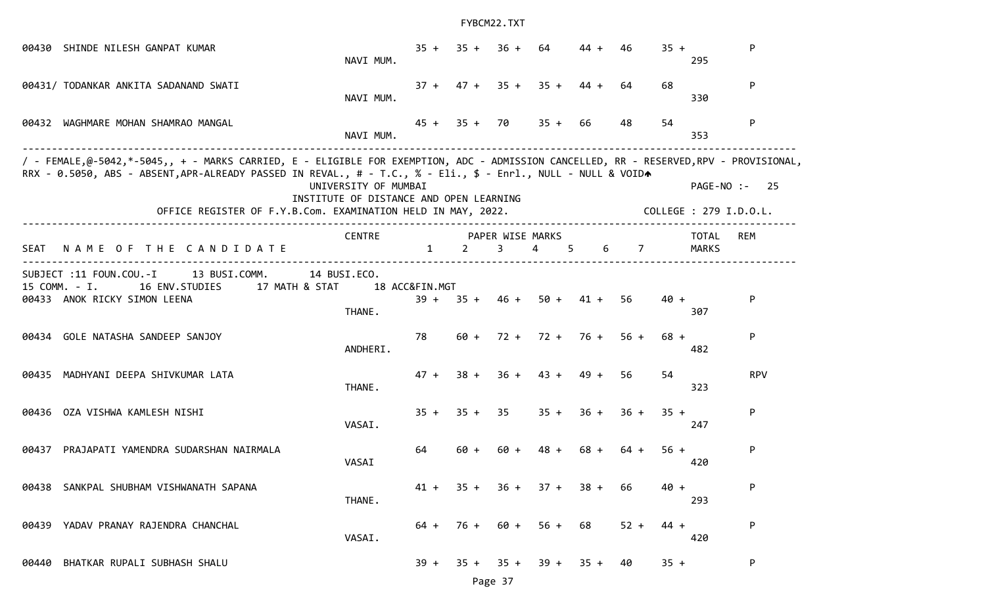|                                                                                                                                                                                                                                                                                                                                                                                                                                          | 00430 SHINDE NILESH GANPAT KUMAR                                                                                           | NAVI MUM.              | $35 +$         | $35 +$     | $36 +$                          | 64                   | $44 +$ | 46     | $35 +$ | 295                   | P          |
|------------------------------------------------------------------------------------------------------------------------------------------------------------------------------------------------------------------------------------------------------------------------------------------------------------------------------------------------------------------------------------------------------------------------------------------|----------------------------------------------------------------------------------------------------------------------------|------------------------|----------------|------------|---------------------------------|----------------------|--------|--------|--------|-----------------------|------------|
|                                                                                                                                                                                                                                                                                                                                                                                                                                          | 00431/ TODANKAR ANKITA SADANAND SWATI                                                                                      | NAVI MUM.              |                |            | $37 + 47 + 35 +$                | $35 +$               | $44 +$ | 64.    | 68     | 330                   | P          |
|                                                                                                                                                                                                                                                                                                                                                                                                                                          | 00432 WAGHMARE MOHAN SHAMRAO MANGAL                                                                                        | NAVI MUM.              |                |            | $45 + 35 + 70$                  | $35 + 66$            |        | 48     | 54     | 353                   | P          |
| / - FEMALE,@-5042,*-5045,, + - MARKS CARRIED, E - ELIGIBLE FOR EXEMPTION, ADC - ADMISSION CANCELLED, RR - RESERVED,RPV - PROVISIONAL,<br>RRX - 0.5050, ABS - ABSENT, APR-ALREADY PASSED IN REVAL., # - T.C., % - Eli., \$ - Enrl., NULL - NULL & VOIDA<br>UNIVERSITY OF MUMBAI<br>PAGE-NO :-<br>-25<br>INSTITUTE OF DISTANCE AND OPEN LEARNING<br>OFFICE REGISTER OF F.Y.B.Com. EXAMINATION HELD IN MAY, 2022.<br>COLLEGE : 279 I.D.O.L. |                                                                                                                            |                        |                |            |                                 |                      |        |        |        |                       |            |
| SEAT                                                                                                                                                                                                                                                                                                                                                                                                                                     | NAME OF THE CANDIDATE                                                                                                      | CENTRE                 | $\mathbf{1}$   | $2^{\sim}$ | PAPER WISE MARKS<br>$3^{\circ}$ | $4\overline{ }$<br>5 |        | 6 7    |        | TOTAL<br><b>MARKS</b> | REM        |
|                                                                                                                                                                                                                                                                                                                                                                                                                                          | SUBJECT :11 FOUN.COU.-I<br>13 BUSI.COMM.<br>15 COMM. - I.<br>16 ENV.STUDIES 17 MATH & STAT<br>00433 ANOK RICKY SIMON LEENA | 14 BUSI.ECO.<br>THANE. | 18 ACC&FIN.MGT |            | $39 + 35 + 46 + 50 + 41 +$      |                      |        | 56     | $40 +$ | 307                   | P          |
|                                                                                                                                                                                                                                                                                                                                                                                                                                          | 00434 GOLE NATASHA SANDEEP SANJOY                                                                                          | ANDHERI.               | 78             |            | $60 + 72 + 72 + 76 +$           |                      |        | $56 +$ | $68 +$ | 482                   | P          |
|                                                                                                                                                                                                                                                                                                                                                                                                                                          | 00435 MADHYANI DEEPA SHIVKUMAR LATA                                                                                        | THANE.                 | $47 +$         | $38 +$     | $36 +$                          | $43 + 49 +$          |        | 56     | 54     | 323                   | <b>RPV</b> |
|                                                                                                                                                                                                                                                                                                                                                                                                                                          | 00436 OZA VISHWA KAMLESH NISHI                                                                                             | VASAI.                 | $35 +$         | $35 +$     | 35                              | $35 +$               | $36 +$ | $36 +$ | $35 +$ | 247                   | P          |
|                                                                                                                                                                                                                                                                                                                                                                                                                                          | 00437 PRAJAPATI YAMENDRA SUDARSHAN NAIRMALA                                                                                | VASAI                  | 64             | $60 +$     | $60 +$                          | 48 +                 | $68 +$ | $64 +$ | $56 +$ | 420                   | P          |
|                                                                                                                                                                                                                                                                                                                                                                                                                                          | 00438 SANKPAL SHUBHAM VISHWANATH SAPANA                                                                                    | THANE.                 | 41 +           | $35 +$     | $36 +$                          | $37 +$               | $38 +$ | 66     | $40 +$ | 293                   | P          |
|                                                                                                                                                                                                                                                                                                                                                                                                                                          | 00439 YADAV PRANAY RAJENDRA CHANCHAL                                                                                       | VASAI.                 | 64 +           | $76 +$     | 60 +                            | $56 +$               | 68     | $52 +$ | 44 +   | 420                   | P          |
| 00440                                                                                                                                                                                                                                                                                                                                                                                                                                    | BHATKAR RUPALI SUBHASH SHALU                                                                                               |                        | $39 +$         | $35 +$     | $35 +$                          | $39 +$               | $35 +$ | 40     | $35 +$ |                       | P          |